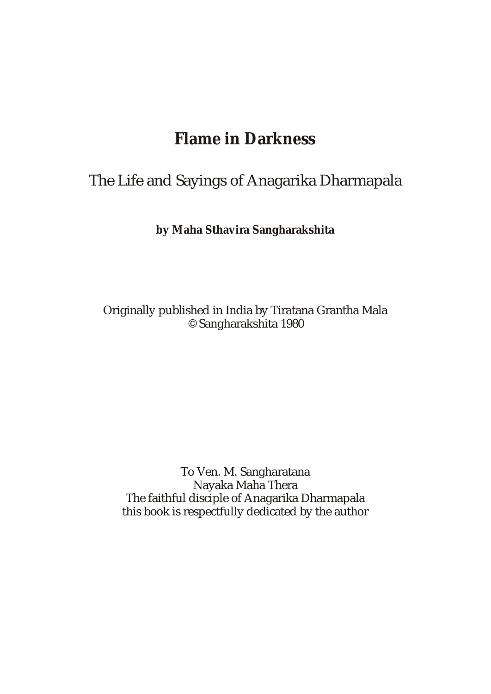# **Flame in Darkness**

# The Life and Sayings of Anagarika Dharmapala

**by Maha Sthavira Sangharakshita**

Originally published in India by Tiratana Grantha Mala © Sangharakshita 1980

To Ven. M. Sangharatana Nayaka Maha Thera The faithful disciple of Anagarika Dharmapala this book is respectfully dedicated by the author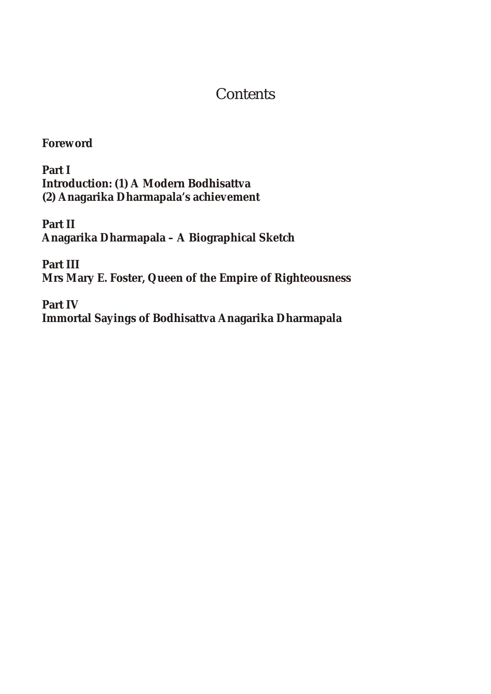## **Contents**

**Foreword**

**Part I Introduction: (1) A Modern Bodhisattva (2) Anagarika Dharmapala's achievement**

**Part II Anagarika Dharmapala – A Biographical Sketch**

**Part III Mrs Mary E. Foster, Queen of the Empire of Righteousness**

**Part IV Immortal Sayings of Bodhisattva Anagarika Dharmapala**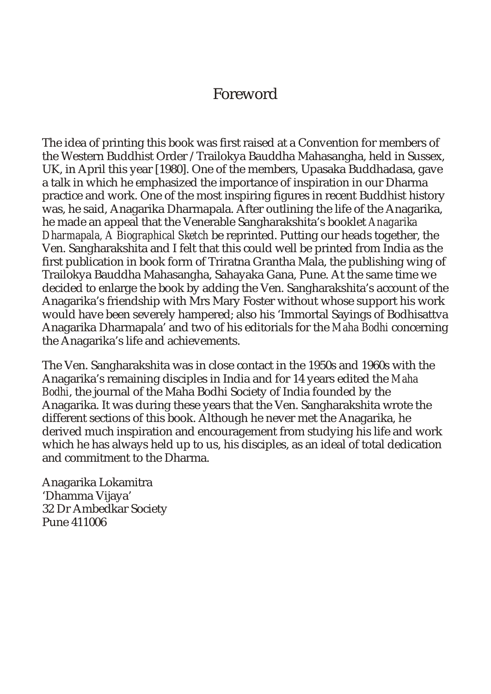## Foreword

The idea of printing this book was first raised at a Convention for members of the Western Buddhist Order / Trailokya Bauddha Mahasangha, held in Sussex, UK, in April this year [1980]. One of the members, Upasaka Buddhadasa, gave a talk in which he emphasized the importance of inspiration in our Dharma practice and work. One of the most inspiring figures in recent Buddhist history was, he said, Anagarika Dharmapala. After outlining the life of the Anagarika, he made an appeal that the Venerable Sangharakshita's booklet *Anagarika Dharmapala, A Biographical Sketch* be reprinted. Putting our heads together, the Ven. Sangharakshita and I felt that this could well be printed from India as the first publication in book form of Triratna Grantha Mala, the publishing wing of Trailokya Bauddha Mahasangha, Sahayaka Gana, Pune. At the same time we decided to enlarge the book by adding the Ven. Sangharakshita's account of the Anagarika's friendship with Mrs Mary Foster without whose support his work would have been severely hampered; also his 'Immortal Sayings of Bodhisattva Anagarika Dharmapala' and two of his editorials for the *Maha Bodhi* concerning the Anagarika's life and achievements.

The Ven. Sangharakshita was in close contact in the 1950s and 1960s with the Anagarika's remaining disciples in India and for 14 years edited the *Maha Bodhi*, the journal of the Maha Bodhi Society of India founded by the Anagarika. It was during these years that the Ven. Sangharakshita wrote the different sections of this book. Although he never met the Anagarika, he derived much inspiration and encouragement from studying his life and work which he has always held up to us, his disciples, as an ideal of total dedication and commitment to the Dharma.

Anagarika Lokamitra 'Dhamma Vijaya' 32 Dr Ambedkar Society Pune 411006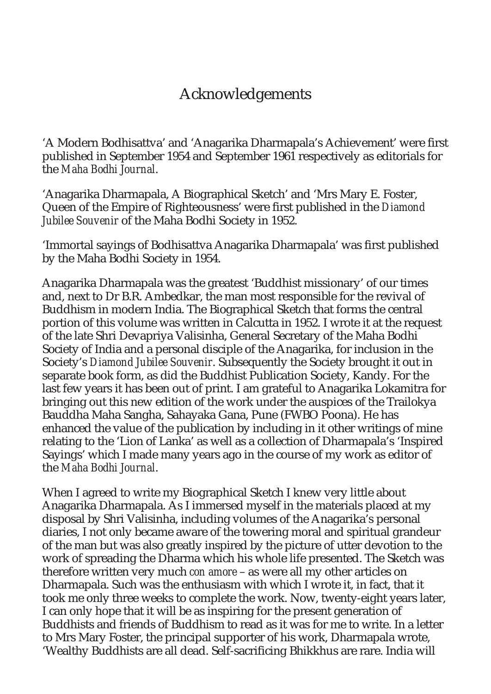# Acknowledgements

'A Modern Bodhisattva' and 'Anagarika Dharmapala's Achievement' were first published in September 1954 and September 1961 respectively as editorials for the *Maha Bodhi Journal*.

'Anagarika Dharmapala, A Biographical Sketch' and 'Mrs Mary E. Foster, Queen of the Empire of Righteousness' were first published in the *Diamond Jubilee Souvenir* of the Maha Bodhi Society in 1952.

'Immortal sayings of Bodhisattva Anagarika Dharmapala' was first published by the Maha Bodhi Society in 1954.

Anagarika Dharmapala was the greatest 'Buddhist missionary' of our times and, next to Dr B.R. Ambedkar, the man most responsible for the revival of Buddhism in modern India. The Biographical Sketch that forms the central portion of this volume was written in Calcutta in 1952. I wrote it at the request of the late Shri Devapriya Valisinha, General Secretary of the Maha Bodhi Society of India and a personal disciple of the Anagarika, for inclusion in the Society's *Diamond Jubilee Souvenir*. Subsequently the Society brought it out in separate book form, as did the Buddhist Publication Society, Kandy. For the last few years it has been out of print. I am grateful to Anagarika Lokamitra for bringing out this new edition of the work under the auspices of the Trailokya Bauddha Maha Sangha, Sahayaka Gana, Pune (FWBO Poona). He has enhanced the value of the publication by including in it other writings of mine relating to the 'Lion of Lanka' as well as a collection of Dharmapala's 'Inspired Sayings' which I made many years ago in the course of my work as editor of the *Maha Bodhi Journal*.

When I agreed to write my Biographical Sketch I knew very little about Anagarika Dharmapala. As I immersed myself in the materials placed at my disposal by Shri Valisinha, including volumes of the Anagarika's personal diaries, I not only became aware of the towering moral and spiritual grandeur of the man but was also greatly inspired by the picture of utter devotion to the work of spreading the Dharma which his whole life presented. The Sketch was therefore written very much *con amore* – as were all my other articles on Dharmapala. Such was the enthusiasm with which I wrote it, in fact, that it took me only three weeks to complete the work. Now, twenty-eight years later, I can only hope that it will be as inspiring for the present generation of Buddhists and friends of Buddhism to read as it was for me to write. In a letter to Mrs Mary Foster, the principal supporter of his work, Dharmapala wrote, 'Wealthy Buddhists are all dead. Self-sacrificing Bhikkhus are rare. India will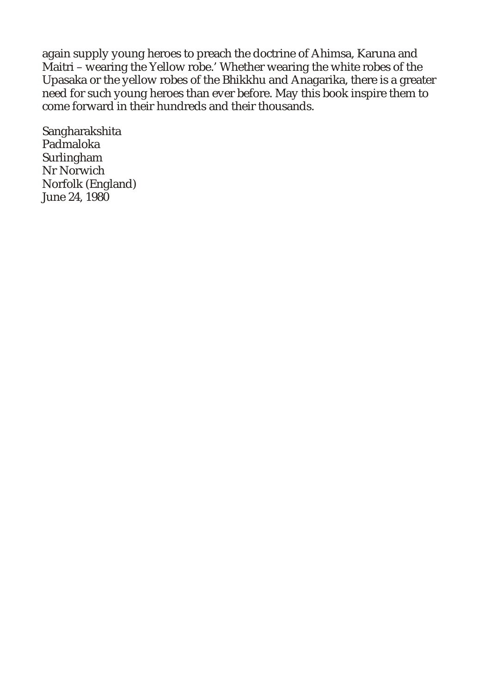again supply young heroes to preach the doctrine of Ahimsa, Karuna and Maitri – wearing the Yellow robe.' Whether wearing the white robes of the Upasaka or the yellow robes of the Bhikkhu and Anagarika, there is a greater need for such young heroes than ever before. May this book inspire them to come forward in their hundreds and their thousands.

Sangharakshita Padmaloka Surlingham Nr Norwich Norfolk (England) June 24, 1980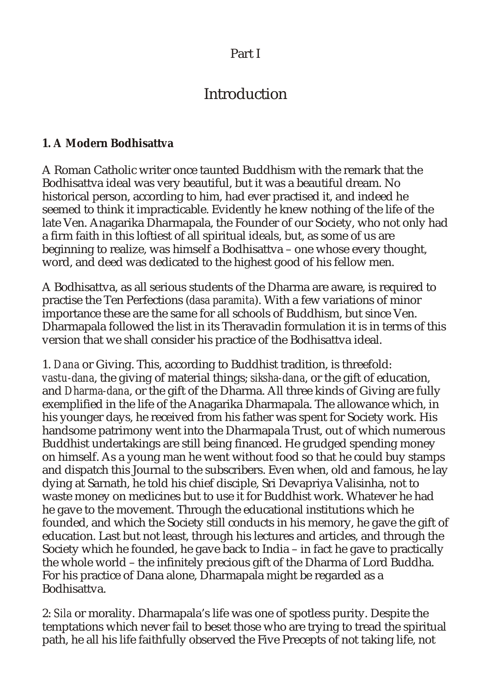## Part I

# Introduction

## **1. A Modern Bodhisattva**

A Roman Catholic writer once taunted Buddhism with the remark that the Bodhisattva ideal was very beautiful, but it was a beautiful dream. No historical person, according to him, had ever practised it, and indeed he seemed to think it impracticable. Evidently he knew nothing of the life of the late Ven. Anagarika Dharmapala, the Founder of our Society, who not only had a firm faith in this loftiest of all spiritual ideals, but, as some of us are beginning to realize, was himself a Bodhisattva – one whose every thought, word, and deed was dedicated to the highest good of his fellow men.

A Bodhisattva, as all serious students of the Dharma are aware, is required to practise the Ten Perfections (*dasa paramita*). With a few variations of minor importance these are the same for all schools of Buddhism, but since Ven. Dharmapala followed the list in its Theravadin formulation it is in terms of this version that we shall consider his practice of the Bodhisattva ideal.

1. *Dana* or Giving. This, according to Buddhist tradition, is threefold: *vastu-dana*, the giving of material things; *siksha-dana*, or the gift of education, and *Dharma-dana*, or the gift of the Dharma. All three kinds of Giving are fully exemplified in the life of the Anagarika Dharmapala. The allowance which, in his younger days, he received from his father was spent for Society work. His handsome patrimony went into the Dharmapala Trust, out of which numerous Buddhist undertakings are still being financed. He grudged spending money on himself. As a young man he went without food so that he could buy stamps and dispatch this Journal to the subscribers. Even when, old and famous, he lay dying at Sarnath, he told his chief disciple, Sri Devapriya Valisinha, not to waste money on medicines but to use it for Buddhist work. Whatever he had he gave to the movement. Through the educational institutions which he founded, and which the Society still conducts in his memory, he gave the gift of education. Last but not least, through his lectures and articles, and through the Society which he founded, he gave back to India – in fact he gave to practically the whole world – the infinitely precious gift of the Dharma of Lord Buddha. For his practice of Dana alone, Dharmapala might be regarded as a Bodhisattva.

2: *Sila* or morality. Dharmapala's life was one of spotless purity. Despite the temptations which never fail to beset those who are trying to tread the spiritual path, he all his life faithfully observed the Five Precepts of not taking life, not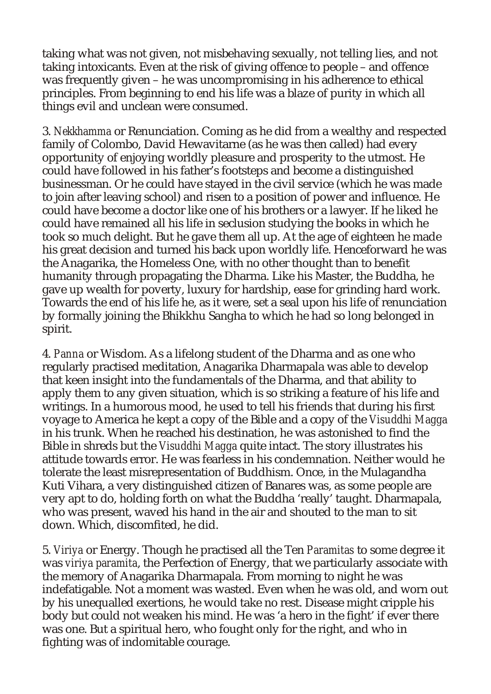taking what was not given, not misbehaving sexually, not telling lies, and not taking intoxicants. Even at the risk of giving offence to people – and offence was frequently given – he was uncompromising in his adherence to ethical principles. From beginning to end his life was a blaze of purity in which all things evil and unclean were consumed.

3. *Nekkhamma* or Renunciation. Coming as he did from a wealthy and respected family of Colombo, David Hewavitarne (as he was then called) had every opportunity of enjoying worldly pleasure and prosperity to the utmost. He could have followed in his father's footsteps and become a distinguished businessman. Or he could have stayed in the civil service (which he was made to join after leaving school) and risen to a position of power and influence. He could have become a doctor like one of his brothers or a lawyer. If he liked he could have remained all his life in seclusion studying the books in which he took so much delight. But he gave them all up. At the age of eighteen he made his great decision and turned his back upon worldly life. Henceforward he was the Anagarika, the Homeless One, with no other thought than to benefit humanity through propagating the Dharma. Like his Master, the Buddha, he gave up wealth for poverty, luxury for hardship, ease for grinding hard work. Towards the end of his life he, as it were, set a seal upon his life of renunciation by formally joining the Bhikkhu Sangha to which he had so long belonged in spirit.

4. *Panna* or Wisdom. As a lifelong student of the Dharma and as one who regularly practised meditation, Anagarika Dharmapala was able to develop that keen insight into the fundamentals of the Dharma, and that ability to apply them to any given situation, which is so striking a feature of his life and writings. In a humorous mood, he used to tell his friends that during his first voyage to America he kept a copy of the Bible and a copy of the *Visuddhi Magga* in his trunk. When he reached his destination, he was astonished to find the Bible in shreds but the *Visuddhi Magga* quite intact. The story illustrates his attitude towards error. He was fearless in his condemnation. Neither would he tolerate the least misrepresentation of Buddhism. Once, in the Mulagandha Kuti Vihara, a very distinguished citizen of Banares was, as some people are very apt to do, holding forth on what the Buddha 'really' taught. Dharmapala, who was present, waved his hand in the air and shouted to the man to sit down. Which, discomfited, he did.

5. *Viriya* or Energy. Though he practised all the Ten *Paramitas* to some degree it was *viriya paramita*, the Perfection of Energy, that we particularly associate with the memory of Anagarika Dharmapala. From morning to night he was indefatigable. Not a moment was wasted. Even when he was old, and worn out by his unequalled exertions, he would take no rest. Disease might cripple his body but could not weaken his mind. He was 'a hero in the fight' if ever there was one. But a spiritual hero, who fought only for the right, and who in fighting was of indomitable courage.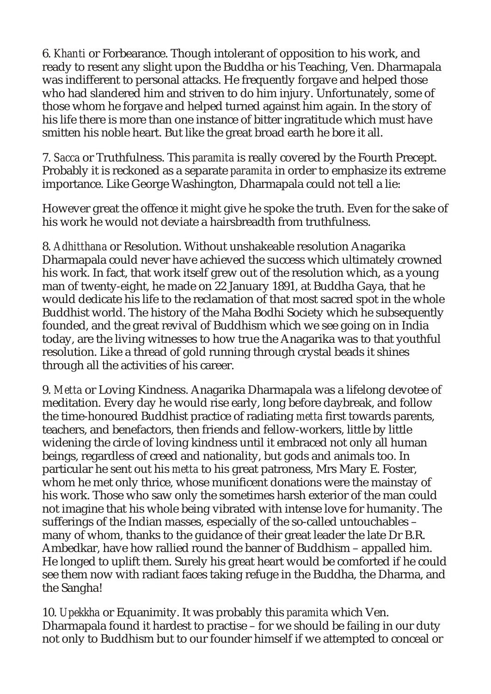6. *Khanti* or Forbearance. Though intolerant of opposition to his work, and ready to resent any slight upon the Buddha or his Teaching, Ven. Dharmapala was indifferent to personal attacks. He frequently forgave and helped those who had slandered him and striven to do him injury. Unfortunately, some of those whom he forgave and helped turned against him again. In the story of his life there is more than one instance of bitter ingratitude which must have smitten his noble heart. But like the great broad earth he bore it all.

7. *Sacca* or Truthfulness. This *paramita* is really covered by the Fourth Precept. Probably it is reckoned as a separate *paramita* in order to emphasize its extreme importance. Like George Washington, Dharmapala could not tell a lie:

However great the offence it might give he spoke the truth. Even for the sake of his work he would not deviate a hairsbreadth from truthfulness.

8. *Adhitthana* or Resolution. Without unshakeable resolution Anagarika Dharmapala could never have achieved the success which ultimately crowned his work. In fact, that work itself grew out of the resolution which, as a young man of twenty-eight, he made on 22 January 1891, at Buddha Gaya, that he would dedicate his life to the reclamation of that most sacred spot in the whole Buddhist world. The history of the Maha Bodhi Society which he subsequently founded, and the great revival of Buddhism which we see going on in India today, are the living witnesses to how true the Anagarika was to that youthful resolution. Like a thread of gold running through crystal beads it shines through all the activities of his career.

9. *Metta* or Loving Kindness. Anagarika Dharmapala was a lifelong devotee of meditation. Every day he would rise early, long before daybreak, and follow the time-honoured Buddhist practice of radiating *metta* first towards parents, teachers, and benefactors, then friends and fellow-workers, little by little widening the circle of loving kindness until it embraced not only all human beings, regardless of creed and nationality, but gods and animals too. In particular he sent out his *metta* to his great patroness, Mrs Mary E. Foster, whom he met only thrice, whose munificent donations were the mainstay of his work. Those who saw only the sometimes harsh exterior of the man could not imagine that his whole being vibrated with intense love for humanity. The sufferings of the Indian masses, especially of the so-called untouchables – many of whom, thanks to the guidance of their great leader the late Dr B.R. Ambedkar, have how rallied round the banner of Buddhism – appalled him. He longed to uplift them. Surely his great heart would be comforted if he could see them now with radiant faces taking refuge in the Buddha, the Dharma, and the Sangha!

10. *Upekkha* or Equanimity. It was probably this *paramita* which Ven. Dharmapala found it hardest to practise – for we should be failing in our duty not only to Buddhism but to our founder himself if we attempted to conceal or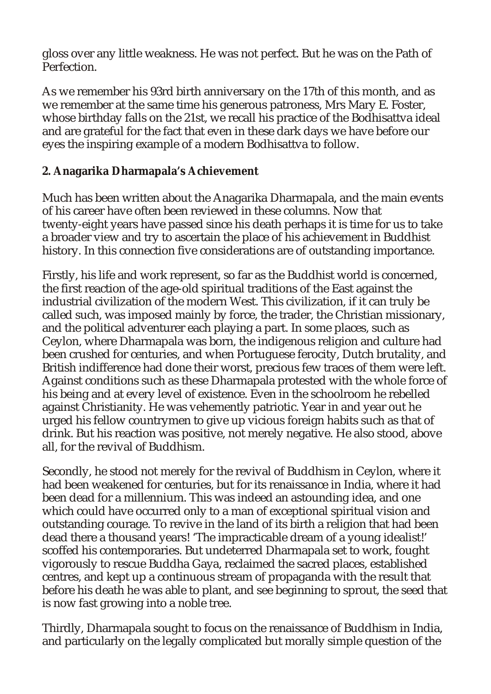gloss over any little weakness. He was not perfect. But he was on the Path of Perfection.

As we remember his 93rd birth anniversary on the 17th of this month, and as we remember at the same time his generous patroness, Mrs Mary E. Foster, whose birthday falls on the 21st, we recall his practice of the Bodhisattva ideal and are grateful for the fact that even in these dark days we have before our eyes the inspiring example of a modern Bodhisattva to follow.

## **2. Anagarika Dharmapala's Achievement**

Much has been written about the Anagarika Dharmapala, and the main events of his career have often been reviewed in these columns. Now that twenty-eight years have passed since his death perhaps it is time for us to take a broader view and try to ascertain the place of his achievement in Buddhist history. In this connection five considerations are of outstanding importance.

Firstly, his life and work represent, so far as the Buddhist world is concerned, the first reaction of the age-old spiritual traditions of the East against the industrial civilization of the modern West. This civilization, if it can truly be called such, was imposed mainly by force, the trader, the Christian missionary, and the political adventurer each playing a part. In some places, such as Ceylon, where Dharmapala was born, the indigenous religion and culture had been crushed for centuries, and when Portuguese ferocity, Dutch brutality, and British indifference had done their worst, precious few traces of them were left. Against conditions such as these Dharmapala protested with the whole force of his being and at every level of existence. Even in the schoolroom he rebelled against Christianity. He was vehemently patriotic. Year in and year out he urged his fellow countrymen to give up vicious foreign habits such as that of drink. But his reaction was positive, not merely negative. He also stood, above all, for the revival of Buddhism.

Secondly, he stood not merely for the revival of Buddhism in Ceylon, where it had been weakened for centuries, but for its renaissance in India, where it had been dead for a millennium. This was indeed an astounding idea, and one which could have occurred only to a man of exceptional spiritual vision and outstanding courage. To revive in the land of its birth a religion that had been dead there a thousand years! 'The impracticable dream of a young idealist!' scoffed his contemporaries. But undeterred Dharmapala set to work, fought vigorously to rescue Buddha Gaya, reclaimed the sacred places, established centres, and kept up a continuous stream of propaganda with the result that before his death he was able to plant, and see beginning to sprout, the seed that is now fast growing into a noble tree.

Thirdly, Dharmapala sought to focus on the renaissance of Buddhism in India, and particularly on the legally complicated but morally simple question of the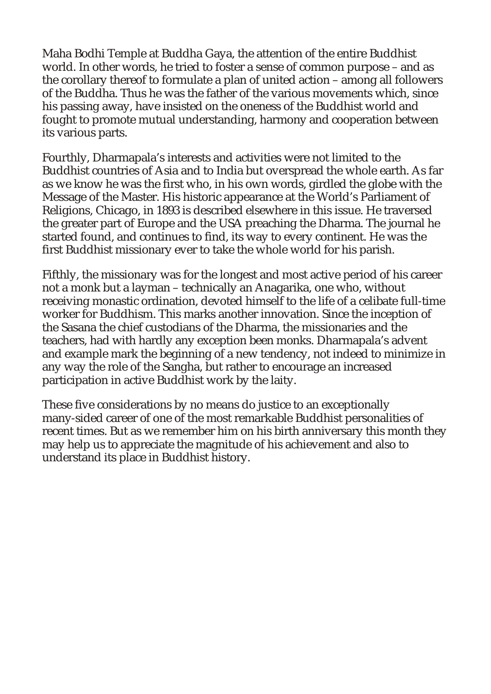Maha Bodhi Temple at Buddha Gaya, the attention of the entire Buddhist world. In other words, he tried to foster a sense of common purpose – and as the corollary thereof to formulate a plan of united action – among all followers of the Buddha. Thus he was the father of the various movements which, since his passing away, have insisted on the oneness of the Buddhist world and fought to promote mutual understanding, harmony and cooperation between its various parts.

Fourthly, Dharmapala's interests and activities were not limited to the Buddhist countries of Asia and to India but overspread the whole earth. As far as we know he was the first who, in his own words, girdled the globe with the Message of the Master. His historic appearance at the World's Parliament of Religions, Chicago, in 1893 is described elsewhere in this issue. He traversed the greater part of Europe and the USA preaching the Dharma. The journal he started found, and continues to find, its way to every continent. He was the first Buddhist missionary ever to take the whole world for his parish.

Fifthly, the missionary was for the longest and most active period of his career not a monk but a layman – technically an Anagarika, one who, without receiving monastic ordination, devoted himself to the life of a celibate full-time worker for Buddhism. This marks another innovation. Since the inception of the Sasana the chief custodians of the Dharma, the missionaries and the teachers, had with hardly any exception been monks. Dharmapala's advent and example mark the beginning of a new tendency, not indeed to minimize in any way the role of the Sangha, but rather to encourage an increased participation in active Buddhist work by the laity.

These five considerations by no means do justice to an exceptionally many-sided career of one of the most remarkable Buddhist personalities of recent times. But as we remember him on his birth anniversary this month they may help us to appreciate the magnitude of his achievement and also to understand its place in Buddhist history.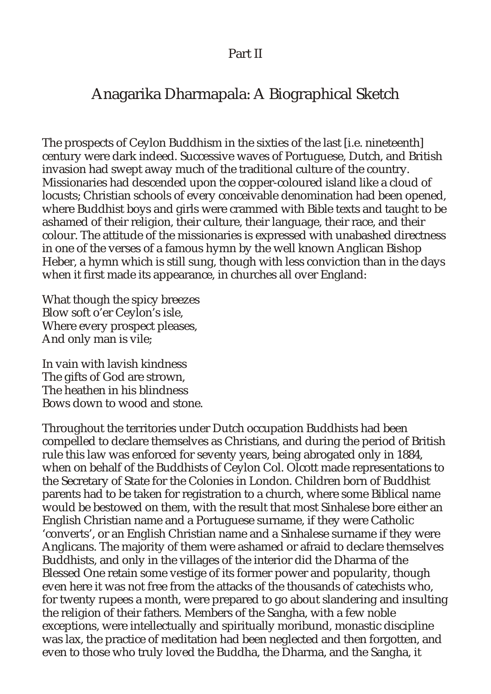## Part II

## Anagarika Dharmapala: A Biographical Sketch

The prospects of Ceylon Buddhism in the sixties of the last [i.e. nineteenth] century were dark indeed. Successive waves of Portuguese, Dutch, and British invasion had swept away much of the traditional culture of the country. Missionaries had descended upon the copper-coloured island like a cloud of locusts; Christian schools of every conceivable denomination had been opened, where Buddhist boys and girls were crammed with Bible texts and taught to be ashamed of their religion, their culture, their language, their race, and their colour. The attitude of the missionaries is expressed with unabashed directness in one of the verses of a famous hymn by the well known Anglican Bishop Heber, a hymn which is still sung, though with less conviction than in the days when it first made its appearance, in churches all over England:

What though the spicy breezes Blow soft o'er Ceylon's isle, Where every prospect pleases, And only man is vile;

In vain with lavish kindness The gifts of God are strown, The heathen in his blindness Bows down to wood and stone.

Throughout the territories under Dutch occupation Buddhists had been compelled to declare themselves as Christians, and during the period of British rule this law was enforced for seventy years, being abrogated only in 1884, when on behalf of the Buddhists of Ceylon Col. Olcott made representations to the Secretary of State for the Colonies in London. Children born of Buddhist parents had to be taken for registration to a church, where some Biblical name would be bestowed on them, with the result that most Sinhalese bore either an English Christian name and a Portuguese surname, if they were Catholic 'converts', or an English Christian name and a Sinhalese surname if they were Anglicans. The majority of them were ashamed or afraid to declare themselves Buddhists, and only in the villages of the interior did the Dharma of the Blessed One retain some vestige of its former power and popularity, though even here it was not free from the attacks of the thousands of catechists who, for twenty rupees a month, were prepared to go about slandering and insulting the religion of their fathers. Members of the Sangha, with a few noble exceptions, were intellectually and spiritually moribund, monastic discipline was lax, the practice of meditation had been neglected and then forgotten, and even to those who truly loved the Buddha, the Dharma, and the Sangha, it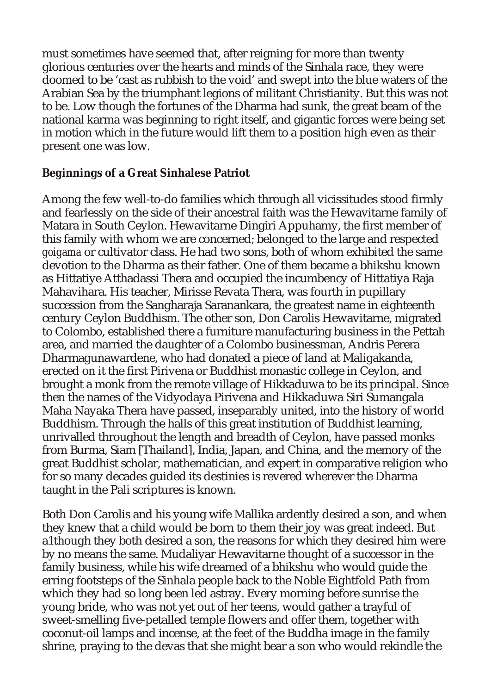must sometimes have seemed that, after reigning for more than twenty glorious centuries over the hearts and minds of the Sinhala race, they were doomed to be 'cast as rubbish to the void' and swept into the blue waters of the Arabian Sea by the triumphant legions of militant Christianity. But this was not to be. Low though the fortunes of the Dharma had sunk, the great beam of the national karma was beginning to right itself, and gigantic forces were being set in motion which in the future would lift them to a position high even as their present one was low.

## **Beginnings of a Great Sinhalese Patriot**

Among the few well-to-do families which through all vicissitudes stood firmly and fearlessly on the side of their ancestral faith was the Hewavitarne family of Matara in South Ceylon. Hewavitarne Dingiri Appuhamy, the first member of this family with whom we are concerned; belonged to the large and respected *goigama* or cultivator class. He had two sons, both of whom exhibited the same devotion to the Dharma as their father. One of them became a bhikshu known as Hittatiye Atthadassi Thera and occupied the incumbency of Hittatiya Raja Mahavihara. His teacher, Mirisse Revata Thera, was fourth in pupillary succession from the Sangharaja Saranankara, the greatest name in eighteenth century Ceylon Buddhism. The other son, Don Carolis Hewavitarne, migrated to Colombo, established there a furniture manufacturing business in the Pettah area, and married the daughter of a Colombo businessman, Andris Perera Dharmagunawardene, who had donated a piece of land at Maligakanda, erected on it the first Pirivena or Buddhist monastic college in Ceylon, and brought a monk from the remote village of Hikkaduwa to be its principal. Since then the names of the Vidyodaya Pirivena and Hikkaduwa Siri Sumangala Maha Nayaka Thera have passed, inseparably united, into the history of world Buddhism. Through the halls of this great institution of Buddhist learning, unrivalled throughout the length and breadth of Ceylon, have passed monks from Burma, Siam [Thailand], India, Japan, and China, and the memory of the great Buddhist scholar, mathematician, and expert in comparative religion who for so many decades guided its destinies is revered wherever the Dharma taught in the Pali scriptures is known.

Both Don Carolis and his young wife Mallika ardently desired a son, and when they knew that a child would be born to them their joy was great indeed. But a1though they both desired a son, the reasons for which they desired him were by no means the same. Mudaliyar Hewavitarne thought of a successor in the family business, while his wife dreamed of a bhikshu who would guide the erring footsteps of the Sinhala people back to the Noble Eightfold Path from which they had so long been led astray. Every morning before sunrise the young bride, who was not yet out of her teens, would gather a trayful of sweet-smelling five-petalled temple flowers and offer them, together with coconut-oil lamps and incense, at the feet of the Buddha image in the family shrine, praying to the devas that she might bear a son who would rekindle the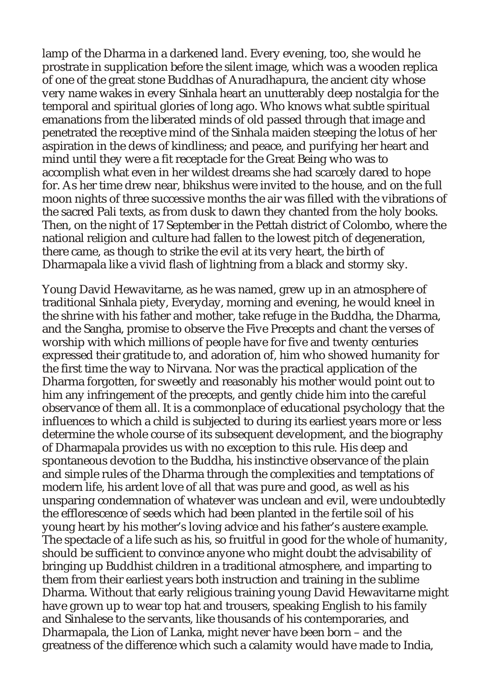lamp of the Dharma in a darkened land. Every evening, too, she would he prostrate in supplication before the silent image, which was a wooden replica of one of the great stone Buddhas of Anuradhapura, the ancient city whose very name wakes in every Sinhala heart an unutterably deep nostalgia for the temporal and spiritual glories of long ago. Who knows what subtle spiritual emanations from the liberated minds of old passed through that image and penetrated the receptive mind of the Sinhala maiden steeping the lotus of her aspiration in the dews of kindliness; and peace, and purifying her heart and mind until they were a fit receptacle for the Great Being who was to accomplish what even in her wildest dreams she had scarcely dared to hope for. As her time drew near, bhikshus were invited to the house, and on the full moon nights of three successive months the air was filled with the vibrations of the sacred Pali texts, as from dusk to dawn they chanted from the holy books. Then, on the night of 17 September in the Pettah district of Colombo, where the national religion and culture had fallen to the lowest pitch of degeneration, there came, as though to strike the evil at its very heart, the birth of Dharmapala like a vivid flash of lightning from a black and stormy sky.

Young David Hewavitarne, as he was named, grew up in an atmosphere of traditional Sinhala piety, Everyday, morning and evening, he would kneel in the shrine with his father and mother, take refuge in the Buddha, the Dharma, and the Sangha, promise to observe the Five Precepts and chant the verses of worship with which millions of people have for five and twenty centuries expressed their gratitude to, and adoration of, him who showed humanity for the first time the way to Nirvana. Nor was the practical application of the Dharma forgotten, for sweetly and reasonably his mother would point out to him any infringement of the precepts, and gently chide him into the careful observance of them all. It is a commonplace of educational psychology that the influences to which a child is subjected to during its earliest years more or less determine the whole course of its subsequent development, and the biography of Dharmapala provides us with no exception to this rule. His deep and spontaneous devotion to the Buddha, his instinctive observance of the plain and simple rules of the Dharma through the complexities and temptations of modern life, his ardent love of all that was pure and good, as well as his unsparing condemnation of whatever was unclean and evil, were undoubtedly the efflorescence of seeds which had been planted in the fertile soil of his young heart by his mother's loving advice and his father's austere example. The spectacle of a life such as his, so fruitful in good for the whole of humanity, should be sufficient to convince anyone who might doubt the advisability of bringing up Buddhist children in a traditional atmosphere, and imparting to them from their earliest years both instruction and training in the sublime Dharma. Without that early religious training young David Hewavitarne might have grown up to wear top hat and trousers, speaking English to his family and Sinhalese to the servants, like thousands of his contemporaries, and Dharmapala, the Lion of Lanka, might never have been born – and the greatness of the difference which such a calamity would have made to India,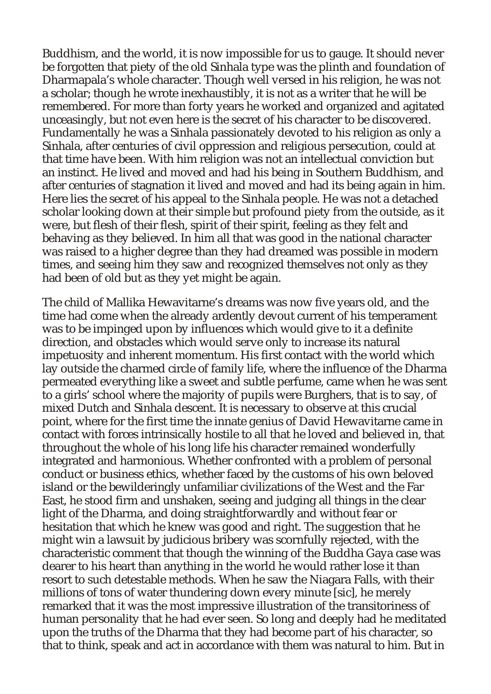Buddhism, and the world, it is now impossible for us to gauge. It should never be forgotten that piety of the old Sinhala type was the plinth and foundation of Dharmapala's whole character. Though well versed in his religion, he was not a scholar; though he wrote inexhaustibly, it is not as a writer that he will be remembered. For more than forty years he worked and organized and agitated unceasingly, but not even here is the secret of his character to be discovered. Fundamentally he was a Sinhala passionately devoted to his religion as only a Sinhala, after centuries of civil oppression and religious persecution, could at that time have been. With him religion was not an intellectual conviction but an instinct. He lived and moved and had his being in Southern Buddhism, and after centuries of stagnation it lived and moved and had its being again in him. Here lies the secret of his appeal to the Sinhala people. He was not a detached scholar looking down at their simple but profound piety from the outside, as it were, but flesh of their flesh, spirit of their spirit, feeling as they felt and behaving as they believed. In him all that was good in the national character was raised to a higher degree than they had dreamed was possible in modern times, and seeing him they saw and recognized themselves not only as they had been of old but as they yet might be again.

The child of Mallika Hewavitarne's dreams was now five years old, and the time had come when the already ardently devout current of his temperament was to be impinged upon by influences which would give to it a definite direction, and obstacles which would serve only to increase its natural impetuosity and inherent momentum. His first contact with the world which lay outside the charmed circle of family life, where the influence of the Dharma permeated everything like a sweet and subtle perfume, came when he was sent to a girls' school where the majority of pupils were Burghers, that is to say, of mixed Dutch and Sinhala descent. It is necessary to observe at this crucial point, where for the first time the innate genius of David Hewavitarne came in contact with forces intrinsically hostile to all that he loved and believed in, that throughout the whole of his long life his character remained wonderfully integrated and harmonious. Whether confronted with a problem of personal conduct or business ethics, whether faced by the customs of his own beloved island or the bewilderingly unfamiliar civilizations of the West and the Far East, he stood firm and unshaken, seeing and judging all things in the clear light of the Dharma, and doing straightforwardly and without fear or hesitation that which he knew was good and right. The suggestion that he might win a lawsuit by judicious bribery was scornfully rejected, with the characteristic comment that though the winning of the Buddha Gaya case was dearer to his heart than anything in the world he would rather lose it than resort to such detestable methods. When he saw the Niagara Falls, with their millions of tons of water thundering down every minute [sic], he merely remarked that it was the most impressive illustration of the transitoriness of human personality that he had ever seen. So long and deeply had he meditated upon the truths of the Dharma that they had become part of his character, so that to think, speak and act in accordance with them was natural to him. But in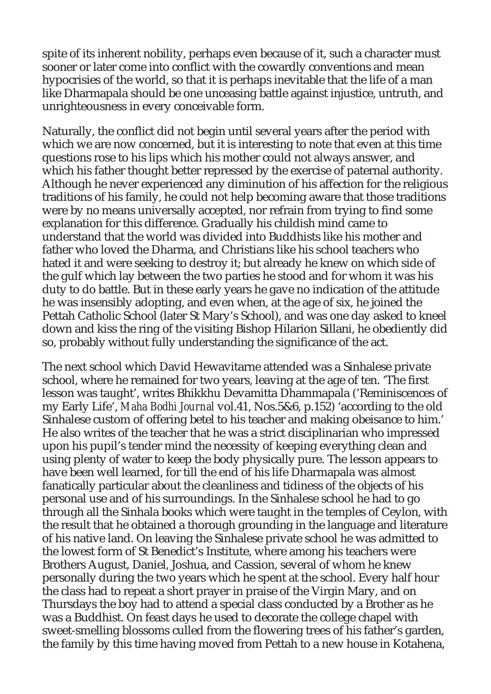spite of its inherent nobility, perhaps even because of it, such a character must sooner or later come into conflict with the cowardly conventions and mean hypocrisies of the world, so that it is perhaps inevitable that the life of a man like Dharmapala should be one unceasing battle against injustice, untruth, and unrighteousness in every conceivable form.

Naturally, the conflict did not begin until several years after the period with which we are now concerned, but it is interesting to note that even at this time questions rose to his lips which his mother could not always answer, and which his father thought better repressed by the exercise of paternal authority. Although he never experienced any diminution of his affection for the religious traditions of his family, he could not help becoming aware that those traditions were by no means universally accepted, nor refrain from trying to find some explanation for this difference. Gradually his childish mind came to understand that the world was divided into Buddhists like his mother and father who loved the Dharma, and Christians like his school teachers who hated it and were seeking to destroy it; but already he knew on which side of the gulf which lay between the two parties he stood and for whom it was his duty to do battle. But in these early years he gave no indication of the attitude he was insensibly adopting, and even when, at the age of six, he joined the Pettah Catholic School (later St Mary's School), and was one day asked to kneel down and kiss the ring of the visiting Bishop Hilarion Sillani, he obediently did so, probably without fully understanding the significance of the act.

The next school which David Hewavitarne attended was a Sinhalese private school, where he remained for two years, leaving at the age of ten. 'The first lesson was taught', writes Bhikkhu Devamitta Dhammapala ('Reminiscences of my Early Life', *Maha Bodhi Journal* vol.41, Nos.5&6, p.152) 'according to the old Sinhalese custom of offering betel to his teacher and making obeisance to him.' He also writes of the teacher that he was a strict disciplinarian who impressed upon his pupil's tender mind the necessity of keeping everything clean and using plenty of water to keep the body physically pure. The lesson appears to have been well learned, for till the end of his life Dharmapala was almost fanatically particular about the cleanliness and tidiness of the objects of his personal use and of his surroundings. In the Sinhalese school he had to go through all the Sinhala books which were taught in the temples of Ceylon, with the result that he obtained a thorough grounding in the language and literature of his native land. On leaving the Sinhalese private school he was admitted to the lowest form of St Benedict's Institute, where among his teachers were Brothers August, Daniel, Joshua, and Cassion, several of whom he knew personally during the two years which he spent at the school. Every half hour the class had to repeat a short prayer in praise of the Virgin Mary, and on Thursdays the boy had to attend a special class conducted by a Brother as he was a Buddhist. On feast days he used to decorate the college chapel with sweet-smelling blossoms culled from the flowering trees of his father's garden, the family by this time having moved from Pettah to a new house in Kotahena,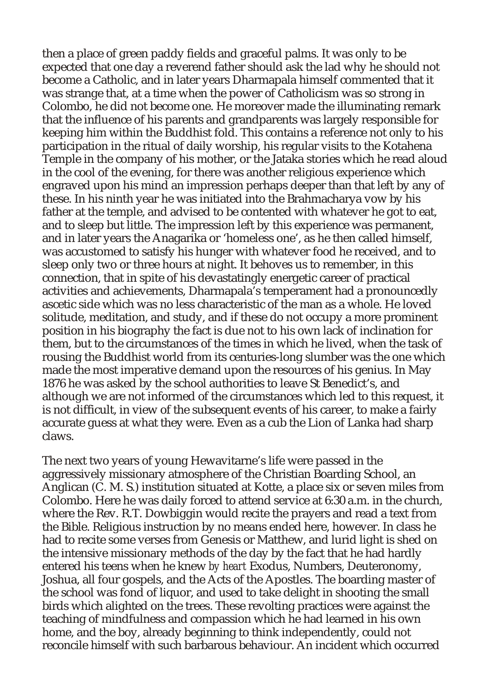then a place of green paddy fields and graceful palms. It was only to be expected that one day a reverend father should ask the lad why he should not become a Catholic, and in later years Dharmapala himself commented that it was strange that, at a time when the power of Catholicism was so strong in Colombo, he did not become one. He moreover made the illuminating remark that the influence of his parents and grandparents was largely responsible for keeping him within the Buddhist fold. This contains a reference not only to his participation in the ritual of daily worship, his regular visits to the Kotahena Temple in the company of his mother, or the Jataka stories which he read aloud in the cool of the evening, for there was another religious experience which engraved upon his mind an impression perhaps deeper than that left by any of these. In his ninth year he was initiated into the Brahmacharya vow by his father at the temple, and advised to be contented with whatever he got to eat, and to sleep but little. The impression left by this experience was permanent, and in later years the Anagarika or 'homeless one', as he then called himself, was accustomed to satisfy his hunger with whatever food he received, and to sleep only two or three hours at night. It behoves us to remember, in this connection, that in spite of his devastatingly energetic career of practical activities and achievements, Dharmapala's temperament had a pronouncedly ascetic side which was no less characteristic of the man as a whole. He loved solitude, meditation, and study, and if these do not occupy a more prominent position in his biography the fact is due not to his own lack of inclination for them, but to the circumstances of the times in which he lived, when the task of rousing the Buddhist world from its centuries-long slumber was the one which made the most imperative demand upon the resources of his genius. In May 1876 he was asked by the school authorities to leave St Benedict's, and although we are not informed of the circumstances which led to this request, it is not difficult, in view of the subsequent events of his career, to make a fairly accurate guess at what they were. Even as a cub the Lion of Lanka had sharp claws.

The next two years of young Hewavitarne's life were passed in the aggressively missionary atmosphere of the Christian Boarding School, an Anglican (C. M. S.) institution situated at Kotte, a place six or seven miles from Colombo. Here he was daily forced to attend service at 6:30 a.m. in the church, where the Rev. R.T. Dowbiggin would recite the prayers and read a text from the Bible. Religious instruction by no means ended here, however. In class he had to recite some verses from Genesis or Matthew, and lurid light is shed on the intensive missionary methods of the day by the fact that he had hardly entered his teens when he knew *by heart* Exodus, Numbers, Deuteronomy, Joshua, all four gospels, and the Acts of the Apostles. The boarding master of the school was fond of liquor, and used to take delight in shooting the small birds which alighted on the trees. These revolting practices were against the teaching of mindfulness and compassion which he had learned in his own home, and the boy, already beginning to think independently, could not reconcile himself with such barbarous behaviour. An incident which occurred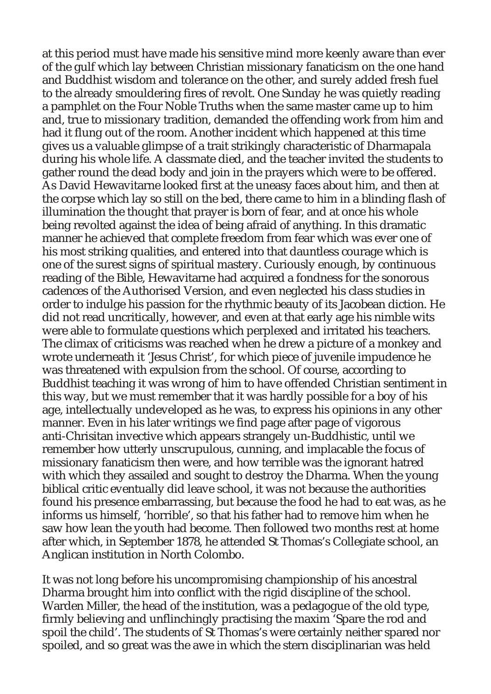at this period must have made his sensitive mind more keenly aware than ever of the gulf which lay between Christian missionary fanaticism on the one hand and Buddhist wisdom and tolerance on the other, and surely added fresh fuel to the already smouldering fires of revolt. One Sunday he was quietly reading a pamphlet on the Four Noble Truths when the same master came up to him and, true to missionary tradition, demanded the offending work from him and had it flung out of the room. Another incident which happened at this time gives us a valuable glimpse of a trait strikingly characteristic of Dharmapala during his whole life. A classmate died, and the teacher invited the students to gather round the dead body and join in the prayers which were to be offered. As David Hewavitarne looked first at the uneasy faces about him, and then at the corpse which lay so still on the bed, there came to him in a blinding flash of illumination the thought that prayer is born of fear, and at once his whole being revolted against the idea of being afraid of anything. In this dramatic manner he achieved that complete freedom from fear which was ever one of his most striking qualities, and entered into that dauntless courage which is one of the surest signs of spiritual mastery. Curiously enough, by continuous reading of the Bible, Hewavitarne had acquired a fondness for the sonorous cadences of the Authorised Version, and even neglected his class studies in order to indulge his passion for the rhythmic beauty of its Jacobean diction. He did not read uncritically, however, and even at that early age his nimble wits were able to formulate questions which perplexed and irritated his teachers. The climax of criticisms was reached when he drew a picture of a monkey and wrote underneath it 'Jesus Christ', for which piece of juvenile impudence he was threatened with expulsion from the school. Of course, according to Buddhist teaching it was wrong of him to have offended Christian sentiment in this way, but we must remember that it was hardly possible for a boy of his age, intellectually undeveloped as he was, to express his opinions in any other manner. Even in his later writings we find page after page of vigorous anti-Chrisitan invective which appears strangely un-Buddhistic, until we remember how utterly unscrupulous, cunning, and implacable the focus of missionary fanaticism then were, and how terrible was the ignorant hatred with which they assailed and sought to destroy the Dharma. When the young biblical critic eventually did leave school, it was not because the authorities found his presence embarrassing, but because the food he had to eat was, as he informs us himself, 'horrible', so that his father had to remove him when he saw how lean the youth had become. Then followed two months rest at home after which, in September 1878, he attended St Thomas's Collegiate school, an Anglican institution in North Colombo.

It was not long before his uncompromising championship of his ancestral Dharma brought him into conflict with the rigid discipline of the school. Warden Miller, the head of the institution, was a pedagogue of the old type, firmly believing and unflinchingly practising the maxim 'Spare the rod and spoil the child'. The students of St Thomas's were certainly neither spared nor spoiled, and so great was the awe in which the stern disciplinarian was held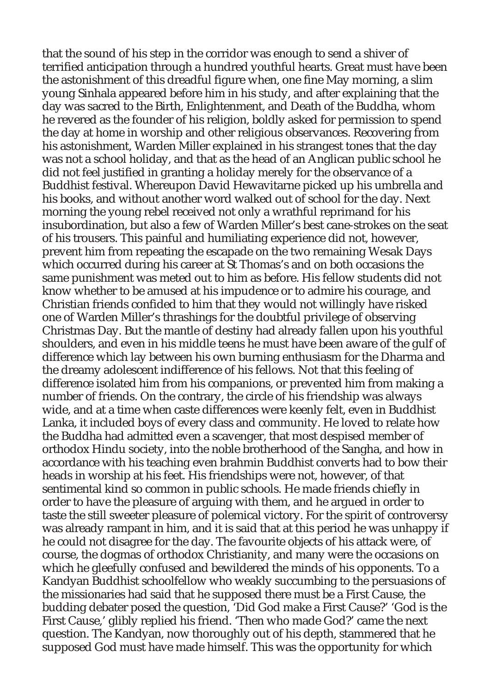that the sound of his step in the corridor was enough to send a shiver of terrified anticipation through a hundred youthful hearts. Great must have been the astonishment of this dreadful figure when, one fine May morning, a slim young Sinhala appeared before him in his study, and after explaining that the day was sacred to the Birth, Enlightenment, and Death of the Buddha, whom he revered as the founder of his religion, boldly asked for permission to spend the day at home in worship and other religious observances. Recovering from his astonishment, Warden Miller explained in his strangest tones that the day was not a school holiday, and that as the head of an Anglican public school he did not feel justified in granting a holiday merely for the observance of a Buddhist festival. Whereupon David Hewavitarne picked up his umbrella and his books, and without another word walked out of school for the day. Next morning the young rebel received not only a wrathful reprimand for his insubordination, but also a few of Warden Miller's best cane-strokes on the seat of his trousers. This painful and humiliating experience did not, however, prevent him from repeating the escapade on the two remaining Wesak Days which occurred during his career at St Thomas's and on both occasions the same punishment was meted out to him as before. His fellow students did not know whether to be amused at his impudence or to admire his courage, and Christian friends confided to him that they would not willingly have risked one of Warden Miller's thrashings for the doubtful privilege of observing Christmas Day. But the mantle of destiny had already fallen upon his youthful shoulders, and even in his middle teens he must have been aware of the gulf of difference which lay between his own burning enthusiasm for the Dharma and the dreamy adolescent indifference of his fellows. Not that this feeling of difference isolated him from his companions, or prevented him from making a number of friends. On the contrary, the circle of his friendship was always wide, and at a time when caste differences were keenly felt, even in Buddhist Lanka, it included boys of every class and community. He loved to relate how the Buddha had admitted even a scavenger, that most despised member of orthodox Hindu society, into the noble brotherhood of the Sangha, and how in accordance with his teaching even brahmin Buddhist converts had to bow their heads in worship at his feet. His friendships were not, however, of that sentimental kind so common in public schools. He made friends chiefly in order to have the pleasure of arguing with them, and he argued in order to taste the still sweeter pleasure of polemical victory. For the spirit of controversy was already rampant in him, and it is said that at this period he was unhappy if he could not disagree for the day. The favourite objects of his attack were, of course, the dogmas of orthodox Christianity, and many were the occasions on which he gleefully confused and bewildered the minds of his opponents. To a Kandyan Buddhist schoolfellow who weakly succumbing to the persuasions of the missionaries had said that he supposed there must be a First Cause, the budding debater posed the question, 'Did God make a First Cause?' 'God is the First Cause,' glibly replied his friend. 'Then who made God?' came the next question. The Kandyan, now thoroughly out of his depth, stammered that he supposed God must have made himself. This was the opportunity for which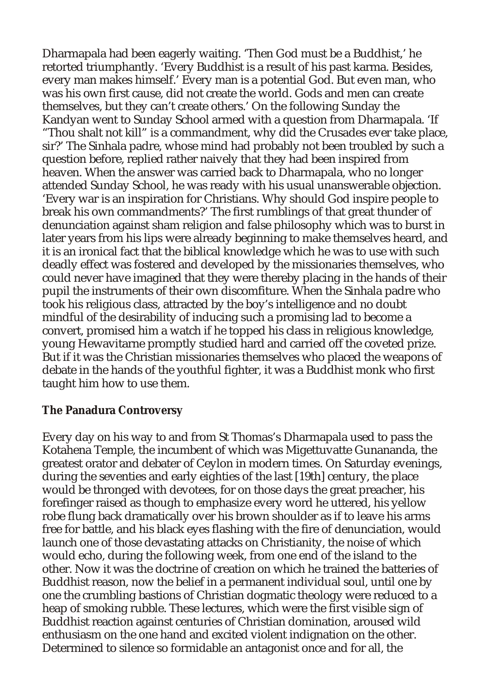Dharmapala had been eagerly waiting. 'Then God must be a Buddhist,' he retorted triumphantly. 'Every Buddhist is a result of his past karma. Besides, every man makes himself.' Every man is a potential God. But even man, who was his own first cause, did not create the world. Gods and men can create themselves, but they can't create others.' On the following Sunday the Kandyan went to Sunday School armed with a question from Dharmapala. 'If "Thou shalt not kill" is a commandment, why did the Crusades ever take place, sir?' The Sinhala padre, whose mind had probably not been troubled by such a question before, replied rather naively that they had been inspired from heaven. When the answer was carried back to Dharmapala, who no longer attended Sunday School, he was ready with his usual unanswerable objection. 'Every war is an inspiration for Christians. Why should God inspire people to break his own commandments?' The first rumblings of that great thunder of denunciation against sham religion and false philosophy which was to burst in later years from his lips were already beginning to make themselves heard, and it is an ironical fact that the biblical knowledge which he was to use with such deadly effect was fostered and developed by the missionaries themselves, who could never have imagined that they were thereby placing in the hands of their pupil the instruments of their own discomfiture. When the Sinhala padre who took his religious class, attracted by the boy's intelligence and no doubt mindful of the desirability of inducing such a promising lad to become a convert, promised him a watch if he topped his class in religious knowledge, young Hewavitarne promptly studied hard and carried off the coveted prize. But if it was the Christian missionaries themselves who placed the weapons of debate in the hands of the youthful fighter, it was a Buddhist monk who first taught him how to use them.

#### **The Panadura Controversy**

Every day on his way to and from St Thomas's Dharmapala used to pass the Kotahena Temple, the incumbent of which was Migettuvatte Gunananda, the greatest orator and debater of Ceylon in modern times. On Saturday evenings, during the seventies and early eighties of the last [19th] century, the place would be thronged with devotees, for on those days the great preacher, his forefinger raised as though to emphasize every word he uttered, his yellow robe flung back dramatically over his brown shoulder as if to leave his arms free for battle, and his black eyes flashing with the fire of denunciation, would launch one of those devastating attacks on Christianity, the noise of which would echo, during the following week, from one end of the island to the other. Now it was the doctrine of creation on which he trained the batteries of Buddhist reason, now the belief in a permanent individual soul, until one by one the crumbling bastions of Christian dogmatic theology were reduced to a heap of smoking rubble. These lectures, which were the first visible sign of Buddhist reaction against centuries of Christian domination, aroused wild enthusiasm on the one hand and excited violent indignation on the other. Determined to silence so formidable an antagonist once and for all, the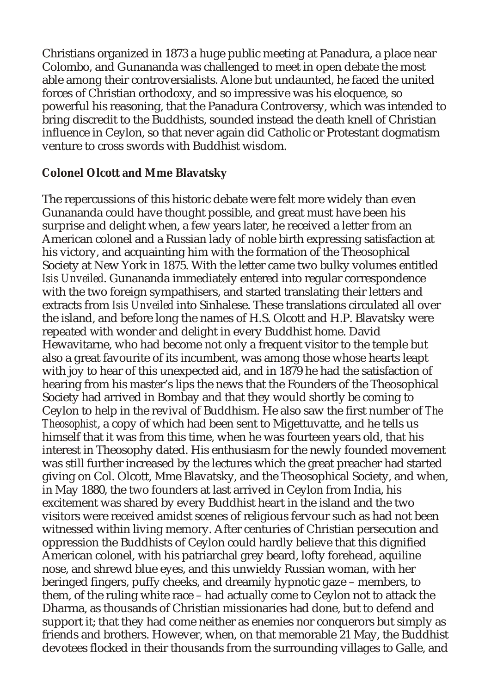Christians organized in 1873 a huge public meeting at Panadura, a place near Colombo, and Gunananda was challenged to meet in open debate the most able among their controversialists. Alone but undaunted, he faced the united forces of Christian orthodoxy, and so impressive was his eloquence, so powerful his reasoning, that the Panadura Controversy, which was intended to bring discredit to the Buddhists, sounded instead the death knell of Christian influence in Ceylon, so that never again did Catholic or Protestant dogmatism venture to cross swords with Buddhist wisdom.

## **Colonel Olcott and Mme Blavatsky**

The repercussions of this historic debate were felt more widely than even Gunananda could have thought possible, and great must have been his surprise and delight when, a few years later, he received a letter from an American colonel and a Russian lady of noble birth expressing satisfaction at his victory, and acquainting him with the formation of the Theosophical Society at New York in 1875. With the letter came two bulky volumes entitled *Isis Unveiled*. Gunananda immediately entered into regular correspondence with the two foreign sympathisers, and started translating their letters and extracts from *Isis Unveiled* into Sinhalese. These translations circulated all over the island, and before long the names of H.S. Olcott and H.P. Blavatsky were repeated with wonder and delight in every Buddhist home. David Hewavitarne, who had become not only a frequent visitor to the temple but also a great favourite of its incumbent, was among those whose hearts leapt with joy to hear of this unexpected aid, and in 1879 he had the satisfaction of hearing from his master's lips the news that the Founders of the Theosophical Society had arrived in Bombay and that they would shortly be coming to Ceylon to help in the revival of Buddhism. He also saw the first number of *The Theosophist*, a copy of which had been sent to Migettuvatte, and he tells us himself that it was from this time, when he was fourteen years old, that his interest in Theosophy dated. His enthusiasm for the newly founded movement was still further increased by the lectures which the great preacher had started giving on Col. Olcott, Mme Blavatsky, and the Theosophical Society, and when, in May 1880, the two founders at last arrived in Ceylon from India, his excitement was shared by every Buddhist heart in the island and the two visitors were received amidst scenes of religious fervour such as had not been witnessed within living memory. After centuries of Christian persecution and oppression the Buddhists of Ceylon could hardly believe that this dignified American colonel, with his patriarchal grey beard, lofty forehead, aquiline nose, and shrewd blue eyes, and this unwieldy Russian woman, with her beringed fingers, puffy cheeks, and dreamily hypnotic gaze – members, to them, of the ruling white race – had actually come to Ceylon not to attack the Dharma, as thousands of Christian missionaries had done, but to defend and support it; that they had come neither as enemies nor conquerors but simply as friends and brothers. However, when, on that memorable 21 May, the Buddhist devotees flocked in their thousands from the surrounding villages to Galle, and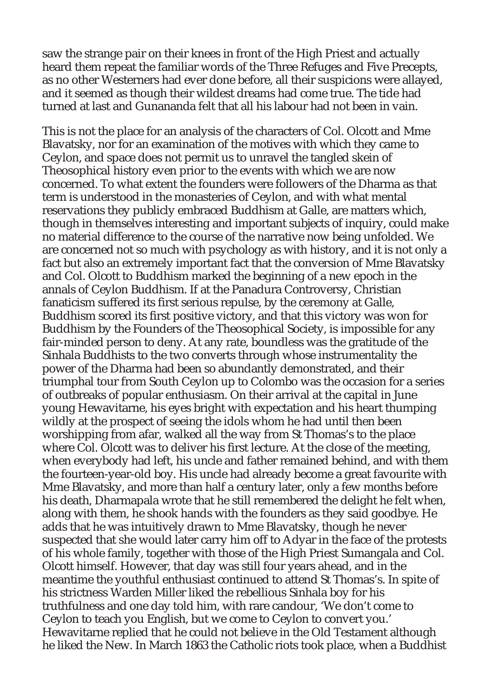saw the strange pair on their knees in front of the High Priest and actually heard them repeat the familiar words of the Three Refuges and Five Precepts, as no other Westerners had ever done before, all their suspicions were allayed, and it seemed as though their wildest dreams had come true. The tide had turned at last and Gunananda felt that all his labour had not been in vain.

This is not the place for an analysis of the characters of Col. Olcott and Mme Blavatsky, nor for an examination of the motives with which they came to Ceylon, and space does not permit us to unravel the tangled skein of Theosophical history even prior to the events with which we are now concerned. To what extent the founders were followers of the Dharma as that term is understood in the monasteries of Ceylon, and with what mental reservations they publicly embraced Buddhism at Galle, are matters which, though in themselves interesting and important subjects of inquiry, could make no material difference to the course of the narrative now being unfolded. We are concerned not so much with psychology as with history, and it is not only a fact but also an extremely important fact that the conversion of Mme Blavatsky and Col. Olcott to Buddhism marked the beginning of a new epoch in the annals of Ceylon Buddhism. If at the Panadura Controversy, Christian fanaticism suffered its first serious repulse, by the ceremony at Galle, Buddhism scored its first positive victory, and that this victory was won for Buddhism by the Founders of the Theosophical Society, is impossible for any fair-minded person to deny. At any rate, boundless was the gratitude of the Sinhala Buddhists to the two converts through whose instrumentality the power of the Dharma had been so abundantly demonstrated, and their triumphal tour from South Ceylon up to Colombo was the occasion for a series of outbreaks of popular enthusiasm. On their arrival at the capital in June young Hewavitarne, his eyes bright with expectation and his heart thumping wildly at the prospect of seeing the idols whom he had until then been worshipping from afar, walked all the way from St Thomas's to the place where Col. Olcott was to deliver his first lecture. At the close of the meeting, when everybody had left, his uncle and father remained behind, and with them the fourteen-year-old boy. His uncle had already become a great favourite with Mme Blavatsky, and more than half a century later, only a few months before his death, Dharmapala wrote that he still remembered the delight he felt when, along with them, he shook hands with the founders as they said goodbye. He adds that he was intuitively drawn to Mme Blavatsky, though he never suspected that she would later carry him off to Adyar in the face of the protests of his whole family, together with those of the High Priest Sumangala and Col. Olcott himself. However, that day was still four years ahead, and in the meantime the youthful enthusiast continued to attend St Thomas's. In spite of his strictness Warden Miller liked the rebellious Sinhala boy for his truthfulness and one day told him, with rare candour, 'We don't come to Ceylon to teach you English, but we come to Ceylon to convert you.' Hewavitarne replied that he could not believe in the Old Testament although he liked the New. In March 1863 the Catholic riots took place, when a Buddhist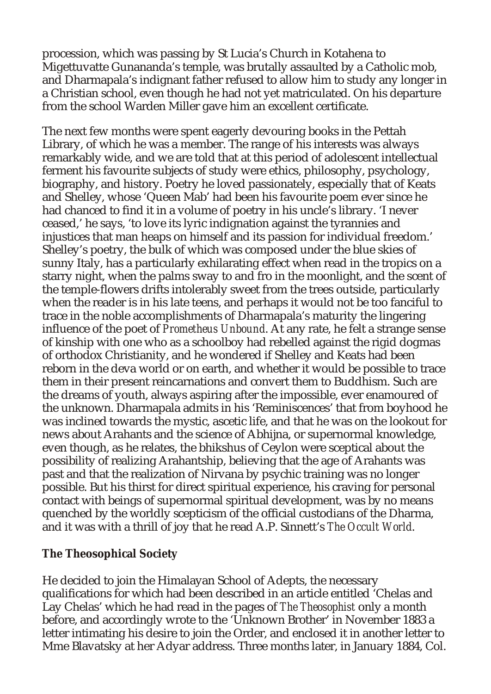procession, which was passing by St Lucia's Church in Kotahena to Migettuvatte Gunananda's temple, was brutally assaulted by a Catholic mob, and Dharmapala's indignant father refused to allow him to study any longer in a Christian school, even though he had not yet matriculated. On his departure from the school Warden Miller gave him an excellent certificate.

The next few months were spent eagerly devouring books in the Pettah Library, of which he was a member. The range of his interests was always remarkably wide, and we are told that at this period of adolescent intellectual ferment his favourite subjects of study were ethics, philosophy, psychology, biography, and history. Poetry he loved passionately, especially that of Keats and Shelley, whose 'Queen Mab' had been his favourite poem ever since he had chanced to find it in a volume of poetry in his uncle's library. 'I never ceased,' he says, 'to love its lyric indignation against the tyrannies and injustices that man heaps on himself and its passion for individual freedom.' Shelley's poetry, the bulk of which was composed under the blue skies of sunny Italy, has a particularly exhilarating effect when read in the tropics on a starry night, when the palms sway to and fro in the moonlight, and the scent of the temple-flowers drifts intolerably sweet from the trees outside, particularly when the reader is in his late teens, and perhaps it would not be too fanciful to trace in the noble accomplishments of Dharmapala's maturity the lingering influence of the poet of *Prometheus Unbound*. At any rate, he felt a strange sense of kinship with one who as a schoolboy had rebelled against the rigid dogmas of orthodox Christianity, and he wondered if Shelley and Keats had been reborn in the deva world or on earth, and whether it would be possible to trace them in their present reincarnations and convert them to Buddhism. Such are the dreams of youth, always aspiring after the impossible, ever enamoured of the unknown. Dharmapala admits in his 'Reminiscences' that from boyhood he was inclined towards the mystic, ascetic life, and that he was on the lookout for news about Arahants and the science of Abhijna, or supernormal knowledge, even though, as he relates, the bhikshus of Ceylon were sceptical about the possibility of realizing Arahantship, believing that the age of Arahants was past and that the realization of Nirvana by psychic training was no longer possible. But his thirst for direct spiritual experience, his craving for personal contact with beings of supernormal spiritual development, was by no means quenched by the worldly scepticism of the official custodians of the Dharma, and it was with a thrill of joy that he read A.P. Sinnett's *The Occult World*.

**The Theosophical Society**

He decided to join the Himalayan School of Adepts, the necessary qualifications for which had been described in an article entitled 'Chelas and Lay Chelas' which he had read in the pages of *The Theosophist* only a month before, and accordingly wrote to the 'Unknown Brother' in November 1883 a letter intimating his desire to join the Order, and enclosed it in another letter to Mme Blavatsky at her Adyar address. Three months later, in January 1884, Col.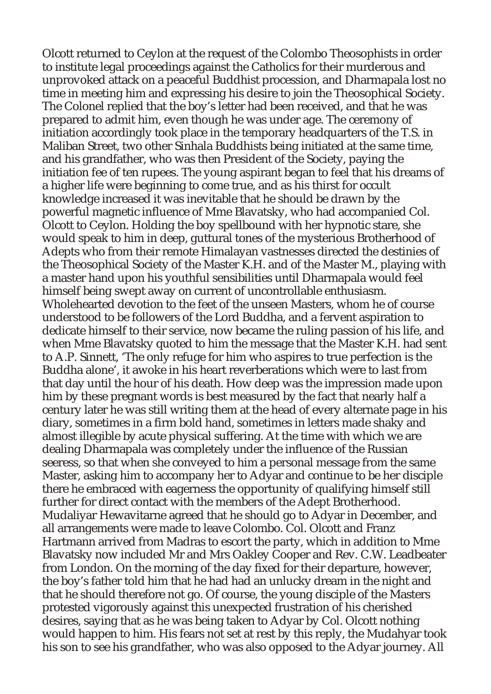Olcott returned to Ceylon at the request of the Colombo Theosophists in order to institute legal proceedings against the Catholics for their murderous and unprovoked attack on a peaceful Buddhist procession, and Dharmapala lost no time in meeting him and expressing his desire to join the Theosophical Society. The Colonel replied that the boy's letter had been received, and that he was prepared to admit him, even though he was under age. The ceremony of initiation accordingly took place in the temporary headquarters of the T.S. in Maliban Street, two other Sinhala Buddhists being initiated at the same time, and his grandfather, who was then President of the Society, paying the initiation fee of ten rupees. The young aspirant began to feel that his dreams of a higher life were beginning to come true, and as his thirst for occult knowledge increased it was inevitable that he should be drawn by the powerful magnetic influence of Mme Blavatsky, who had accompanied Col. Olcott to Ceylon. Holding the boy spellbound with her hypnotic stare, she would speak to him in deep, guttural tones of the mysterious Brotherhood of Adepts who from their remote Himalayan vastnesses directed the destinies of the Theosophical Society of the Master K.H. and of the Master M., playing with a master hand upon his youthful sensibilities until Dharmapala would feel himself being swept away on current of uncontrollable enthusiasm. Wholehearted devotion to the feet of the unseen Masters, whom he of course understood to be followers of the Lord Buddha, and a fervent aspiration to dedicate himself to their service, now became the ruling passion of his life, and when Mme Blavatsky quoted to him the message that the Master K.H. had sent to A.P. Sinnett, 'The only refuge for him who aspires to true perfection is the Buddha alone', it awoke in his heart reverberations which were to last from that day until the hour of his death. How deep was the impression made upon him by these pregnant words is best measured by the fact that nearly half a century later he was still writing them at the head of every alternate page in his diary, sometimes in a firm bold hand, sometimes in letters made shaky and almost illegible by acute physical suffering. At the time with which we are dealing Dharmapala was completely under the influence of the Russian seeress, so that when she conveyed to him a personal message from the same Master, asking him to accompany her to Adyar and continue to be her disciple there he embraced with eagerness the opportunity of qualifying himself still further for direct contact with the members of the Adept Brotherhood. Mudaliyar Hewavitarne agreed that he should go to Adyar in December, and all arrangements were made to leave Colombo. Col. Olcott and Franz Hartmann arrived from Madras to escort the party, which in addition to Mme Blavatsky now included Mr and Mrs Oakley Cooper and Rev. C.W. Leadbeater from London. On the morning of the day fixed for their departure, however, the boy's father told him that he had had an unlucky dream in the night and that he should therefore not go. Of course, the young disciple of the Masters protested vigorously against this unexpected frustration of his cherished desires, saying that as he was being taken to Adyar by Col. Olcott nothing would happen to him. His fears not set at rest by this reply, the Mudahyar took his son to see his grandfather, who was also opposed to the Adyar journey. All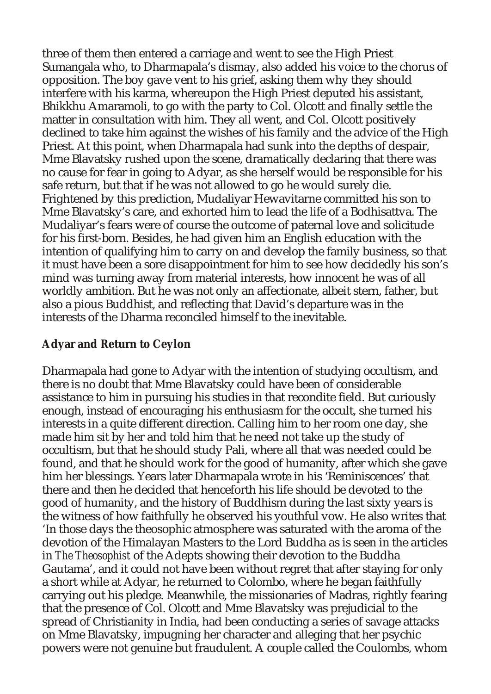three of them then entered a carriage and went to see the High Priest Sumangala who, to Dharmapala's dismay, also added his voice to the chorus of opposition. The boy gave vent to his grief, asking them why they should interfere with his karma, whereupon the High Priest deputed his assistant, Bhikkhu Amaramoli, to go with the party to Col. Olcott and finally settle the matter in consultation with him. They all went, and Col. Olcott positively declined to take him against the wishes of his family and the advice of the High Priest. At this point, when Dharmapala had sunk into the depths of despair, Mme Blavatsky rushed upon the scene, dramatically declaring that there was no cause for fear in going to Adyar, as she herself would be responsible for his safe return, but that if he was not allowed to go he would surely die. Frightened by this prediction, Mudaliyar Hewavitarne committed his son to Mme Blavatsky's care, and exhorted him to lead the life of a Bodhisattva. The Mudaliyar's fears were of course the outcome of paternal love and solicitude for his first-born. Besides, he had given him an English education with the intention of qualifying him to carry on and develop the family business, so that it must have been a sore disappointment for him to see how decidedly his son's mind was turning away from material interests, how innocent he was of all worldly ambition. But he was not only an affectionate, albeit stern, father, but also a pious Buddhist, and reflecting that David's departure was in the interests of the Dharma reconciled himself to the inevitable.

## **Adyar and Return to Ceylon**

Dharmapala had gone to Adyar with the intention of studying occultism, and there is no doubt that Mme Blavatsky could have been of considerable assistance to him in pursuing his studies in that recondite field. But curiously enough, instead of encouraging his enthusiasm for the occult, she turned his interests in a quite different direction. Calling him to her room one day, she made him sit by her and told him that he need not take up the study of occultism, but that he should study Pali, where all that was needed could be found, and that he should work for the good of humanity, after which she gave him her blessings. Years later Dharmapala wrote in his 'Reminiscences' that there and then he decided that henceforth his life should be devoted to the good of humanity, and the history of Buddhism during the last sixty years is the witness of how faithfully he observed his youthful vow. He also writes that 'In those days the theosophic atmosphere was saturated with the aroma of the devotion of the Himalayan Masters to the Lord Buddha as is seen in the articles in *The Theosophist* of the Adepts showing their devotion to the Buddha Gautama', and it could not have been without regret that after staying for only a short while at Adyar, he returned to Colombo, where he began faithfully carrying out his pledge. Meanwhile, the missionaries of Madras, rightly fearing that the presence of Col. Olcott and Mme Blavatsky was prejudicial to the spread of Christianity in India, had been conducting a series of savage attacks on Mme Blavatsky, impugning her character and alleging that her psychic powers were not genuine but fraudulent. A couple called the Coulombs, whom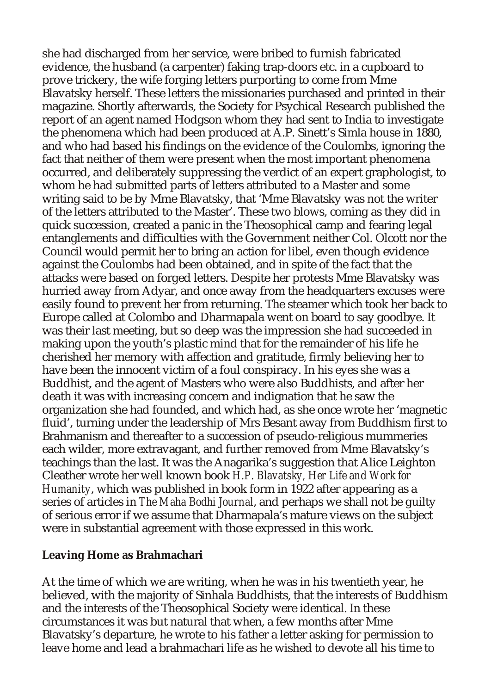she had discharged from her service, were bribed to furnish fabricated evidence, the husband (a carpenter) faking trap-doors etc. in a cupboard to prove trickery, the wife forging letters purporting to come from Mme Blavatsky herself. These letters the missionaries purchased and printed in their magazine. Shortly afterwards, the Society for Psychical Research published the report of an agent named Hodgson whom they had sent to India to investigate the phenomena which had been produced at A.P. Sinett's Simla house in 1880, and who had based his findings on the evidence of the Coulombs, ignoring the fact that neither of them were present when the most important phenomena occurred, and deliberately suppressing the verdict of an expert graphologist, to whom he had submitted parts of letters attributed to a Master and some writing said to be by Mme Blavatsky, that 'Mme Blavatsky was not the writer of the letters attributed to the Master'. These two blows, coming as they did in quick succession, created a panic in the Theosophical camp and fearing legal entanglements and difficulties with the Government neither Col. Olcott nor the Council would permit her to bring an action for libel, even though evidence against the Coulombs had been obtained, and in spite of the fact that the attacks were based on forged letters. Despite her protests Mme Blavatsky was hurried away from Adyar, and once away from the headquarters excuses were easily found to prevent her from returning. The steamer which took her back to Europe called at Colombo and Dharmapala went on board to say goodbye. It was their last meeting, but so deep was the impression she had succeeded in making upon the youth's plastic mind that for the remainder of his life he cherished her memory with affection and gratitude, firmly believing her to have been the innocent victim of a foul conspiracy. In his eyes she was a Buddhist, and the agent of Masters who were also Buddhists, and after her death it was with increasing concern and indignation that he saw the organization she had founded, and which had, as she once wrote her 'magnetic fluid', turning under the leadership of Mrs Besant away from Buddhism first to Brahmanism and thereafter to a succession of pseudo-religious mummeries each wilder, more extravagant, and further removed from Mme Blavatsky's teachings than the last. It was the Anagarika's suggestion that Alice Leighton Cleather wrote her well known book *H.P. Blavatsky, Her Life and Work for Humanity*, which was published in book form in 1922 after appearing as a series of articles in *The Maha Bodhi Journal*, and perhaps we shall not be guilty of serious error if we assume that Dharmapala's mature views on the subject were in substantial agreement with those expressed in this work.

#### **Leaving Home as Brahmachari**

At the time of which we are writing, when he was in his twentieth year, he believed, with the majority of Sinhala Buddhists, that the interests of Buddhism and the interests of the Theosophical Society were identical. In these circumstances it was but natural that when, a few months after Mme Blavatsky's departure, he wrote to his father a letter asking for permission to leave home and lead a brahmachari life as he wished to devote all his time to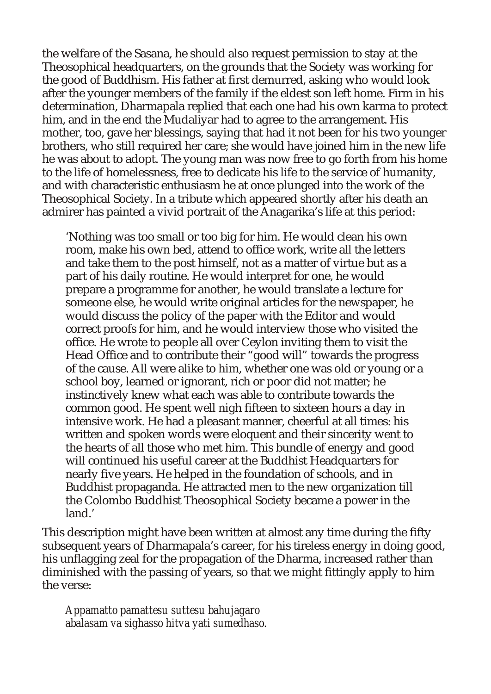the welfare of the Sasana, he should also request permission to stay at the Theosophical headquarters, on the grounds that the Society was working for the good of Buddhism. His father at first demurred, asking who would look after the younger members of the family if the eldest son left home. Firm in his determination, Dharmapala replied that each one had his own karma to protect him, and in the end the Mudaliyar had to agree to the arrangement. His mother, too, gave her blessings, saying that had it not been for his two younger brothers, who still required her care; she would have joined him in the new life he was about to adopt. The young man was now free to go forth from his home to the life of homelessness, free to dedicate his life to the service of humanity, and with characteristic enthusiasm he at once plunged into the work of the Theosophical Society. In a tribute which appeared shortly after his death an admirer has painted a vivid portrait of the Anagarika's life at this period:

'Nothing was too small or too big for him. He would clean his own room, make his own bed, attend to office work, write all the letters and take them to the post himself, not as a matter of virtue but as a part of his daily routine. He would interpret for one, he would prepare a programme for another, he would translate a lecture for someone else, he would write original articles for the newspaper, he would discuss the policy of the paper with the Editor and would correct proofs for him, and he would interview those who visited the office. He wrote to people all over Ceylon inviting them to visit the Head Office and to contribute their "good will" towards the progress of the cause. All were alike to him, whether one was old or young or a school boy, learned or ignorant, rich or poor did not matter; he instinctively knew what each was able to contribute towards the common good. He spent well nigh fifteen to sixteen hours a day in intensive work. He had a pleasant manner, cheerful at all times: his written and spoken words were eloquent and their sincerity went to the hearts of all those who met him. This bundle of energy and good will continued his useful career at the Buddhist Headquarters for nearly five years. He helped in the foundation of schools, and in Buddhist propaganda. He attracted men to the new organization till the Colombo Buddhist Theosophical Society became a power in the land.'

This description might have been written at almost any time during the fifty subsequent years of Dharmapala's career, for his tireless energy in doing good, his unflagging zeal for the propagation of the Dharma, increased rather than diminished with the passing of years, so that we might fittingly apply to him the verse:

*Appamatto pamattesu suttesu bahujagaro abalasam va sighasso hitva yati sumedhaso.*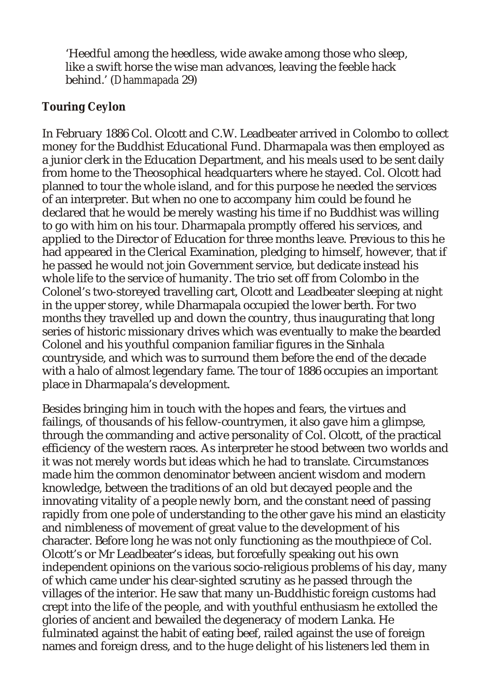'Heedful among the heedless, wide awake among those who sleep, like a swift horse the wise man advances, leaving the feeble hack behind.' (*Dhammapada* 29)

## **Touring Ceylon**

In February 1886 Col. Olcott and C.W. Leadbeater arrived in Colombo to collect money for the Buddhist Educational Fund. Dharmapala was then employed as a junior clerk in the Education Department, and his meals used to be sent daily from home to the Theosophical headquarters where he stayed. Col. Olcott had planned to tour the whole island, and for this purpose he needed the services of an interpreter. But when no one to accompany him could be found he declared that he would be merely wasting his time if no Buddhist was willing to go with him on his tour. Dharmapala promptly offered his services, and applied to the Director of Education for three months leave. Previous to this he had appeared in the Clerical Examination, pledging to himself, however, that if he passed he would not join Government service, but dedicate instead his whole life to the service of humanity. The trio set off from Colombo in the Colonel's two-storeyed travelling cart, Olcott and Leadbeater sleeping at night in the upper storey, while Dharmapala occupied the lower berth. For two months they travelled up and down the country, thus inaugurating that long series of historic missionary drives which was eventually to make the bearded Colonel and his youthful companion familiar figures in the Sinhala countryside, and which was to surround them before the end of the decade with a halo of almost legendary fame. The tour of 1886 occupies an important place in Dharmapala's development.

Besides bringing him in touch with the hopes and fears, the virtues and failings, of thousands of his fellow-countrymen, it also gave him a glimpse, through the commanding and active personality of Col. Olcott, of the practical efficiency of the western races. As interpreter he stood between two worlds and it was not merely words but ideas which he had to translate. Circumstances made him the common denominator between ancient wisdom and modern knowledge, between the traditions of an old but decayed people and the innovating vitality of a people newly born, and the constant need of passing rapidly from one pole of understanding to the other gave his mind an elasticity and nimbleness of movement of great value to the development of his character. Before long he was not only functioning as the mouthpiece of Col. Olcott's or Mr Leadbeater's ideas, but forcefully speaking out his own independent opinions on the various socio-religious problems of his day, many of which came under his clear-sighted scrutiny as he passed through the villages of the interior. He saw that many un-Buddhistic foreign customs had crept into the life of the people, and with youthful enthusiasm he extolled the glories of ancient and bewailed the degeneracy of modern Lanka. He fulminated against the habit of eating beef, railed against the use of foreign names and foreign dress, and to the huge delight of his listeners led them in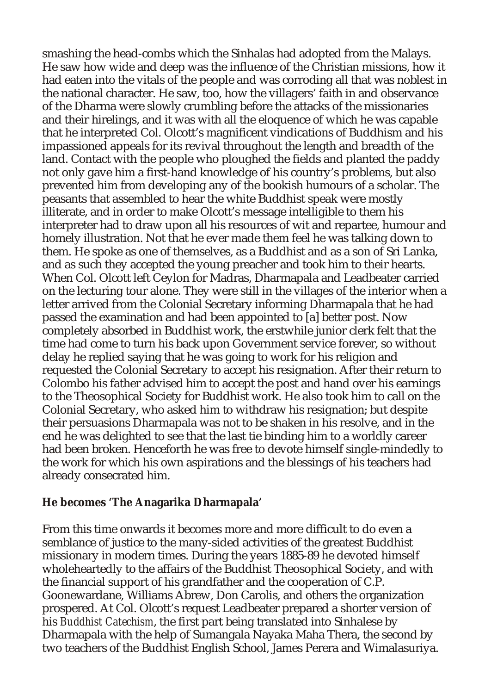smashing the head-combs which the Sinhalas had adopted from the Malays. He saw how wide and deep was the influence of the Christian missions, how it had eaten into the vitals of the people and was corroding all that was noblest in the national character. He saw, too, how the villagers' faith in and observance of the Dharma were slowly crumbling before the attacks of the missionaries and their hirelings, and it was with all the eloquence of which he was capable that he interpreted Col. Olcott's magnificent vindications of Buddhism and his impassioned appeals for its revival throughout the length and breadth of the land. Contact with the people who ploughed the fields and planted the paddy not only gave him a first-hand knowledge of his country's problems, but also prevented him from developing any of the bookish humours of a scholar. The peasants that assembled to hear the white Buddhist speak were mostly illiterate, and in order to make Olcott's message intelligible to them his interpreter had to draw upon all his resources of wit and repartee, humour and homely illustration. Not that he ever made them feel he was talking down to them. He spoke as one of themselves, as a Buddhist and as a son of Sri Lanka, and as such they accepted the young preacher and took him to their hearts. When Col. Olcott left Ceylon for Madras, Dharmapala and Leadbeater carried on the lecturing tour alone. They were still in the villages of the interior when a letter arrived from the Colonial Secretary informing Dharmapala that he had passed the examination and had been appointed to [a] better post. Now completely absorbed in Buddhist work, the erstwhile junior clerk felt that the time had come to turn his back upon Government service forever, so without delay he replied saying that he was going to work for his religion and requested the Colonial Secretary to accept his resignation. After their return to Colombo his father advised him to accept the post and hand over his earnings to the Theosophical Society for Buddhist work. He also took him to call on the Colonial Secretary, who asked him to withdraw his resignation; but despite their persuasions Dharmapala was not to be shaken in his resolve, and in the end he was delighted to see that the last tie binding him to a worldly career had been broken. Henceforth he was free to devote himself single-mindedly to the work for which his own aspirations and the blessings of his teachers had already consecrated him.

**He becomes 'The Anagarika Dharmapala'**

From this time onwards it becomes more and more difficult to do even a semblance of justice to the many-sided activities of the greatest Buddhist missionary in modern times. During the years 1885-89 he devoted himself wholeheartedly to the affairs of the Buddhist Theosophical Society, and with the financial support of his grandfather and the cooperation of C.P. Goonewardane, Williams Abrew, Don Carolis, and others the organization prospered. At Col. Olcott's request Leadbeater prepared a shorter version of his *Buddhist Catechism*, the first part being translated into Sinhalese by Dharmapala with the help of Sumangala Nayaka Maha Thera, the second by two teachers of the Buddhist English School, James Perera and Wimalasuriya.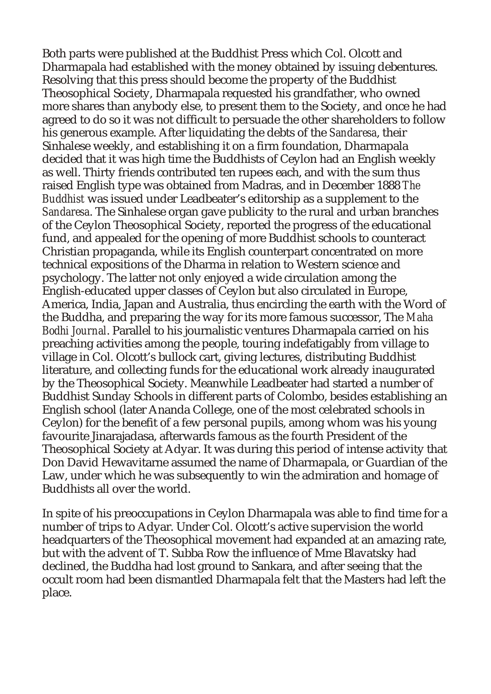Both parts were published at the Buddhist Press which Col. Olcott and Dharmapala had established with the money obtained by issuing debentures. Resolving that this press should become the property of the Buddhist Theosophical Society, Dharmapala requested his grandfather, who owned more shares than anybody else, to present them to the Society, and once he had agreed to do so it was not difficult to persuade the other shareholders to follow his generous example. After liquidating the debts of the *Sandaresa*, their Sinhalese weekly, and establishing it on a firm foundation, Dharmapala decided that it was high time the Buddhists of Ceylon had an English weekly as well. Thirty friends contributed ten rupees each, and with the sum thus raised English type was obtained from Madras, and in December 1888 *The Buddhist* was issued under Leadbeater's editorship as a supplement to the *Sandaresa*. The Sinhalese organ gave publicity to the rural and urban branches of the Ceylon Theosophical Society, reported the progress of the educational fund, and appealed for the opening of more Buddhist schools to counteract Christian propaganda, while its English counterpart concentrated on more technical expositions of the Dharma in relation to Western science and psychology. The latter not only enjoyed a wide circulation among the English-educated upper classes of Ceylon but also circulated in Europe, America, India, Japan and Australia, thus encircling the earth with the Word of the Buddha, and preparing the way for its more famous successor, The *Maha Bodhi Journal*. Parallel to his journalistic ventures Dharmapala carried on his preaching activities among the people, touring indefatigably from village to village in Col. Olcott's bullock cart, giving lectures, distributing Buddhist literature, and collecting funds for the educational work already inaugurated by the Theosophical Society. Meanwhile Leadbeater had started a number of Buddhist Sunday Schools in different parts of Colombo, besides establishing an English school (later Ananda College, one of the most celebrated schools in Ceylon) for the benefit of a few personal pupils, among whom was his young favourite Jinarajadasa, afterwards famous as the fourth President of the Theosophical Society at Adyar. It was during this period of intense activity that Don David Hewavitarne assumed the name of Dharmapala, or Guardian of the Law, under which he was subsequently to win the admiration and homage of Buddhists all over the world.

In spite of his preoccupations in Ceylon Dharmapala was able to find time for a number of trips to Adyar. Under Col. Olcott's active supervision the world headquarters of the Theosophical movement had expanded at an amazing rate, but with the advent of T. Subba Row the influence of Mme Blavatsky had declined, the Buddha had lost ground to Sankara, and after seeing that the occult room had been dismantled Dharmapala felt that the Masters had left the place.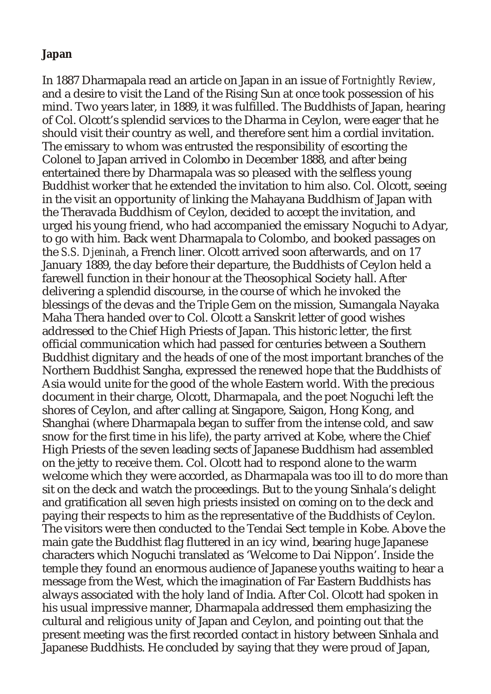#### **Japan**

In 1887 Dharmapala read an article on Japan in an issue of *Fortnightly Review*, and a desire to visit the Land of the Rising Sun at once took possession of his mind. Two years later, in 1889, it was fulfilled. The Buddhists of Japan, hearing of Col. Olcott's splendid services to the Dharma in Ceylon, were eager that he should visit their country as well, and therefore sent him a cordial invitation. The emissary to whom was entrusted the responsibility of escorting the Colonel to Japan arrived in Colombo in December 1888, and after being entertained there by Dharmapala was so pleased with the selfless young Buddhist worker that he extended the invitation to him also. Col. Olcott, seeing in the visit an opportunity of linking the Mahayana Buddhism of Japan with the Theravada Buddhism of Ceylon, decided to accept the invitation, and urged his young friend, who had accompanied the emissary Noguchi to Adyar, to go with him. Back went Dharmapala to Colombo, and booked passages on the *S.S. Djeninah*, a French liner. Olcott arrived soon afterwards, and on 17 January 1889, the day before their departure, the Buddhists of Ceylon held a farewell function in their honour at the Theosophical Society hall. After delivering a splendid discourse, in the course of which he invoked the blessings of the devas and the Triple Gem on the mission, Sumangala Nayaka Maha Thera handed over to Col. Olcott a Sanskrit letter of good wishes addressed to the Chief High Priests of Japan. This historic letter, the first official communication which had passed for centuries between a Southern Buddhist dignitary and the heads of one of the most important branches of the Northern Buddhist Sangha, expressed the renewed hope that the Buddhists of Asia would unite for the good of the whole Eastern world. With the precious document in their charge, Olcott, Dharmapala, and the poet Noguchi left the shores of Ceylon, and after calling at Singapore, Saigon, Hong Kong, and Shanghai (where Dharmapala began to suffer from the intense cold, and saw snow for the first time in his life), the party arrived at Kobe, where the Chief High Priests of the seven leading sects of Japanese Buddhism had assembled on the jetty to receive them. Col. Olcott had to respond alone to the warm welcome which they were accorded, as Dharmapala was too ill to do more than sit on the deck and watch the proceedings. But to the young Sinhala's delight and gratification all seven high priests insisted on coming on to the deck and paying their respects to him as the representative of the Buddhists of Ceylon. The visitors were then conducted to the Tendai Sect temple in Kobe. Above the main gate the Buddhist flag fluttered in an icy wind, bearing huge Japanese characters which Noguchi translated as 'Welcome to Dai Nippon'. Inside the temple they found an enormous audience of Japanese youths waiting to hear a message from the West, which the imagination of Far Eastern Buddhists has always associated with the holy land of India. After Col. Olcott had spoken in his usual impressive manner, Dharmapala addressed them emphasizing the cultural and religious unity of Japan and Ceylon, and pointing out that the present meeting was the first recorded contact in history between Sinhala and Japanese Buddhists. He concluded by saying that they were proud of Japan,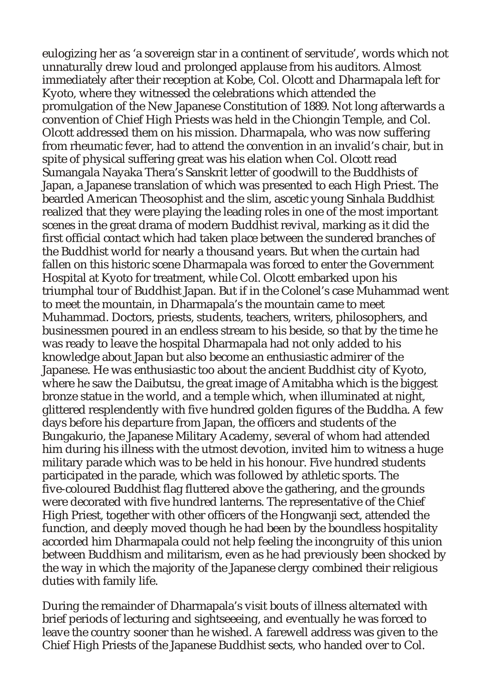eulogizing her as 'a sovereign star in a continent of servitude', words which not unnaturally drew loud and prolonged applause from his auditors. Almost immediately after their reception at Kobe, Col. Olcott and Dharmapala left for Kyoto, where they witnessed the celebrations which attended the promulgation of the New Japanese Constitution of 1889. Not long afterwards a convention of Chief High Priests was held in the Chiongin Temple, and Col. Olcott addressed them on his mission. Dharmapala, who was now suffering from rheumatic fever, had to attend the convention in an invalid's chair, but in spite of physical suffering great was his elation when Col. Olcott read Sumangala Nayaka Thera's Sanskrit letter of goodwill to the Buddhists of Japan, a Japanese translation of which was presented to each High Priest. The bearded American Theosophist and the slim, ascetic young Sinhala Buddhist realized that they were playing the leading roles in one of the most important scenes in the great drama of modern Buddhist revival, marking as it did the first official contact which had taken place between the sundered branches of the Buddhist world for nearly a thousand years. But when the curtain had fallen on this historic scene Dharmapala was forced to enter the Government Hospital at Kyoto for treatment, while Col. Olcott embarked upon his triumphal tour of Buddhist Japan. But if in the Colonel's case Muhammad went to meet the mountain, in Dharmapala's the mountain came to meet Muhammad. Doctors, priests, students, teachers, writers, philosophers, and businessmen poured in an endless stream to his beside, so that by the time he was ready to leave the hospital Dharmapala had not only added to his knowledge about Japan but also become an enthusiastic admirer of the Japanese. He was enthusiastic too about the ancient Buddhist city of Kyoto, where he saw the Daibutsu, the great image of Amitabha which is the biggest bronze statue in the world, and a temple which, when illuminated at night, glittered resplendently with five hundred golden figures of the Buddha. A few days before his departure from Japan, the officers and students of the Bungakurio, the Japanese Military Academy, several of whom had attended him during his illness with the utmost devotion, invited him to witness a huge military parade which was to be held in his honour. Five hundred students participated in the parade, which was followed by athletic sports. The five-coloured Buddhist flag fluttered above the gathering, and the grounds were decorated with five hundred lanterns. The representative of the Chief High Priest, together with other officers of the Hongwanji sect, attended the function, and deeply moved though he had been by the boundless hospitality accorded him Dharmapala could not help feeling the incongruity of this union between Buddhism and militarism, even as he had previously been shocked by the way in which the majority of the Japanese clergy combined their religious duties with family life.

During the remainder of Dharmapala's visit bouts of illness alternated with brief periods of lecturing and sightseeeing, and eventually he was forced to leave the country sooner than he wished. A farewell address was given to the Chief High Priests of the Japanese Buddhist sects, who handed over to Col.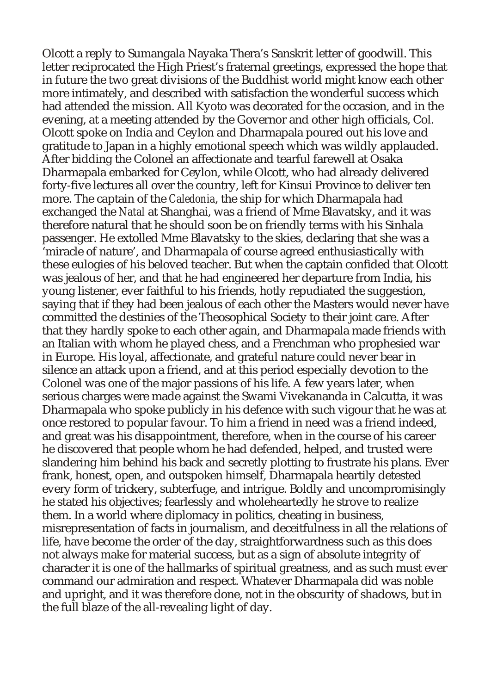Olcott a reply to Sumangala Nayaka Thera's Sanskrit letter of goodwill. This letter reciprocated the High Priest's fraternal greetings, expressed the hope that in future the two great divisions of the Buddhist world might know each other more intimately, and described with satisfaction the wonderful success which had attended the mission. All Kyoto was decorated for the occasion, and in the evening, at a meeting attended by the Governor and other high officials, Col. Olcott spoke on India and Ceylon and Dharmapala poured out his love and gratitude to Japan in a highly emotional speech which was wildly applauded. After bidding the Colonel an affectionate and tearful farewell at Osaka Dharmapala embarked for Ceylon, while Olcott, who had already delivered forty-five lectures all over the country, left for Kinsui Province to deliver ten more. The captain of the *Caledonia*, the ship for which Dharmapala had exchanged the *Natal* at Shanghai, was a friend of Mme Blavatsky, and it was therefore natural that he should soon be on friendly terms with his Sinhala passenger. He extolled Mme Blavatsky to the skies, declaring that she was a 'miracle of nature', and Dharmapala of course agreed enthusiastically with these eulogies of his beloved teacher. But when the captain confided that Olcott was jealous of her, and that he had engineered her departure from India, his young listener, ever faithful to his friends, hotly repudiated the suggestion, saying that if they had been jealous of each other the Masters would never have committed the destinies of the Theosophical Society to their joint care. After that they hardly spoke to each other again, and Dharmapala made friends with an Italian with whom he played chess, and a Frenchman who prophesied war in Europe. His loyal, affectionate, and grateful nature could never bear in silence an attack upon a friend, and at this period especially devotion to the Colonel was one of the major passions of his life. A few years later, when serious charges were made against the Swami Vivekananda in Calcutta, it was Dharmapala who spoke publicly in his defence with such vigour that he was at once restored to popular favour. To him a friend in need was a friend indeed, and great was his disappointment, therefore, when in the course of his career he discovered that people whom he had defended, helped, and trusted were slandering him behind his back and secretly plotting to frustrate his plans. Ever frank, honest, open, and outspoken himself, Dharmapala heartily detested every form of trickery, subterfuge, and intrigue. Boldly and uncompromisingly he stated his objectives; fearlessly and wholeheartedly he strove to realize them. In a world where diplomacy in politics, cheating in business, misrepresentation of facts in journalism, and deceitfulness in all the relations of life, have become the order of the day, straightforwardness such as this does not always make for material success, but as a sign of absolute integrity of character it is one of the hallmarks of spiritual greatness, and as such must ever command our admiration and respect. Whatever Dharmapala did was noble and upright, and it was therefore done, not in the obscurity of shadows, but in the full blaze of the all-revealing light of day.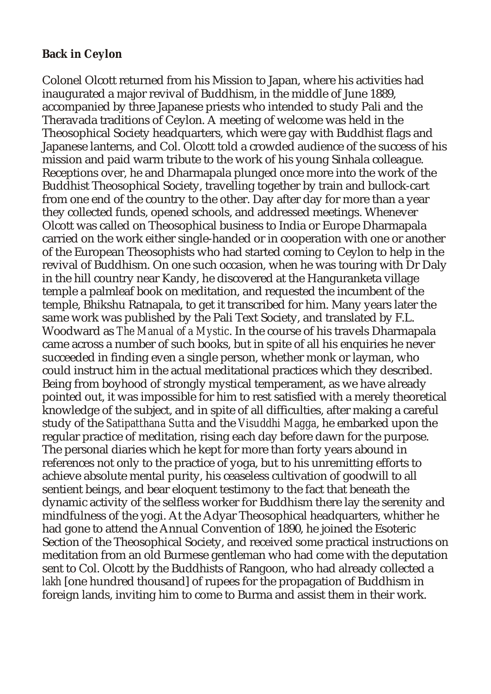## **Back in Ceylon**

Colonel Olcott returned from his Mission to Japan, where his activities had inaugurated a major revival of Buddhism, in the middle of June 1889, accompanied by three Japanese priests who intended to study Pali and the Theravada traditions of Ceylon. A meeting of welcome was held in the Theosophical Society headquarters, which were gay with Buddhist flags and Japanese lanterns, and Col. Olcott told a crowded audience of the success of his mission and paid warm tribute to the work of his young Sinhala colleague. Receptions over, he and Dharmapala plunged once more into the work of the Buddhist Theosophical Society, travelling together by train and bullock-cart from one end of the country to the other. Day after day for more than a year they collected funds, opened schools, and addressed meetings. Whenever Olcott was called on Theosophical business to India or Europe Dharmapala carried on the work either single-handed or in cooperation with one or another of the European Theosophists who had started coming to Ceylon to help in the revival of Buddhism. On one such occasion, when he was touring with Dr Daly in the hill country near Kandy, he discovered at the Hanguranketa village temple a palmleaf book on meditation, and requested the incumbent of the temple, Bhikshu Ratnapala, to get it transcribed for him. Many years later the same work was published by the Pali Text Society, and translated by F.L. Woodward as *The Manual of a Mystic*. In the course of his travels Dharmapala came across a number of such books, but in spite of all his enquiries he never succeeded in finding even a single person, whether monk or layman, who could instruct him in the actual meditational practices which they described. Being from boyhood of strongly mystical temperament, as we have already pointed out, it was impossible for him to rest satisfied with a merely theoretical knowledge of the subject, and in spite of all difficulties, after making a careful study of the *Satipatthana Sutta* and the *Visuddhi Magga*, he embarked upon the regular practice of meditation, rising each day before dawn for the purpose. The personal diaries which he kept for more than forty years abound in references not only to the practice of yoga, but to his unremitting efforts to achieve absolute mental purity, his ceaseless cultivation of goodwill to all sentient beings, and bear eloquent testimony to the fact that beneath the dynamic activity of the selfless worker for Buddhism there lay the serenity and mindfulness of the yogi. At the Adyar Theosophical headquarters, whither he had gone to attend the Annual Convention of 1890, he joined the Esoteric Section of the Theosophical Society, and received some practical instructions on meditation from an old Burmese gentleman who had come with the deputation sent to Col. Olcott by the Buddhists of Rangoon, who had already collected a *lakh* [one hundred thousand] of rupees for the propagation of Buddhism in foreign lands, inviting him to come to Burma and assist them in their work.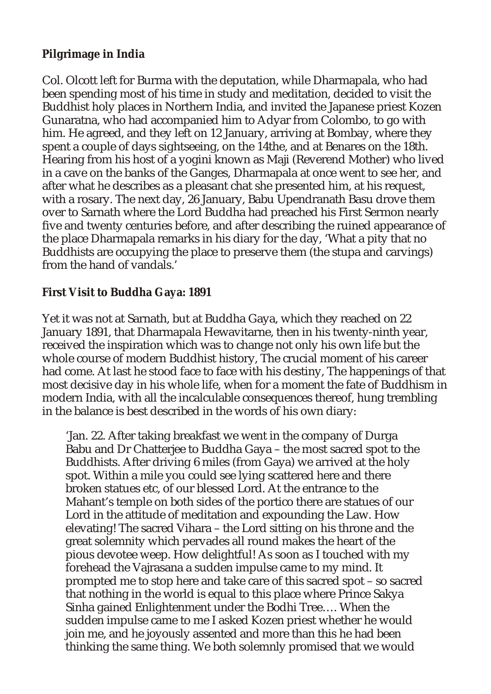## **Pilgrimage in India**

Col. Olcott left for Burma with the deputation, while Dharmapala, who had been spending most of his time in study and meditation, decided to visit the Buddhist holy places in Northern India, and invited the Japanese priest Kozen Gunaratna, who had accompanied him to Adyar from Colombo, to go with him. He agreed, and they left on 12 January, arriving at Bombay, where they spent a couple of days sightseeing, on the 14the, and at Benares on the 18th. Hearing from his host of a yogini known as Maji (Reverend Mother) who lived in a cave on the banks of the Ganges, Dharmapala at once went to see her, and after what he describes as a pleasant chat she presented him, at his request, with a rosary. The next day, 26 January, Babu Upendranath Basu drove them over to Sarnath where the Lord Buddha had preached his First Sermon nearly five and twenty centuries before, and after describing the ruined appearance of the place Dharmapala remarks in his diary for the day, 'What a pity that no Buddhists are occupying the place to preserve them (the stupa and carvings) from the hand of vandals.'

## **First Visit to Buddha Gaya: 1891**

Yet it was not at Sarnath, but at Buddha Gaya, which they reached on 22 January 1891, that Dharmapala Hewavitarne, then in his twenty-ninth year, received the inspiration which was to change not only his own life but the whole course of modern Buddhist history, The crucial moment of his career had come. At last he stood face to face with his destiny, The happenings of that most decisive day in his whole life, when for a moment the fate of Buddhism in modern India, with all the incalculable consequences thereof, hung trembling in the balance is best described in the words of his own diary:

'Jan. 22. After taking breakfast we went in the company of Durga Babu and Dr Chatterjee to Buddha Gaya – the most sacred spot to the Buddhists. After driving 6 miles (from Gaya) we arrived at the holy spot. Within a mile you could see lying scattered here and there broken statues etc, of our blessed Lord. At the entrance to the Mahant's temple on both sides of the portico there are statues of our Lord in the attitude of meditation and expounding the Law. How elevating! The sacred Vihara – the Lord sitting on his throne and the great solemnity which pervades all round makes the heart of the pious devotee weep. How delightful! As soon as I touched with my forehead the Vajrasana a sudden impulse came to my mind. It prompted me to stop here and take care of this sacred spot – so sacred that nothing in the world is equal to this place where Prince Sakya Sinha gained Enlightenment under the Bodhi Tree…. When the sudden impulse came to me I asked Kozen priest whether he would join me, and he joyously assented and more than this he had been thinking the same thing. We both solemnly promised that we would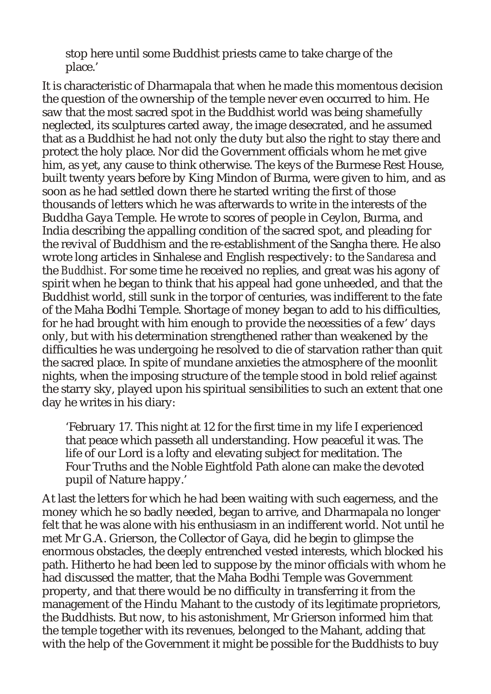stop here until some Buddhist priests came to take charge of the place.'

It is characteristic of Dharmapala that when he made this momentous decision the question of the ownership of the temple never even occurred to him. He saw that the most sacred spot in the Buddhist world was being shamefully neglected, its sculptures carted away, the image desecrated, and he assumed that as a Buddhist he had not only the duty but also the right to stay there and protect the holy place. Nor did the Government officials whom he met give him, as yet, any cause to think otherwise. The keys of the Burmese Rest House, built twenty years before by King Mindon of Burma, were given to him, and as soon as he had settled down there he started writing the first of those thousands of letters which he was afterwards to write in the interests of the Buddha Gaya Temple. He wrote to scores of people in Ceylon, Burma, and India describing the appalling condition of the sacred spot, and pleading for the revival of Buddhism and the re-establishment of the Sangha there. He also wrote long articles in Sinhalese and English respectively: to the *Sandaresa* and the *Buddhist*. For some time he received no replies, and great was his agony of spirit when he began to think that his appeal had gone unheeded, and that the Buddhist world, still sunk in the torpor of centuries, was indifferent to the fate of the Maha Bodhi Temple. Shortage of money began to add to his difficulties, for he had brought with him enough to provide the necessities of a few' days only, but with his determination strengthened rather than weakened by the difficulties he was undergoing he resolved to die of starvation rather than quit the sacred place. In spite of mundane anxieties the atmosphere of the moonlit nights, when the imposing structure of the temple stood in bold relief against the starry sky, played upon his spiritual sensibilities to such an extent that one day he writes in his diary:

'February 17. This night at 12 for the first time in my life I experienced that peace which passeth all understanding. How peaceful it was. The life of our Lord is a lofty and elevating subject for meditation. The Four Truths and the Noble Eightfold Path alone can make the devoted pupil of Nature happy.'

At last the letters for which he had been waiting with such eagerness, and the money which he so badly needed, began to arrive, and Dharmapala no longer felt that he was alone with his enthusiasm in an indifferent world. Not until he met Mr G.A. Grierson, the Collector of Gaya, did he begin to glimpse the enormous obstacles, the deeply entrenched vested interests, which blocked his path. Hitherto he had been led to suppose by the minor officials with whom he had discussed the matter, that the Maha Bodhi Temple was Government property, and that there would be no difficulty in transferring it from the management of the Hindu Mahant to the custody of its legitimate proprietors, the Buddhists. But now, to his astonishment, Mr Grierson informed him that the temple together with its revenues, belonged to the Mahant, adding that with the help of the Government it might be possible for the Buddhists to buy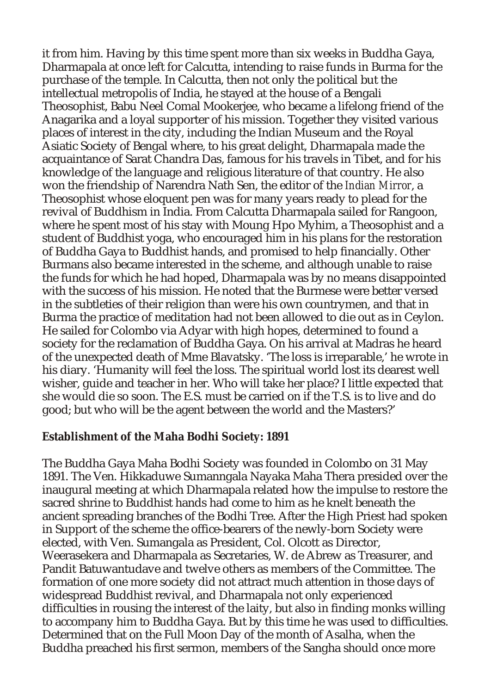it from him. Having by this time spent more than six weeks in Buddha Gaya, Dharmapala at once left for Calcutta, intending to raise funds in Burma for the purchase of the temple. In Calcutta, then not only the political but the intellectual metropolis of India, he stayed at the house of a Bengali Theosophist, Babu Neel Comal Mookerjee, who became a lifelong friend of the Anagarika and a loyal supporter of his mission. Together they visited various places of interest in the city, including the Indian Museum and the Royal Asiatic Society of Bengal where, to his great delight, Dharmapala made the acquaintance of Sarat Chandra Das, famous for his travels in Tibet, and for his knowledge of the language and religious literature of that country. He also won the friendship of Narendra Nath Sen, the editor of the *Indian Mirror*, a Theosophist whose eloquent pen was for many years ready to plead for the revival of Buddhism in India. From Calcutta Dharmapala sailed for Rangoon, where he spent most of his stay with Moung Hpo Myhim, a Theosophist and a student of Buddhist yoga, who encouraged him in his plans for the restoration of Buddha Gaya to Buddhist hands, and promised to help financially. Other Burmans also became interested in the scheme, and although unable to raise the funds for which he had hoped, Dharmapala was by no means disappointed with the success of his mission. He noted that the Burmese were better versed in the subtleties of their religion than were his own countrymen, and that in Burma the practice of meditation had not been allowed to die out as in Ceylon. He sailed for Colombo via Adyar with high hopes, determined to found a society for the reclamation of Buddha Gaya. On his arrival at Madras he heard of the unexpected death of Mme Blavatsky. 'The loss is irreparable,' he wrote in his diary. 'Humanity will feel the loss. The spiritual world lost its dearest well wisher, guide and teacher in her. Who will take her place? I little expected that she would die so soon. The E.S. must be carried on if the T.S. is to live and do good; but who will be the agent between the world and the Masters?'

#### **Establishment of the Maha Bodhi Society: 1891**

The Buddha Gaya Maha Bodhi Society was founded in Colombo on 31 May 1891. The Ven. Hikkaduwe Sumanngala Nayaka Maha Thera presided over the inaugural meeting at which Dharmapala related how the impulse to restore the sacred shrine to Buddhist hands had come to him as he knelt beneath the ancient spreading branches of the Bodhi Tree. After the High Priest had spoken in Support of the scheme the office-bearers of the newly-born Society were elected, with Ven. Sumangala as President, Col. Olcott as Director, Weerasekera and Dharmapala as Secretaries, W. de Abrew as Treasurer, and Pandit Batuwantudave and twelve others as members of the Committee. The formation of one more society did not attract much attention in those days of widespread Buddhist revival, and Dharmapala not only experienced difficulties in rousing the interest of the laity, but also in finding monks willing to accompany him to Buddha Gaya. But by this time he was used to difficulties. Determined that on the Full Moon Day of the month of Asalha, when the Buddha preached his first sermon, members of the Sangha should once more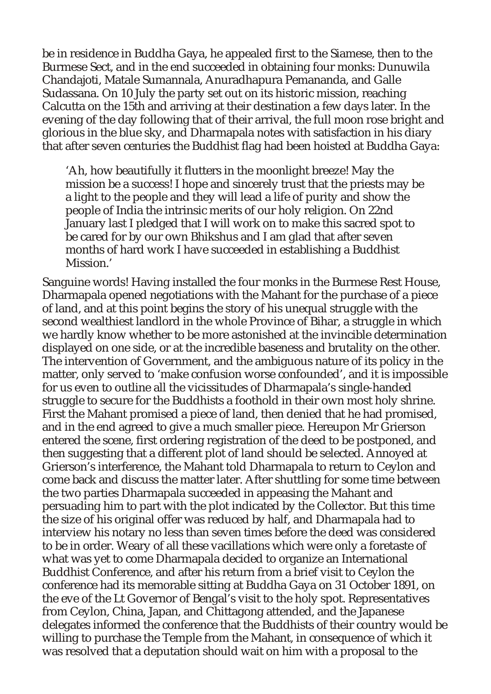be in residence in Buddha Gaya, he appealed first to the Siamese, then to the Burmese Sect, and in the end succeeded in obtaining four monks: Dunuwila Chandajoti, Matale Sumannala, Anuradhapura Pemananda, and Galle Sudassana. On 10 July the party set out on its historic mission, reaching Calcutta on the 15th and arriving at their destination a few days later. In the evening of the day following that of their arrival, the full moon rose bright and glorious in the blue sky, and Dharmapala notes with satisfaction in his diary that after seven centuries the Buddhist flag had been hoisted at Buddha Gaya:

'Ah, how beautifully it flutters in the moonlight breeze! May the mission be a success! I hope and sincerely trust that the priests may be a light to the people and they will lead a life of purity and show the people of India the intrinsic merits of our holy religion. On 22nd January last I pledged that I will work on to make this sacred spot to be cared for by our own Bhikshus and I am glad that after seven months of hard work I have succeeded in establishing a Buddhist Mission.'

Sanguine words! Having installed the four monks in the Burmese Rest House, Dharmapala opened negotiations with the Mahant for the purchase of a piece of land, and at this point begins the story of his unequal struggle with the second wealthiest landlord in the whole Province of Bihar, a struggle in which we hardly know whether to be more astonished at the invincible determination displayed on one side, or at the incredible baseness and brutality on the other. The intervention of Government, and the ambiguous nature of its policy in the matter, only served to 'make confusion worse confounded', and it is impossible for us even to outline all the vicissitudes of Dharmapala's single-handed struggle to secure for the Buddhists a foothold in their own most holy shrine. First the Mahant promised a piece of land, then denied that he had promised, and in the end agreed to give a much smaller piece. Hereupon Mr Grierson entered the scene, first ordering registration of the deed to be postponed, and then suggesting that a different plot of land should be selected. Annoyed at Grierson's interference, the Mahant told Dharmapala to return to Ceylon and come back and discuss the matter later. After shuttling for some time between the two parties Dharmapala succeeded in appeasing the Mahant and persuading him to part with the plot indicated by the Collector. But this time the size of his original offer was reduced by half, and Dharmapala had to interview his notary no less than seven times before the deed was considered to be in order. Weary of all these vacillations which were only a foretaste of what was yet to come Dharmapala decided to organize an International Buddhist Conference, and after his return from a brief visit to Ceylon the conference had its memorable sitting at Buddha Gaya on 31 October 1891, on the eve of the Lt Governor of Bengal's visit to the holy spot. Representatives from Ceylon, China, Japan, and Chittagong attended, and the Japanese delegates informed the conference that the Buddhists of their country would be willing to purchase the Temple from the Mahant, in consequence of which it was resolved that a deputation should wait on him with a proposal to the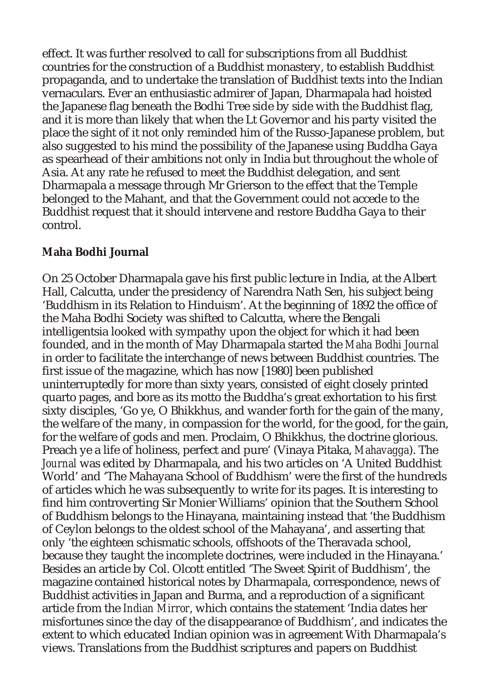effect. It was further resolved to call for subscriptions from all Buddhist countries for the construction of a Buddhist monastery, to establish Buddhist propaganda, and to undertake the translation of Buddhist texts into the Indian vernaculars. Ever an enthusiastic admirer of Japan, Dharmapala had hoisted the Japanese flag beneath the Bodhi Tree side by side with the Buddhist flag, and it is more than likely that when the Lt Governor and his party visited the place the sight of it not only reminded him of the Russo-Japanese problem, but also suggested to his mind the possibility of the Japanese using Buddha Gaya as spearhead of their ambitions not only in India but throughout the whole of Asia. At any rate he refused to meet the Buddhist delegation, and sent Dharmapala a message through Mr Grierson to the effect that the Temple belonged to the Mahant, and that the Government could not accede to the Buddhist request that it should intervene and restore Buddha Gaya to their control.

#### **Maha Bodhi Journal**

On 25 October Dharmapala gave his first public lecture in India, at the Albert Hall, Calcutta, under the presidency of Narendra Nath Sen, his subject being 'Buddhism in its Relation to Hinduism'. At the beginning of 1892 the office of the Maha Bodhi Society was shifted to Calcutta, where the Bengali intelligentsia looked with sympathy upon the object for which it had been founded, and in the month of May Dharmapala started the *Maha Bodhi Journal* in order to facilitate the interchange of news between Buddhist countries. The first issue of the magazine, which has now [1980] been published uninterruptedly for more than sixty years, consisted of eight closely printed quarto pages, and bore as its motto the Buddha's great exhortation to his first sixty disciples, 'Go ye, O Bhikkhus, and wander forth for the gain of the many, the welfare of the many, in compassion for the world, for the good, for the gain, for the welfare of gods and men. Proclaim, O Bhikkhus, the doctrine glorious. Preach ye a life of holiness, perfect and pure' (Vinaya Pitaka, *Mahavagga*). The *Journal* was edited by Dharmapala, and his two articles on 'A United Buddhist World' and 'The Mahayana School of Buddhism' were the first of the hundreds of articles which he was subsequently to write for its pages. It is interesting to find him controverting Sir Monier Williams' opinion that the Southern School of Buddhism belongs to the Hinayana, maintaining instead that 'the Buddhism of Ceylon belongs to the oldest school of the Mahayana', and asserting that only 'the eighteen schismatic schools, offshoots of the Theravada school, because they taught the incomplete doctrines, were included in the Hinayana.' Besides an article by Col. Olcott entitled 'The Sweet Spirit of Buddhism', the magazine contained historical notes by Dharmapala, correspondence, news of Buddhist activities in Japan and Burma, and a reproduction of a significant article from the *Indian Mirror*, which contains the statement 'India dates her misfortunes since the day of the disappearance of Buddhism', and indicates the extent to which educated Indian opinion was in agreement With Dharmapala's views. Translations from the Buddhist scriptures and papers on Buddhist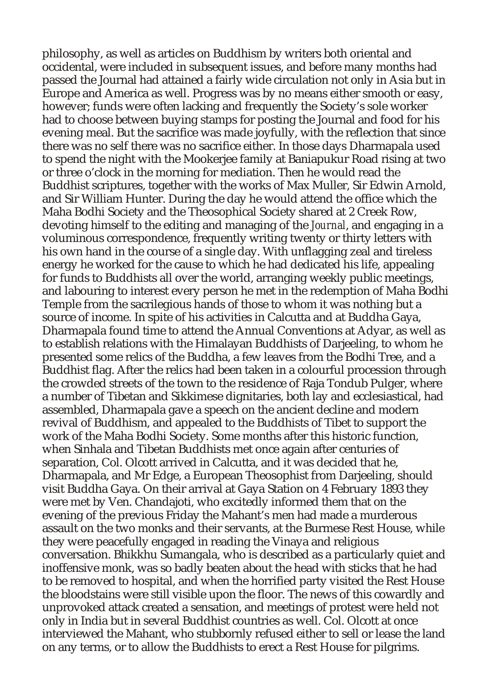philosophy, as well as articles on Buddhism by writers both oriental and occidental, were included in subsequent issues, and before many months had passed the Journal had attained a fairly wide circulation not only in Asia but in Europe and America as well. Progress was by no means either smooth or easy, however; funds were often lacking and frequently the Society's sole worker had to choose between buying stamps for posting the Journal and food for his evening meal. But the sacrifice was made joyfully, with the reflection that since there was no self there was no sacrifice either. In those days Dharmapala used to spend the night with the Mookerjee family at Baniapukur Road rising at two or three o'clock in the morning for mediation. Then he would read the Buddhist scriptures, together with the works of Max Muller, Sir Edwin Arnold, and Sir William Hunter. During the day he would attend the office which the Maha Bodhi Society and the Theosophical Society shared at 2 Creek Row, devoting himself to the editing and managing of the *Journal*, and engaging in a voluminous correspondence, frequently writing twenty or thirty letters with his own hand in the course of a single day. With unflagging zeal and tireless energy he worked for the cause to which he had dedicated his life, appealing for funds to Buddhists all over the world, arranging weekly public meetings, and labouring to interest every person he met in the redemption of Maha Bodhi Temple from the sacrilegious hands of those to whom it was nothing but a source of income. In spite of his activities in Calcutta and at Buddha Gaya, Dharmapala found time to attend the Annual Conventions at Adyar, as well as to establish relations with the Himalayan Buddhists of Darjeeling, to whom he presented some relics of the Buddha, a few leaves from the Bodhi Tree, and a Buddhist flag. After the relics had been taken in a colourful procession through the crowded streets of the town to the residence of Raja Tondub Pulger, where a number of Tibetan and Sikkimese dignitaries, both lay and ecclesiastical, had assembled, Dharmapala gave a speech on the ancient decline and modern revival of Buddhism, and appealed to the Buddhists of Tibet to support the work of the Maha Bodhi Society. Some months after this historic function, when Sinhala and Tibetan Buddhists met once again after centuries of separation, Col. Olcott arrived in Calcutta, and it was decided that he, Dharmapala, and Mr Edge, a European Theosophist from Darjeeling, should visit Buddha Gaya. On their arrival at Gaya Station on 4 February 1893 they were met by Ven. Chandajoti, who excitedly informed them that on the evening of the previous Friday the Mahant's men had made a murderous assault on the two monks and their servants, at the Burmese Rest House, while they were peacefully engaged in reading the Vinaya and religious conversation. Bhikkhu Sumangala, who is described as a particularly quiet and inoffensive monk, was so badly beaten about the head with sticks that he had to be removed to hospital, and when the horrified party visited the Rest House the bloodstains were still visible upon the floor. The news of this cowardly and unprovoked attack created a sensation, and meetings of protest were held not only in India but in several Buddhist countries as well. Col. Olcott at once interviewed the Mahant, who stubbornly refused either to sell or lease the land on any terms, or to allow the Buddhists to erect a Rest House for pilgrims.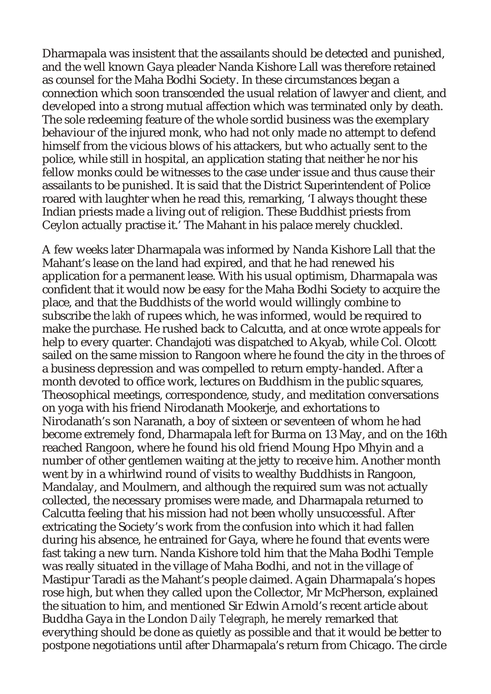Dharmapala was insistent that the assailants should be detected and punished, and the well known Gaya pleader Nanda Kishore Lall was therefore retained as counsel for the Maha Bodhi Society. In these circumstances began a connection which soon transcended the usual relation of lawyer and client, and developed into a strong mutual affection which was terminated only by death. The sole redeeming feature of the whole sordid business was the exemplary behaviour of the injured monk, who had not only made no attempt to defend himself from the vicious blows of his attackers, but who actually sent to the police, while still in hospital, an application stating that neither he nor his fellow monks could be witnesses to the case under issue and thus cause their assailants to be punished. It is said that the District Superintendent of Police roared with laughter when he read this, remarking, 'I always thought these Indian priests made a living out of religion. These Buddhist priests from Ceylon actually practise it.' The Mahant in his palace merely chuckled.

A few weeks later Dharmapala was informed by Nanda Kishore Lall that the Mahant's lease on the land had expired, and that he had renewed his application for a permanent lease. With his usual optimism, Dharmapala was confident that it would now be easy for the Maha Bodhi Society to acquire the place, and that the Buddhists of the world would willingly combine to subscribe the *lakh* of rupees which, he was informed, would be required to make the purchase. He rushed back to Calcutta, and at once wrote appeals for help to every quarter. Chandajoti was dispatched to Akyab, while Col. Olcott sailed on the same mission to Rangoon where he found the city in the throes of a business depression and was compelled to return empty-handed. After a month devoted to office work, lectures on Buddhism in the public squares, Theosophical meetings, correspondence, study, and meditation conversations on yoga with his friend Nirodanath Mookerje, and exhortations to Nirodanath's son Naranath, a boy of sixteen or seventeen of whom he had become extremely fond, Dharmapala left for Burma on 13 May, and on the 16th reached Rangoon, where he found his old friend Moung Hpo Mhyin and a number of other gentlemen waiting at the jetty to receive him. Another month went by in a whirlwind round of visits to wealthy Buddhists in Rangoon, Mandalay, and Moulmern, and although the required sum was not actually collected, the necessary promises were made, and Dharmapala returned to Calcutta feeling that his mission had not been wholly unsuccessful. After extricating the Society's work from the confusion into which it had fallen during his absence, he entrained for Gaya, where he found that events were fast taking a new turn. Nanda Kishore told him that the Maha Bodhi Temple was really situated in the village of Maha Bodhi, and not in the village of Mastipur Taradi as the Mahant's people claimed. Again Dharmapala's hopes rose high, but when they called upon the Collector, Mr McPherson, explained the situation to him, and mentioned Sir Edwin Arnold's recent article about Buddha Gaya in the London *Daily Telegraph*, he merely remarked that everything should be done as quietly as possible and that it would be better to postpone negotiations until after Dharmapala's return from Chicago. The circle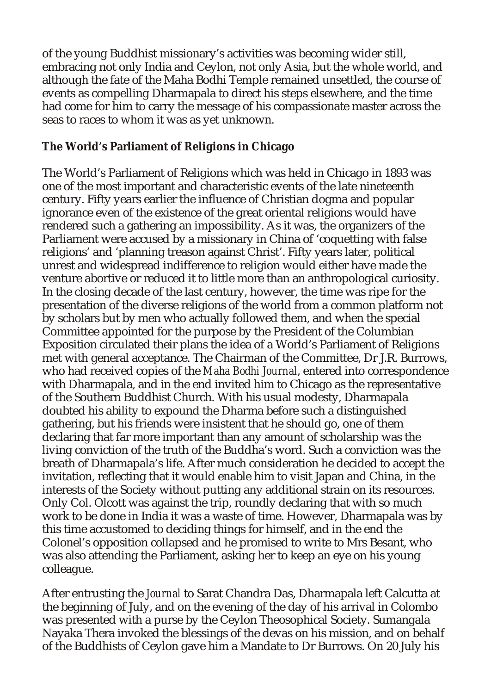of the young Buddhist missionary's activities was becoming wider still, embracing not only India and Ceylon, not only Asia, but the whole world, and although the fate of the Maha Bodhi Temple remained unsettled, the course of events as compelling Dharmapala to direct his steps elsewhere, and the time had come for him to carry the message of his compassionate master across the seas to races to whom it was as yet unknown.

#### **The World's Parliament of Religions in Chicago**

The World's Parliament of Religions which was held in Chicago in 1893 was one of the most important and characteristic events of the late nineteenth century. Fifty years earlier the influence of Christian dogma and popular ignorance even of the existence of the great oriental religions would have rendered such a gathering an impossibility. As it was, the organizers of the Parliament were accused by a missionary in China of 'coquetting with false religions' and 'planning treason against Christ'. Fifty years later, political unrest and widespread indifference to religion would either have made the venture abortive or reduced it to little more than an anthropological curiosity. In the closing decade of the last century, however, the time was ripe for the presentation of the diverse religions of the world from a common platform not by scholars but by men who actually followed them, and when the special Committee appointed for the purpose by the President of the Columbian Exposition circulated their plans the idea of a World's Parliament of Religions met with general acceptance. The Chairman of the Committee, Dr J.R. Burrows, who had received copies of the *Maha Bodhi Journal*, entered into correspondence with Dharmapala, and in the end invited him to Chicago as the representative of the Southern Buddhist Church. With his usual modesty, Dharmapala doubted his ability to expound the Dharma before such a distinguished gathering, but his friends were insistent that he should go, one of them declaring that far more important than any amount of scholarship was the living conviction of the truth of the Buddha's word. Such a conviction was the breath of Dharmapala's life. After much consideration he decided to accept the invitation, reflecting that it would enable him to visit Japan and China, in the interests of the Society without putting any additional strain on its resources. Only Col. Olcott was against the trip, roundly declaring that with so much work to be done in India it was a waste of time. However, Dharmapala was by this time accustomed to deciding things for himself, and in the end the Colonel's opposition collapsed and he promised to write to Mrs Besant, who was also attending the Parliament, asking her to keep an eye on his young colleague.

After entrusting the *Journal* to Sarat Chandra Das, Dharmapala left Calcutta at the beginning of July, and on the evening of the day of his arrival in Colombo was presented with a purse by the Ceylon Theosophical Society. Sumangala Nayaka Thera invoked the blessings of the devas on his mission, and on behalf of the Buddhists of Ceylon gave him a Mandate to Dr Burrows. On 20 July his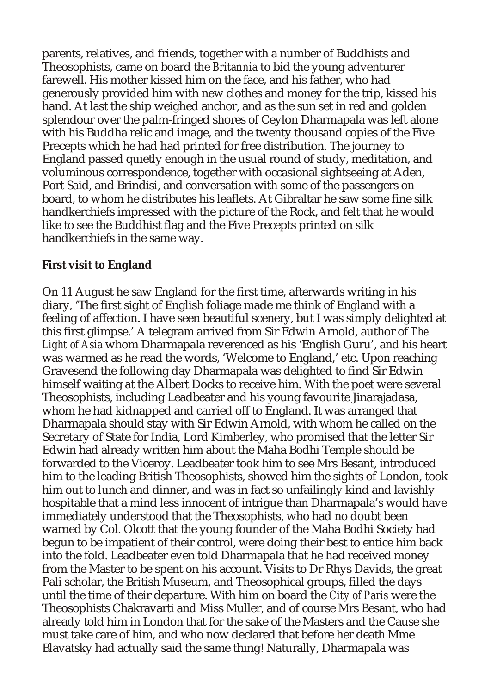parents, relatives, and friends, together with a number of Buddhists and Theosophists, came on board the *Britannia* to bid the young adventurer farewell. His mother kissed him on the face, and his father, who had generously provided him with new clothes and money for the trip, kissed his hand. At last the ship weighed anchor, and as the sun set in red and golden splendour over the palm-fringed shores of Ceylon Dharmapala was left alone with his Buddha relic and image, and the twenty thousand copies of the Five Precepts which he had had printed for free distribution. The journey to England passed quietly enough in the usual round of study, meditation, and voluminous correspondence, together with occasional sightseeing at Aden, Port Said, and Brindisi, and conversation with some of the passengers on board, to whom he distributes his leaflets. At Gibraltar he saw some fine silk handkerchiefs impressed with the picture of the Rock, and felt that he would like to see the Buddhist flag and the Five Precepts printed on silk handkerchiefs in the same way.

#### **First visit to England**

On 11 August he saw England for the first time, afterwards writing in his diary, 'The first sight of English foliage made me think of England with a feeling of affection. I have seen beautiful scenery, but I was simply delighted at this first glimpse.' A telegram arrived from Sir Edwin Arnold, author of *The Light of Asia* whom Dharmapala reverenced as his 'English Guru', and his heart was warmed as he read the words, 'Welcome to England,' etc. Upon reaching Gravesend the following day Dharmapala was delighted to find Sir Edwin himself waiting at the Albert Docks to receive him. With the poet were several Theosophists, including Leadbeater and his young favourite Jinarajadasa, whom he had kidnapped and carried off to England. It was arranged that Dharmapala should stay with Sir Edwin Arnold, with whom he called on the Secretary of State for India, Lord Kimberley, who promised that the letter Sir Edwin had already written him about the Maha Bodhi Temple should be forwarded to the Viceroy. Leadbeater took him to see Mrs Besant, introduced him to the leading British Theosophists, showed him the sights of London, took him out to lunch and dinner, and was in fact so unfailingly kind and lavishly hospitable that a mind less innocent of intrigue than Dharmapala's would have immediately understood that the Theosophists, who had no doubt been warned by Col. Olcott that the young founder of the Maha Bodhi Society had begun to be impatient of their control, were doing their best to entice him back into the fold. Leadbeater even told Dharmapala that he had received money from the Master to be spent on his account. Visits to Dr Rhys Davids, the great Pali scholar, the British Museum, and Theosophical groups, filled the days until the time of their departure. With him on board the *City of Paris* were the Theosophists Chakravarti and Miss Muller, and of course Mrs Besant, who had already told him in London that for the sake of the Masters and the Cause she must take care of him, and who now declared that before her death Mme Blavatsky had actually said the same thing! Naturally, Dharmapala was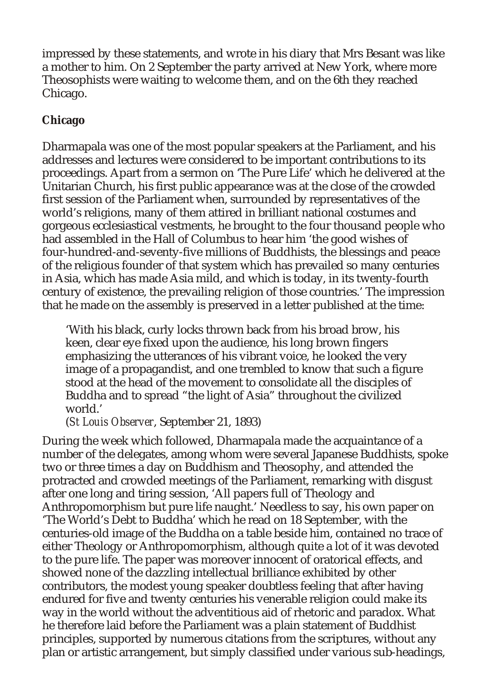impressed by these statements, and wrote in his diary that Mrs Besant was like a mother to him. On 2 September the party arrived at New York, where more Theosophists were waiting to welcome them, and on the 6th they reached Chicago.

# **Chicago**

Dharmapala was one of the most popular speakers at the Parliament, and his addresses and lectures were considered to be important contributions to its proceedings. Apart from a sermon on 'The Pure Life' which he delivered at the Unitarian Church, his first public appearance was at the close of the crowded first session of the Parliament when, surrounded by representatives of the world's religions, many of them attired in brilliant national costumes and gorgeous ecclesiastical vestments, he brought to the four thousand people who had assembled in the Hall of Columbus to hear him 'the good wishes of four-hundred-and-seventy-five millions of Buddhists, the blessings and peace of the religious founder of that system which has prevailed so many centuries in Asia, which has made Asia mild, and which is today, in its twenty-fourth century of existence, the prevailing religion of those countries.' The impression that he made on the assembly is preserved in a letter published at the time:

'With his black, curly locks thrown back from his broad brow, his keen, clear eye fixed upon the audience, his long brown fingers emphasizing the utterances of his vibrant voice, he looked the very image of a propagandist, and one trembled to know that such a figure stood at the head of the movement to consolidate all the disciples of Buddha and to spread "the light of Asia" throughout the civilized world.'

(*St Louis Observer*, September 21, 1893)

During the week which followed, Dharmapala made the acquaintance of a number of the delegates, among whom were several Japanese Buddhists, spoke two or three times a day on Buddhism and Theosophy, and attended the protracted and crowded meetings of the Parliament, remarking with disgust after one long and tiring session, 'All papers full of Theology and Anthropomorphism but pure life naught.' Needless to say, his own paper on 'The World's Debt to Buddha' which he read on 18 September, with the centuries-old image of the Buddha on a table beside him, contained no trace of either Theology or Anthropomorphism, although quite a lot of it was devoted to the pure life. The paper was moreover innocent of oratorical effects, and showed none of the dazzling intellectual brilliance exhibited by other contributors, the modest young speaker doubtless feeling that after having endured for five and twenty centuries his venerable religion could make its way in the world without the adventitious aid of rhetoric and paradox. What he therefore laid before the Parliament was a plain statement of Buddhist principles, supported by numerous citations from the scriptures, without any plan or artistic arrangement, but simply classified under various sub-headings,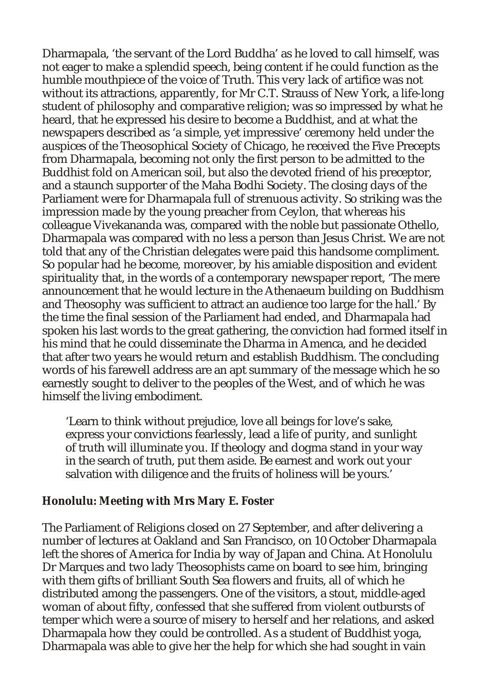Dharmapala, 'the servant of the Lord Buddha' as he loved to call himself, was not eager to make a splendid speech, being content if he could function as the humble mouthpiece of the voice of Truth. This very lack of artifice was not without its attractions, apparently, for Mr C.T. Strauss of New York, a life-long student of philosophy and comparative religion; was so impressed by what he heard, that he expressed his desire to become a Buddhist, and at what the newspapers described as 'a simple, yet impressive' ceremony held under the auspices of the Theosophical Society of Chicago, he received the Five Precepts from Dharmapala, becoming not only the first person to be admitted to the Buddhist fold on American soil, but also the devoted friend of his preceptor, and a staunch supporter of the Maha Bodhi Society. The closing days of the Parliament were for Dharmapala full of strenuous activity. So striking was the impression made by the young preacher from Ceylon, that whereas his colleague Vivekananda was, compared with the noble but passionate Othello, Dharmapala was compared with no less a person than Jesus Christ. We are not told that any of the Christian delegates were paid this handsome compliment. So popular had he become, moreover, by his amiable disposition and evident spirituality that, in the words of a contemporary newspaper report, 'The mere announcement that he would lecture in the Athenaeum building on Buddhism and Theosophy was sufficient to attract an audience too large for the hall.' By the time the final session of the Parliament had ended, and Dharmapala had spoken his last words to the great gathering, the conviction had formed itself in his mind that he could disseminate the Dharma in Amenca, and he decided that after two years he would return and establish Buddhism. The concluding words of his farewell address are an apt summary of the message which he so earnestly sought to deliver to the peoples of the West, and of which he was himself the living embodiment.

'Learn to think without prejudice, love all beings for love's sake, express your convictions fearlessly, lead a life of purity, and sunlight of truth will illuminate you. If theology and dogma stand in your way in the search of truth, put them aside. Be earnest and work out your salvation with diligence and the fruits of holiness will be yours.'

#### **Honolulu: Meeting with Mrs Mary E. Foster**

The Parliament of Religions closed on 27 September, and after delivering a number of lectures at Oakland and San Francisco, on 10 October Dharmapala left the shores of America for India by way of Japan and China. At Honolulu Dr Marques and two lady Theosophists came on board to see him, bringing with them gifts of brilliant South Sea flowers and fruits, all of which he distributed among the passengers. One of the visitors, a stout, middle-aged woman of about fifty, confessed that she suffered from violent outbursts of temper which were a source of misery to herself and her relations, and asked Dharmapala how they could be controlled. As a student of Buddhist yoga, Dharmapala was able to give her the help for which she had sought in vain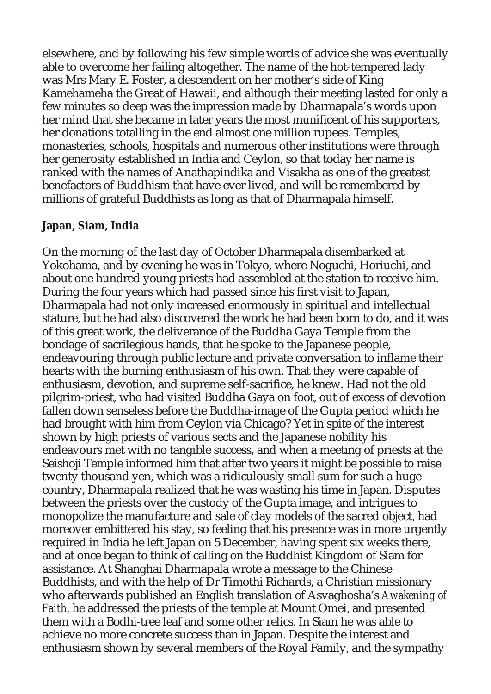elsewhere, and by following his few simple words of advice she was eventually able to overcome her failing altogether. The name of the hot-tempered lady was Mrs Mary E. Foster, a descendent on her mother's side of King Kamehameha the Great of Hawaii, and although their meeting lasted for only a few minutes so deep was the impression made by Dharmapala's words upon her mind that she became in later years the most munificent of his supporters, her donations totalling in the end almost one million rupees. Temples, monasteries, schools, hospitals and numerous other institutions were through her generosity established in India and Ceylon, so that today her name is ranked with the names of Anathapindika and Visakha as one of the greatest benefactors of Buddhism that have ever lived, and will be remembered by millions of grateful Buddhists as long as that of Dharmapala himself.

#### **Japan, Siam, India**

On the morning of the last day of October Dharmapala disembarked at Yokohama, and by evening he was in Tokyo, where Noguchi, Horiuchi, and about one hundred young priests had assembled at the station to receive him. During the four years which had passed since his first visit to Japan, Dharmapala had not only increased enormously in spiritual and intellectual stature, but he had also discovered the work he had been born to do, and it was of this great work, the deliverance of the Buddha Gaya Temple from the bondage of sacrilegious hands, that he spoke to the Japanese people, endeavouring through public lecture and private conversation to inflame their hearts with the burning enthusiasm of his own. That they were capable of enthusiasm, devotion, and supreme self-sacrifice, he knew. Had not the old pilgrim-priest, who had visited Buddha Gaya on foot, out of excess of devotion fallen down senseless before the Buddha-image of the Gupta period which he had brought with him from Ceylon via Chicago? Yet in spite of the interest shown by high priests of various sects and the Japanese nobility his endeavours met with no tangible success, and when a meeting of priests at the Seishoji Temple informed him that after two years it might be possible to raise twenty thousand yen, which was a ridiculously small sum for such a huge country, Dharmapala realized that he was wasting his time in Japan. Disputes between the priests over the custody of the Gupta image, and intrigues to monopolize the manufacture and sale of clay models of the sacred object, had moreover embittered his stay, so feeling that his presence was in more urgently required in India he left Japan on 5 December, having spent six weeks there, and at once began to think of calling on the Buddhist Kingdom of Siam for assistance. At Shanghai Dharmapala wrote a message to the Chinese Buddhists, and with the help of Dr Timothi Richards, a Christian missionary who afterwards published an English translation of Asvaghosha's *Awakening of Faith*, he addressed the priests of the temple at Mount Omei, and presented them with a Bodhi-tree leaf and some other relics. In Siam he was able to achieve no more concrete success than in Japan. Despite the interest and enthusiasm shown by several members of the Royal Family, and the sympathy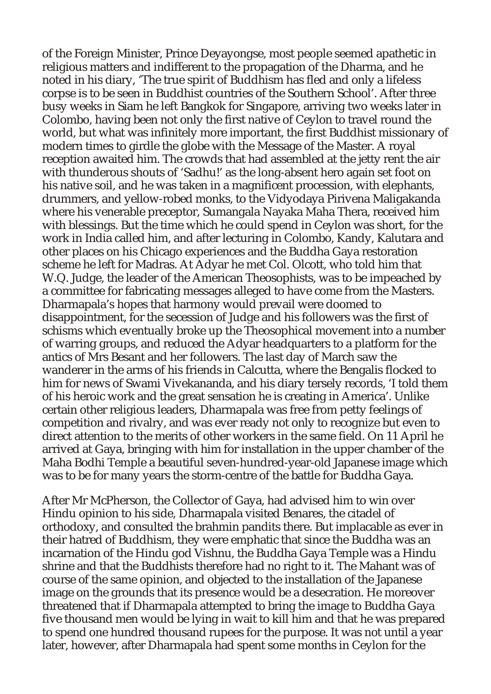of the Foreign Minister, Prince Deyayongse, most people seemed apathetic in religious matters and indifferent to the propagation of the Dharma, and he noted in his diary, 'The true spirit of Buddhism has fled and only a lifeless corpse is to be seen in Buddhist countries of the Southern School'. After three busy weeks in Siam he left Bangkok for Singapore, arriving two weeks later in Colombo, having been not only the first native of Ceylon to travel round the world, but what was infinitely more important, the first Buddhist missionary of modern times to girdle the globe with the Message of the Master. A royal reception awaited him. The crowds that had assembled at the jetty rent the air with thunderous shouts of 'Sadhu!' as the long-absent hero again set foot on his native soil, and he was taken in a magnificent procession, with elephants, drummers, and yellow-robed monks, to the Vidyodaya Pirivena Maligakanda where his venerable preceptor, Sumangala Nayaka Maha Thera, received him with blessings. But the time which he could spend in Ceylon was short, for the work in India called him, and after lecturing in Colombo, Kandy, Kalutara and other places on his Chicago experiences and the Buddha Gaya restoration scheme he left for Madras. At Adyar he met Col. Olcott, who told him that W.Q. Judge, the leader of the American Theosophists, was to be impeached by a committee for fabricating messages alleged to have come from the Masters. Dharmapala's hopes that harmony would prevail were doomed to disappointment, for the secession of Judge and his followers was the first of schisms which eventually broke up the Theosophical movement into a number of warring groups, and reduced the Adyar headquarters to a platform for the antics of Mrs Besant and her followers. The last day of March saw the wanderer in the arms of his friends in Calcutta, where the Bengalis flocked to him for news of Swami Vivekananda, and his diary tersely records, 'I told them of his heroic work and the great sensation he is creating in America'. Unlike certain other religious leaders, Dharmapala was free from petty feelings of competition and rivalry, and was ever ready not only to recognize but even to direct attention to the merits of other workers in the same field. On 11 April he arrived at Gaya, bringing with him for installation in the upper chamber of the Maha Bodhi Temple a beautiful seven-hundred-year-old Japanese image which was to be for many years the storm-centre of the battle for Buddha Gaya.

After Mr McPherson, the Collector of Gaya, had advised him to win over Hindu opinion to his side, Dharmapala visited Benares, the citadel of orthodoxy, and consulted the brahmin pandits there. But implacable as ever in their hatred of Buddhism, they were emphatic that since the Buddha was an incarnation of the Hindu god Vishnu, the Buddha Gaya Temple was a Hindu shrine and that the Buddhists therefore had no right to it. The Mahant was of course of the same opinion, and objected to the installation of the Japanese image on the grounds that its presence would be a desecration. He moreover threatened that if Dharmapala attempted to bring the image to Buddha Gaya five thousand men would be lying in wait to kill him and that he was prepared to spend one hundred thousand rupees for the purpose. It was not until a year later, however, after Dharmapala had spent some months in Ceylon for the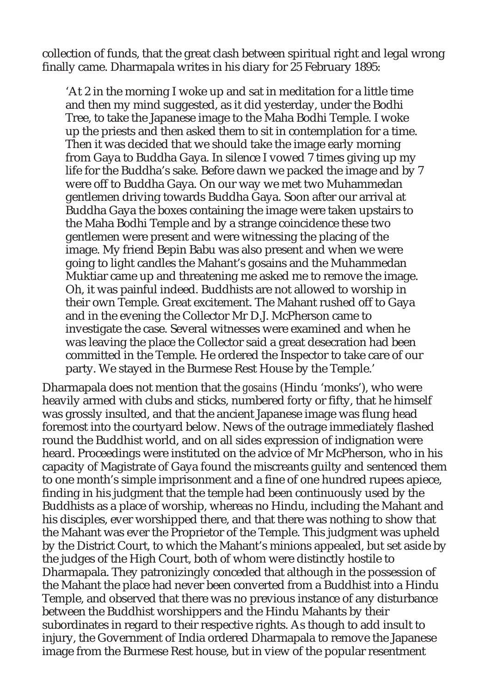collection of funds, that the great clash between spiritual right and legal wrong finally came. Dharmapala writes in his diary for 25 February 1895:

'At 2 in the morning I woke up and sat in meditation for a little time and then my mind suggested, as it did yesterday, under the Bodhi Tree, to take the Japanese image to the Maha Bodhi Temple. I woke up the priests and then asked them to sit in contemplation for a time. Then it was decided that we should take the image early morning from Gaya to Buddha Gaya. In silence I vowed 7 times giving up my life for the Buddha's sake. Before dawn we packed the image and by 7 were off to Buddha Gaya. On our way we met two Muhammedan gentlemen driving towards Buddha Gaya. Soon after our arrival at Buddha Gaya the boxes containing the image were taken upstairs to the Maha Bodhi Temple and by a strange coincidence these two gentlemen were present and were witnessing the placing of the image. My friend Bepin Babu was also present and when we were going to light candles the Mahant's gosains and the Muhammedan Muktiar came up and threatening me asked me to remove the image. Oh, it was painful indeed. Buddhists are not allowed to worship in their own Temple. Great excitement. The Mahant rushed off to Gaya and in the evening the Collector Mr D.J. McPherson came to investigate the case. Several witnesses were examined and when he was leaving the place the Collector said a great desecration had been committed in the Temple. He ordered the Inspector to take care of our party. We stayed in the Burmese Rest House by the Temple.'

Dharmapala does not mention that the *gosains* (Hindu 'monks'), who were heavily armed with clubs and sticks, numbered forty or fifty, that he himself was grossly insulted, and that the ancient Japanese image was flung head foremost into the courtyard below. News of the outrage immediately flashed round the Buddhist world, and on all sides expression of indignation were heard. Proceedings were instituted on the advice of Mr McPherson, who in his capacity of Magistrate of Gaya found the miscreants guilty and sentenced them to one month's simple imprisonment and a fine of one hundred rupees apiece, finding in his judgment that the temple had been continuously used by the Buddhists as a place of worship, whereas no Hindu, including the Mahant and his disciples, ever worshipped there, and that there was nothing to show that the Mahant was ever the Proprietor of the Temple. This judgment was upheld by the District Court, to which the Mahant's minions appealed, but set aside by the judges of the High Court, both of whom were distinctly hostile to Dharmapala. They patronizingly conceded that although in the possession of the Mahant the place had never been converted from a Buddhist into a Hindu Temple, and observed that there was no previous instance of any disturbance between the Buddhist worshippers and the Hindu Mahants by their subordinates in regard to their respective rights. As though to add insult to injury, the Government of India ordered Dharmapala to remove the Japanese image from the Burmese Rest house, but in view of the popular resentment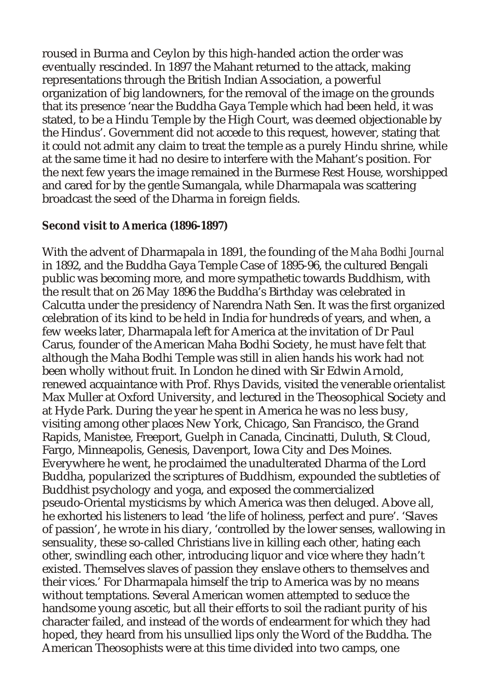roused in Burma and Ceylon by this high-handed action the order was eventually rescinded. In 1897 the Mahant returned to the attack, making representations through the British Indian Association, a powerful organization of big landowners, for the removal of the image on the grounds that its presence 'near the Buddha Gaya Temple which had been held, it was stated, to be a Hindu Temple by the High Court, was deemed objectionable by the Hindus'. Government did not accede to this request, however, stating that it could not admit any claim to treat the temple as a purely Hindu shrine, while at the same time it had no desire to interfere with the Mahant's position. For the next few years the image remained in the Burmese Rest House, worshipped and cared for by the gentle Sumangala, while Dharmapala was scattering broadcast the seed of the Dharma in foreign fields.

#### **Second visit to America (1896-1897)**

With the advent of Dharmapala in 1891, the founding of the *Maha Bodhi Journal* in 1892, and the Buddha Gaya Temple Case of 1895-96, the cultured Bengali public was becoming more, and more sympathetic towards Buddhism, with the result that on 26 May 1896 the Buddha's Birthday was celebrated in Calcutta under the presidency of Narendra Nath Sen. It was the first organized celebration of its kind to be held in India for hundreds of years, and when, a few weeks later, Dharmapala left for America at the invitation of Dr Paul Carus, founder of the American Maha Bodhi Society, he must have felt that although the Maha Bodhi Temple was still in alien hands his work had not been wholly without fruit. In London he dined with Sir Edwin Arnold, renewed acquaintance with Prof. Rhys Davids, visited the venerable orientalist Max Muller at Oxford University, and lectured in the Theosophical Society and at Hyde Park. During the year he spent in America he was no less busy, visiting among other places New York, Chicago, San Francisco, the Grand Rapids, Manistee, Freeport, Guelph in Canada, Cincinatti, Duluth, St Cloud, Fargo, Minneapolis, Genesis, Davenport, Iowa City and Des Moines. Everywhere he went, he proclaimed the unadulterated Dharma of the Lord Buddha, popularized the scriptures of Buddhism, expounded the subtleties of Buddhist psychology and yoga, and exposed the commercialized pseudo-Oriental mysticisms by which America was then deluged. Above all, he exhorted his listeners to lead 'the life of holiness, perfect and pure'. 'Slaves of passion', he wrote in his diary, 'controlled by the lower senses, wallowing in sensuality, these so-called Christians live in killing each other, hating each other, swindling each other, introducing liquor and vice where they hadn't existed. Themselves slaves of passion they enslave others to themselves and their vices.' For Dharmapala himself the trip to America was by no means without temptations. Several American women attempted to seduce the handsome young ascetic, but all their efforts to soil the radiant purity of his character failed, and instead of the words of endearment for which they had hoped, they heard from his unsullied lips only the Word of the Buddha. The American Theosophists were at this time divided into two camps, one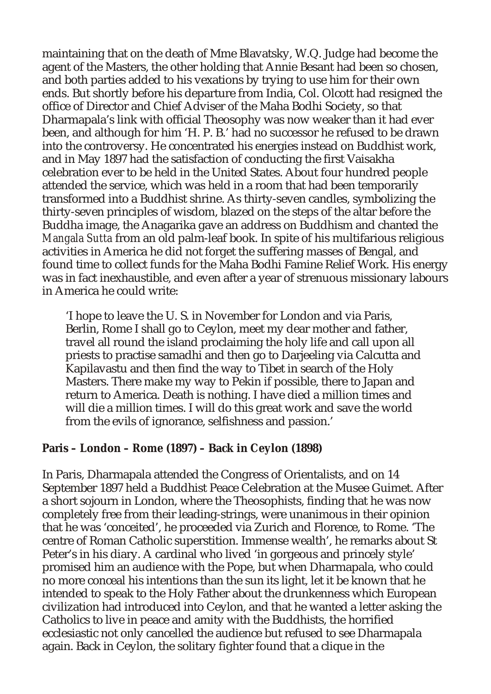maintaining that on the death of Mme Blavatsky, W.Q. Judge had become the agent of the Masters, the other holding that Annie Besant had been so chosen, and both parties added to his vexations by trying to use him for their own ends. But shortly before his departure from India, Col. Olcott had resigned the office of Director and Chief Adviser of the Maha Bodhi Society, so that Dharmapala's link with official Theosophy was now weaker than it had ever been, and although for him 'H. P. B.' had no successor he refused to be drawn into the controversy. He concentrated his energies instead on Buddhist work, and in May 1897 had the satisfaction of conducting the first Vaisakha celebration ever to be held in the United States. About four hundred people attended the service, which was held in a room that had been temporarily transformed into a Buddhist shrine. As thirty-seven candles, symbolizing the thirty-seven principles of wisdom, blazed on the steps of the altar before the Buddha image, the Anagarika gave an address on Buddhism and chanted the *Mangala Sutta* from an old palm-leaf book. In spite of his multifarious religious activities in America he did not forget the suffering masses of Bengal, and found time to collect funds for the Maha Bodhi Famine Relief Work. His energy was in fact inexhaustible, and even after a year of strenuous missionary labours in America he could write:

'I hope to leave the U. S. in November for London and via Paris, Berlin, Rome I shall go to Ceylon, meet my dear mother and father, travel all round the island proclaiming the holy life and call upon all priests to practise samadhi and then go to Darjeeling via Calcutta and Kapilavastu and then find the way to Tibet in search of the Holy Masters. There make my way to Pekin if possible, there to Japan and return to America. Death is nothing. I have died a million times and will die a million times. I will do this great work and save the world from the evils of ignorance, selfishness and passion.'

**Paris – London – Rome (1897) – Back in Ceylon (1898)**

In Paris, Dharmapala attended the Congress of Orientalists, and on 14 September 1897 held a Buddhist Peace Celebration at the Musee Guimet. After a short sojourn in London, where the Theosophists, finding that he was now completely free from their leading-strings, were unanimous in their opinion that he was 'conceited', he proceeded via Zurich and Florence, to Rome. 'The centre of Roman Catholic superstition. Immense wealth', he remarks about St Peter's in his diary. A cardinal who lived 'in gorgeous and princely style' promised him an audience with the Pope, but when Dharmapala, who could no more conceal his intentions than the sun its light, let it be known that he intended to speak to the Holy Father about the drunkenness which European civilization had introduced into Ceylon, and that he wanted a letter asking the Catholics to live in peace and amity with the Buddhists, the horrified ecclesiastic not only cancelled the audience but refused to see Dharmapala again. Back in Ceylon, the solitary fighter found that a clique in the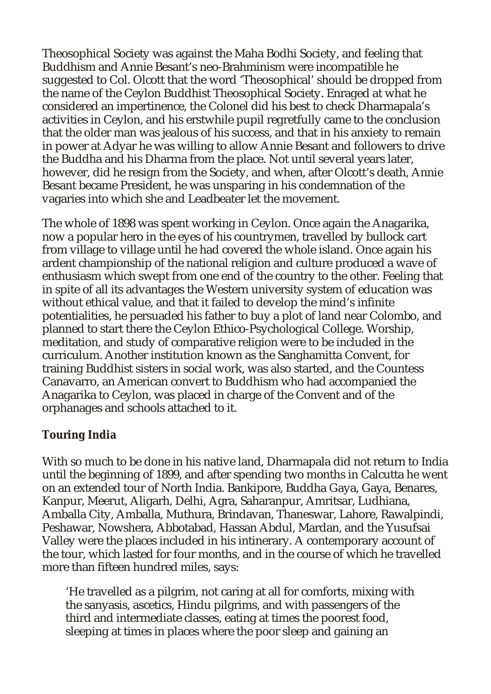Theosophical Society was against the Maha Bodhi Society, and feeling that Buddhism and Annie Besant's neo-Brahminism were incompatible he suggested to Col. Olcott that the word 'Theosophical' should be dropped from the name of the Ceylon Buddhist Theosophical Society. Enraged at what he considered an impertinence, the Colonel did his best to check Dharmapala's activities in Ceylon, and his erstwhile pupil regretfully came to the conclusion that the older man was jealous of his success, and that in his anxiety to remain in power at Adyar he was willing to allow Annie Besant and followers to drive the Buddha and his Dharma from the place. Not until several years later, however, did he resign from the Society, and when, after Olcott's death, Annie Besant became President, he was unsparing in his condemnation of the vagaries into which she and Leadbeater let the movement.

The whole of 1898 was spent working in Ceylon. Once again the Anagarika, now a popular hero in the eyes of his countrymen, travelled by bullock cart from village to village until he had covered the whole island. Once again his ardent championship of the national religion and culture produced a wave of enthusiasm which swept from one end of the country to the other. Feeling that in spite of all its advantages the Western university system of education was without ethical value, and that it failed to develop the mind's infinite potentialities, he persuaded his father to buy a plot of land near Colombo, and planned to start there the Ceylon Ethico-Psychological College. Worship, meditation, and study of comparative religion were to be included in the curriculum. Another institution known as the Sanghamitta Convent, for training Buddhist sisters in social work, was also started, and the Countess Canavarro, an American convert to Buddhism who had accompanied the Anagarika to Ceylon, was placed in charge of the Convent and of the orphanages and schools attached to it.

## **Touring India**

With so much to be done in his native land, Dharmapala did not return to India until the beginning of 1899, and after spending two months in Calcutta he went on an extended tour of North India. Bankipore, Buddha Gaya, Gaya, Benares, Kanpur, Meerut, Aligarh, Delhi, Agra, Saharanpur, Amritsar, Ludhiana, Amballa City, Amballa, Muthura, Brindavan, Thaneswar, Lahore, Rawalpindi, Peshawar, Nowshera, Abbotabad, Hassan Abdul, Mardan, and the Yusufsai Valley were the places included in his intinerary. A contemporary account of the tour, which lasted for four months, and in the course of which he travelled more than fifteen hundred miles, says:

'He travelled as a pilgrim, not caring at all for comforts, mixing with the sanyasis, ascetics, Hindu pilgrims, and with passengers of the third and intermediate classes, eating at times the poorest food, sleeping at times in places where the poor sleep and gaining an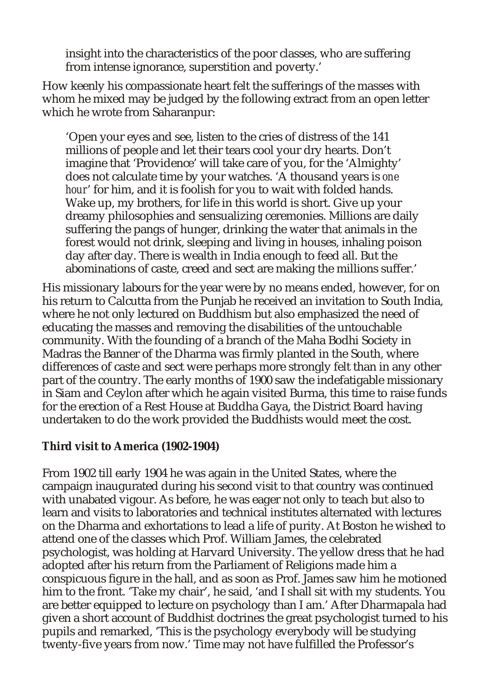insight into the characteristics of the poor classes, who are suffering from intense ignorance, superstition and poverty.'

How keenly his compassionate heart felt the sufferings of the masses with whom he mixed may be judged by the following extract from an open letter which he wrote from Saharanpur:

'Open your eyes and see, listen to the cries of distress of the 141 millions of people and let their tears cool your dry hearts. Don't imagine that 'Providence' will take care of you, for the 'Almighty' does not calculate time by your watches. 'A thousand years is *one hour*' for him, and it is foolish for you to wait with folded hands. Wake up, my brothers, for life in this world is short. Give up your dreamy philosophies and sensualizing ceremonies. Millions are daily suffering the pangs of hunger, drinking the water that animals in the forest would not drink, sleeping and living in houses, inhaling poison day after day. There is wealth in India enough to feed all. But the abominations of caste, creed and sect are making the millions suffer.'

His missionary labours for the year were by no means ended, however, for on his return to Calcutta from the Punjab he received an invitation to South India, where he not only lectured on Buddhism but also emphasized the need of educating the masses and removing the disabilities of the untouchable community. With the founding of a branch of the Maha Bodhi Society in Madras the Banner of the Dharma was firmly planted in the South, where differences of caste and sect were perhaps more strongly felt than in any other part of the country. The early months of 1900 saw the indefatigable missionary in Siam and Ceylon after which he again visited Burma, this time to raise funds for the erection of a Rest House at Buddha Gaya, the District Board having undertaken to do the work provided the Buddhists would meet the cost.

**Third visit to America (1902-1904)**

From 1902 till early 1904 he was again in the United States, where the campaign inaugurated during his second visit to that country was continued with unabated vigour. As before, he was eager not only to teach but also to learn and visits to laboratories and technical institutes alternated with lectures on the Dharma and exhortations to lead a life of purity. At Boston he wished to attend one of the classes which Prof. William James, the celebrated psychologist, was holding at Harvard University. The yellow dress that he had adopted after his return from the Parliament of Religions made him a conspicuous figure in the hall, and as soon as Prof. James saw him he motioned him to the front. 'Take my chair', he said, 'and I shall sit with my students. You are better equipped to lecture on psychology than I am.' After Dharmapala had given a short account of Buddhist doctrines the great psychologist turned to his pupils and remarked, 'This is the psychology everybody will be studying twenty-five years from now.' Time may not have fulfilled the Professor's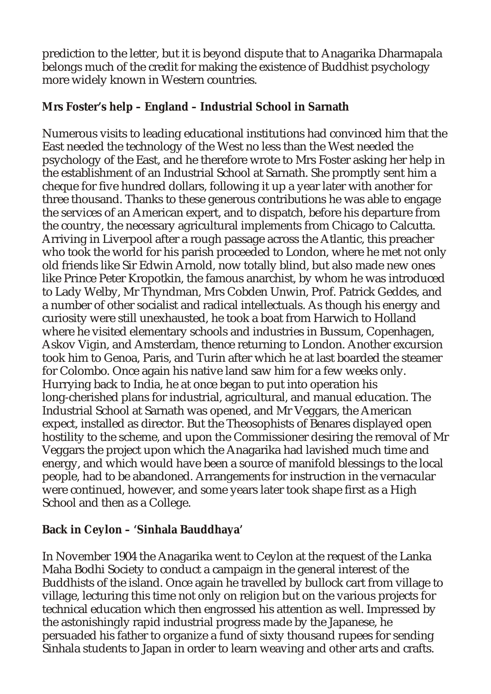prediction to the letter, but it is beyond dispute that to Anagarika Dharmapala belongs much of the credit for making the existence of Buddhist psychology more widely known in Western countries.

**Mrs Foster's help – England – Industrial School in Sarnath**

Numerous visits to leading educational institutions had convinced him that the East needed the technology of the West no less than the West needed the psychology of the East, and he therefore wrote to Mrs Foster asking her help in the establishment of an Industrial School at Sarnath. She promptly sent him a cheque for five hundred dollars, following it up a year later with another for three thousand. Thanks to these generous contributions he was able to engage the services of an American expert, and to dispatch, before his departure from the country, the necessary agricultural implements from Chicago to Calcutta. Arriving in Liverpool after a rough passage across the Atlantic, this preacher who took the world for his parish proceeded to London, where he met not only old friends like Sir Edwin Arnold, now totally blind, but also made new ones like Prince Peter Kropotkin, the famous anarchist, by whom he was introduced to Lady Welby, Mr Thyndman, Mrs Cobden Unwin, Prof. Patrick Geddes, and a number of other socialist and radical intellectuals. As though his energy and curiosity were still unexhausted, he took a boat from Harwich to Holland where he visited elementary schools and industries in Bussum, Copenhagen, Askov Vigin, and Amsterdam, thence returning to London. Another excursion took him to Genoa, Paris, and Turin after which he at last boarded the steamer for Colombo. Once again his native land saw him for a few weeks only. Hurrying back to India, he at once began to put into operation his long-cherished plans for industrial, agricultural, and manual education. The Industrial School at Sarnath was opened, and Mr Veggars, the American expect, installed as director. But the Theosophists of Benares displayed open hostility to the scheme, and upon the Commissioner desiring the removal of Mr Veggars the project upon which the Anagarika had lavished much time and energy, and which would have been a source of manifold blessings to the local people, had to be abandoned. Arrangements for instruction in the vernacular were continued, however, and some years later took shape first as a High School and then as a College.

**Back in Ceylon – 'Sinhala Bauddhaya'**

In November 1904 the Anagarika went to Ceylon at the request of the Lanka Maha Bodhi Society to conduct a campaign in the general interest of the Buddhists of the island. Once again he travelled by bullock cart from village to village, lecturing this time not only on religion but on the various projects for technical education which then engrossed his attention as well. Impressed by the astonishingly rapid industrial progress made by the Japanese, he persuaded his father to organize a fund of sixty thousand rupees for sending Sinhala students to Japan in order to learn weaving and other arts and crafts.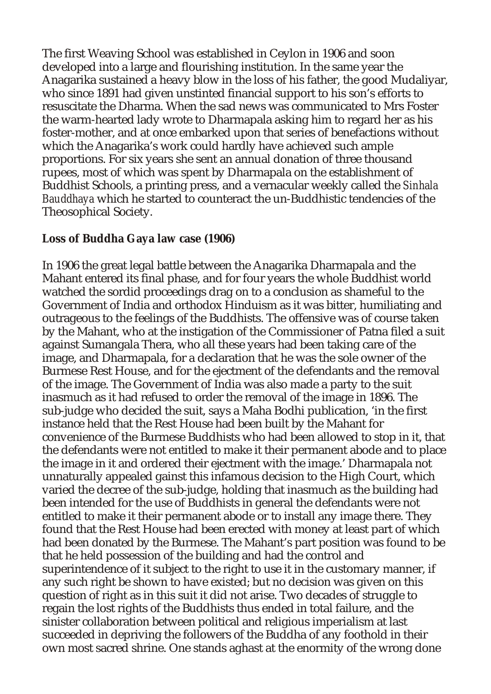The first Weaving School was established in Ceylon in 1906 and soon developed into a large and flourishing institution. In the same year the Anagarika sustained a heavy blow in the loss of his father, the good Mudaliyar, who since 1891 had given unstinted financial support to his son's efforts to resuscitate the Dharma. When the sad news was communicated to Mrs Foster the warm-hearted lady wrote to Dharmapala asking him to regard her as his foster-mother, and at once embarked upon that series of benefactions without which the Anagarika's work could hardly have achieved such ample proportions. For six years she sent an annual donation of three thousand rupees, most of which was spent by Dharmapala on the establishment of Buddhist Schools, a printing press, and a vernacular weekly called the *Sinhala Bauddhaya* which he started to counteract the un-Buddhistic tendencies of the Theosophical Society.

**Loss of Buddha Gaya law case (1906)**

In 1906 the great legal battle between the Anagarika Dharmapala and the Mahant entered its final phase, and for four years the whole Buddhist world watched the sordid proceedings drag on to a conclusion as shameful to the Government of India and orthodox Hinduism as it was bitter, humiliating and outrageous to the feelings of the Buddhists. The offensive was of course taken by the Mahant, who at the instigation of the Commissioner of Patna filed a suit against Sumangala Thera, who all these years had been taking care of the image, and Dharmapala, for a declaration that he was the sole owner of the Burmese Rest House, and for the ejectment of the defendants and the removal of the image. The Government of India was also made a party to the suit inasmuch as it had refused to order the removal of the image in 1896. The sub-judge who decided the suit, says a Maha Bodhi publication, 'in the first instance held that the Rest House had been built by the Mahant for convenience of the Burmese Buddhists who had been allowed to stop in it, that the defendants were not entitled to make it their permanent abode and to place the image in it and ordered their ejectment with the image.' Dharmapala not unnaturally appealed gainst this infamous decision to the High Court, which varied the decree of the sub-judge, holding that inasmuch as the building had been intended for the use of Buddhists in general the defendants were not entitled to make it their permanent abode or to install any image there. They found that the Rest House had been erected with money at least part of which had been donated by the Burmese. The Mahant's part position was found to be that he held possession of the building and had the control and superintendence of it subject to the right to use it in the customary manner, if any such right be shown to have existed; but no decision was given on this question of right as in this suit it did not arise. Two decades of struggle to regain the lost rights of the Buddhists thus ended in total failure, and the sinister collaboration between political and religious imperialism at last succeeded in depriving the followers of the Buddha of any foothold in their own most sacred shrine. One stands aghast at the enormity of the wrong done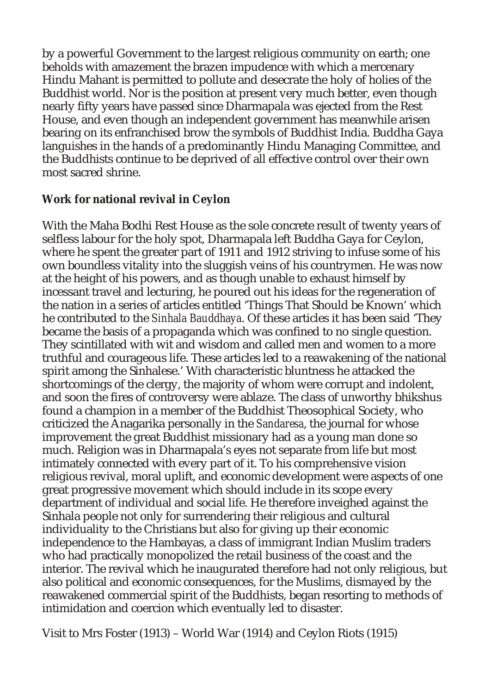by a powerful Government to the largest religious community on earth; one beholds with amazement the brazen impudence with which a mercenary Hindu Mahant is permitted to pollute and desecrate the holy of holies of the Buddhist world. Nor is the position at present very much better, even though nearly fifty years have passed since Dharmapala was ejected from the Rest House, and even though an independent government has meanwhile arisen bearing on its enfranchised brow the symbols of Buddhist India. Buddha Gaya languishes in the hands of a predominantly Hindu Managing Committee, and the Buddhists continue to be deprived of all effective control over their own most sacred shrine.

#### **Work for national revival in Ceylon**

With the Maha Bodhi Rest House as the sole concrete result of twenty years of selfless labour for the holy spot, Dharmapala left Buddha Gaya for Ceylon, where he spent the greater part of 1911 and 1912 striving to infuse some of his own boundless vitality into the sluggish veins of his countrymen. He was now at the height of his powers, and as though unable to exhaust himself by incessant travel and lecturing, he poured out his ideas for the regeneration of the nation in a series of articles entitled 'Things That Should be Known' which he contributed to the *Sinhala Bauddhaya*. Of these articles it has been said 'They became the basis of a propaganda which was confined to no single question. They scintillated with wit and wisdom and called men and women to a more truthful and courageous life. These articles led to a reawakening of the national spirit among the Sinhalese.' With characteristic bluntness he attacked the shortcomings of the clergy, the majority of whom were corrupt and indolent, and soon the fires of controversy were ablaze. The class of unworthy bhikshus found a champion in a member of the Buddhist Theosophical Society, who criticized the Anagarika personally in the *Sandaresa*, the journal for whose improvement the great Buddhist missionary had as a young man done so much. Religion was in Dharmapala's eyes not separate from life but most intimately connected with every part of it. To his comprehensive vision religious revival, moral uplift, and economic development were aspects of one great progressive movement which should include in its scope every department of individual and social life. He therefore inveighed against the Sinhala people not only for surrendering their religious and cultural individuality to the Christians but also for giving up their economic independence to the Hambayas, a class of immigrant Indian Muslim traders who had practically monopolized the retail business of the coast and the interior. The revival which he inaugurated therefore had not only religious, but also political and economic consequences, for the Muslims, dismayed by the reawakened commercial spirit of the Buddhists, began resorting to methods of intimidation and coercion which eventually led to disaster.

Visit to Mrs Foster (1913) – World War (1914) and Ceylon Riots (1915)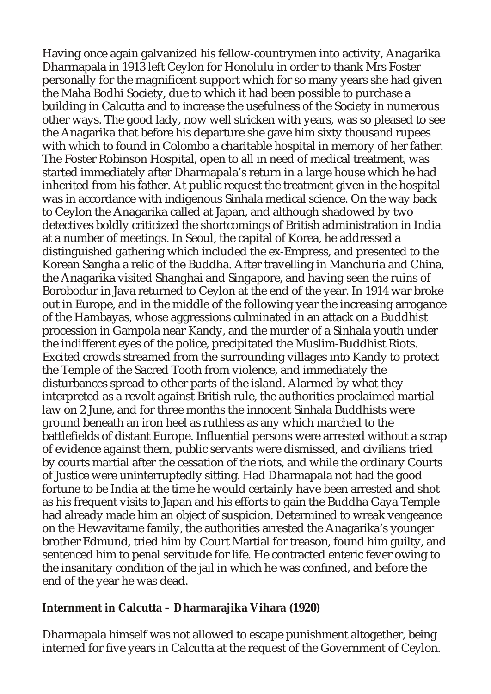Having once again galvanized his fellow-countrymen into activity, Anagarika Dharmapala in 1913 left Ceylon for Honolulu in order to thank Mrs Foster personally for the magnificent support which for so many years she had given the Maha Bodhi Society, due to which it had been possible to purchase a building in Calcutta and to increase the usefulness of the Society in numerous other ways. The good lady, now well stricken with years, was so pleased to see the Anagarika that before his departure she gave him sixty thousand rupees with which to found in Colombo a charitable hospital in memory of her father. The Foster Robinson Hospital, open to all in need of medical treatment, was started immediately after Dharmapala's return in a large house which he had inherited from his father. At public request the treatment given in the hospital was in accordance with indigenous Sinhala medical science. On the way back to Ceylon the Anagarika called at Japan, and although shadowed by two detectives boldly criticized the shortcomings of British administration in India at a number of meetings. In Seoul, the capital of Korea, he addressed a distinguished gathering which included the ex-Empress, and presented to the Korean Sangha a relic of the Buddha. After travelling in Manchuria and China, the Anagarika visited Shanghai and Singapore, and having seen the ruins of Borobodur in Java returned to Ceylon at the end of the year. In 1914 war broke out in Europe, and in the middle of the following year the increasing arrogance of the Hambayas, whose aggressions culminated in an attack on a Buddhist procession in Gampola near Kandy, and the murder of a Sinhala youth under the indifferent eyes of the police, precipitated the Muslim-Buddhist Riots. Excited crowds streamed from the surrounding villages into Kandy to protect the Temple of the Sacred Tooth from violence, and immediately the disturbances spread to other parts of the island. Alarmed by what they interpreted as a revolt against British rule, the authorities proclaimed martial law on 2 June, and for three months the innocent Sinhala Buddhists were ground beneath an iron heel as ruthless as any which marched to the battlefields of distant Europe. Influential persons were arrested without a scrap of evidence against them, public servants were dismissed, and civilians tried by courts martial after the cessation of the riots, and while the ordinary Courts of Justice were uninterruptedly sitting. Had Dharmapala not had the good fortune to be India at the time he would certainly have been arrested and shot as his frequent visits to Japan and his efforts to gain the Buddha Gaya Temple had already made him an object of suspicion. Determined to wreak vengeance on the Hewavitarne family, the authorities arrested the Anagarika's younger brother Edmund, tried him by Court Martial for treason, found him guilty, and sentenced him to penal servitude for life. He contracted enteric fever owing to the insanitary condition of the jail in which he was confined, and before the end of the year he was dead.

**Internment in Calcutta – Dharmarajika Vihara (1920)**

Dharmapala himself was not allowed to escape punishment altogether, being interned for five years in Calcutta at the request of the Government of Ceylon.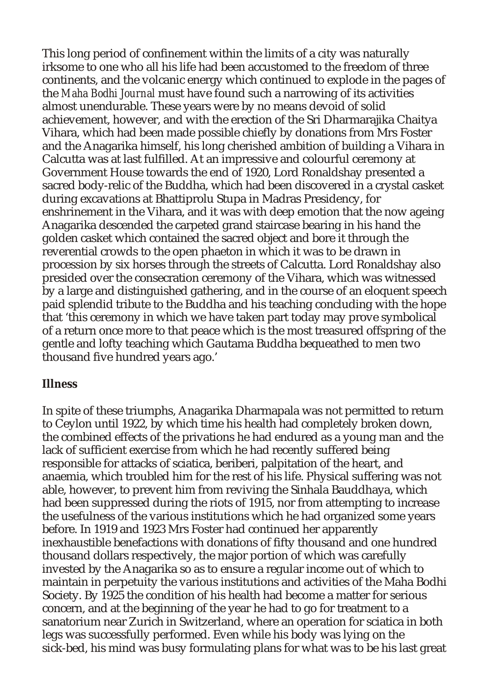This long period of confinement within the limits of a city was naturally irksome to one who all his life had been accustomed to the freedom of three continents, and the volcanic energy which continued to explode in the pages of the *Maha Bodhi Journal* must have found such a narrowing of its activities almost unendurable. These years were by no means devoid of solid achievement, however, and with the erection of the Sri Dharmarajika Chaitya Vihara, which had been made possible chiefly by donations from Mrs Foster and the Anagarika himself, his long cherished ambition of building a Vihara in Calcutta was at last fulfilled. At an impressive and colourful ceremony at Government House towards the end of 1920, Lord Ronaldshay presented a sacred body-relic of the Buddha, which had been discovered in a crystal casket during excavations at Bhattiprolu Stupa in Madras Presidency, for enshrinement in the Vihara, and it was with deep emotion that the now ageing Anagarika descended the carpeted grand staircase bearing in his hand the golden casket which contained the sacred object and bore it through the reverential crowds to the open phaeton in which it was to be drawn in procession by six horses through the streets of Calcutta. Lord Ronaldshay also presided over the consecration ceremony of the Vihara, which was witnessed by a large and distinguished gathering, and in the course of an eloquent speech paid splendid tribute to the Buddha and his teaching concluding with the hope that 'this ceremony in which we have taken part today may prove symbolical of a return once more to that peace which is the most treasured offspring of the gentle and lofty teaching which Gautama Buddha bequeathed to men two thousand five hundred years ago.'

#### **Illness**

In spite of these triumphs, Anagarika Dharmapala was not permitted to return to Ceylon until 1922, by which time his health had completely broken down, the combined effects of the privations he had endured as a young man and the lack of sufficient exercise from which he had recently suffered being responsible for attacks of sciatica, beriberi, palpitation of the heart, and anaemia, which troubled him for the rest of his life. Physical suffering was not able, however, to prevent him from reviving the Sinhala Bauddhaya, which had been suppressed during the riots of 1915, nor from attempting to increase the usefulness of the various institutions which he had organized some years before. In 1919 and 1923 Mrs Foster had continued her apparently inexhaustible benefactions with donations of fifty thousand and one hundred thousand dollars respectively, the major portion of which was carefully invested by the Anagarika so as to ensure a regular income out of which to maintain in perpetuity the various institutions and activities of the Maha Bodhi Society. By 1925 the condition of his health had become a matter for serious concern, and at the beginning of the year he had to go for treatment to a sanatorium near Zurich in Switzerland, where an operation for sciatica in both legs was successfully performed. Even while his body was lying on the sick-bed, his mind was busy formulating plans for what was to be his last great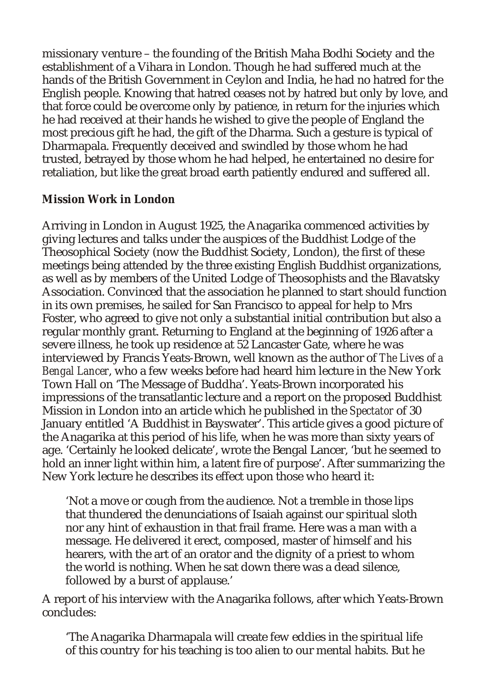missionary venture – the founding of the British Maha Bodhi Society and the establishment of a Vihara in London. Though he had suffered much at the hands of the British Government in Ceylon and India, he had no hatred for the English people. Knowing that hatred ceases not by hatred but only by love, and that force could be overcome only by patience, in return for the injuries which he had received at their hands he wished to give the people of England the most precious gift he had, the gift of the Dharma. Such a gesture is typical of Dharmapala. Frequently deceived and swindled by those whom he had trusted, betrayed by those whom he had helped, he entertained no desire for retaliation, but like the great broad earth patiently endured and suffered all.

### **Mission Work in London**

Arriving in London in August 1925, the Anagarika commenced activities by giving lectures and talks under the auspices of the Buddhist Lodge of the Theosophical Society (now the Buddhist Society, London), the first of these meetings being attended by the three existing English Buddhist organizations, as well as by members of the United Lodge of Theosophists and the Blavatsky Association. Convinced that the association he planned to start should function in its own premises, he sailed for San Francisco to appeal for help to Mrs Foster, who agreed to give not only a substantial initial contribution but also a regular monthly grant. Returning to England at the beginning of 1926 after a severe illness, he took up residence at 52 Lancaster Gate, where he was interviewed by Francis Yeats-Brown, well known as the author of *The Lives of a Bengal Lancer*, who a few weeks before had heard him lecture in the New York Town Hall on 'The Message of Buddha'. Yeats-Brown incorporated his impressions of the transatlantic lecture and a report on the proposed Buddhist Mission in London into an article which he published in the *Spectator* of 30 January entitled 'A Buddhist in Bayswater'. This article gives a good picture of the Anagarika at this period of his life, when he was more than sixty years of age. 'Certainly he looked delicate', wrote the Bengal Lancer, 'but he seemed to hold an inner light within him, a latent fire of purpose'. After summarizing the New York lecture he describes its effect upon those who heard it:

'Not a move or cough from the audience. Not a tremble in those lips that thundered the denunciations of Isaiah against our spiritual sloth nor any hint of exhaustion in that frail frame. Here was a man with a message. He delivered it erect, composed, master of himself and his hearers, with the art of an orator and the dignity of a priest to whom the world is nothing. When he sat down there was a dead silence, followed by a burst of applause.'

A report of his interview with the Anagarika follows, after which Yeats-Brown concludes:

'The Anagarika Dharmapala will create few eddies in the spiritual life of this country for his teaching is too alien to our mental habits. But he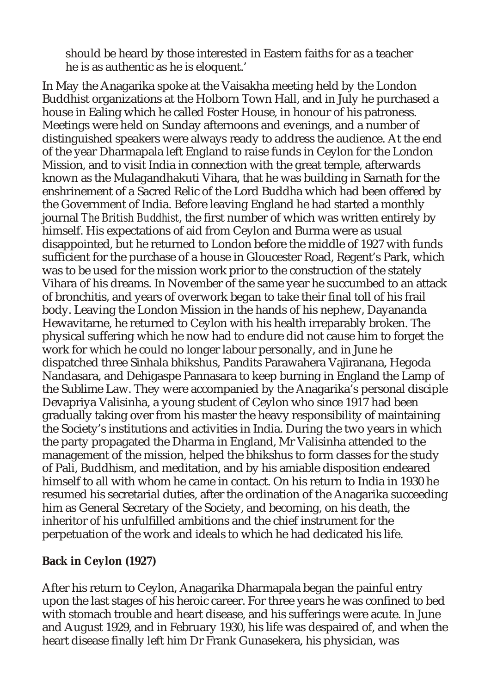should be heard by those interested in Eastern faiths for as a teacher he is as authentic as he is eloquent.'

In May the Anagarika spoke at the Vaisakha meeting held by the London Buddhist organizations at the Holborn Town Hall, and in July he purchased a house in Ealing which he called Foster House, in honour of his patroness. Meetings were held on Sunday afternoons and evenings, and a number of distinguished speakers were always ready to address the audience. At the end of the year Dharmapala left England to raise funds in Ceylon for the London Mission, and to visit India in connection with the great temple, afterwards known as the Mulagandhakuti Vihara, that he was building in Sarnath for the enshrinement of a Sacred Relic of the Lord Buddha which had been offered by the Government of India. Before leaving England he had started a monthly journal *The British Buddhist*, the first number of which was written entirely by himself. His expectations of aid from Ceylon and Burma were as usual disappointed, but he returned to London before the middle of 1927 with funds sufficient for the purchase of a house in Gloucester Road, Regent's Park, which was to be used for the mission work prior to the construction of the stately Vihara of his dreams. In November of the same year he succumbed to an attack of bronchitis, and years of overwork began to take their final toll of his frail body. Leaving the London Mission in the hands of his nephew, Dayananda Hewavitarne, he returned to Ceylon with his health irreparably broken. The physical suffering which he now had to endure did not cause him to forget the work for which he could no longer labour personally, and in June he dispatched three Sinhala bhikshus, Pandits Parawahera Vajiranana, Hegoda Nandasara, and Dehigaspe Pannasara to keep burning in England the Lamp of the Sublime Law. They were accompanied by the Anagarika's personal disciple Devapriya Valisinha, a young student of Ceylon who since 1917 had been gradually taking over from his master the heavy responsibility of maintaining the Society's institutions and activities in India. During the two years in which the party propagated the Dharma in England, Mr Valisinha attended to the management of the mission, helped the bhikshus to form classes for the study of Pali, Buddhism, and meditation, and by his amiable disposition endeared himself to all with whom he came in contact. On his return to India in 1930 he resumed his secretarial duties, after the ordination of the Anagarika succeeding him as General Secretary of the Society, and becoming, on his death, the inheritor of his unfulfilled ambitions and the chief instrument for the perpetuation of the work and ideals to which he had dedicated his life.

**Back in Ceylon (1927)**

After his return to Ceylon, Anagarika Dharmapala began the painful entry upon the last stages of his heroic career. For three years he was confined to bed with stomach trouble and heart disease, and his sufferings were acute. In June and August 1929, and in February 1930, his life was despaired of, and when the heart disease finally left him Dr Frank Gunasekera, his physician, was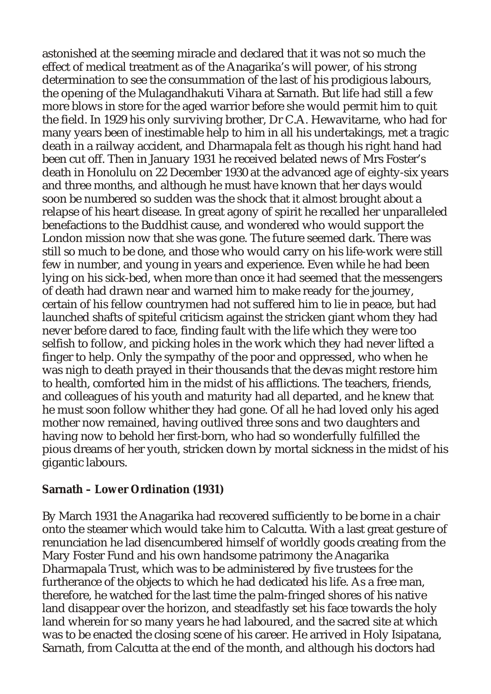astonished at the seeming miracle and declared that it was not so much the effect of medical treatment as of the Anagarika's will power, of his strong determination to see the consummation of the last of his prodigious labours, the opening of the Mulagandhakuti Vihara at Sarnath. But life had still a few more blows in store for the aged warrior before she would permit him to quit the field. In 1929 his only surviving brother, Dr C.A. Hewavitarne, who had for many years been of inestimable help to him in all his undertakings, met a tragic death in a railway accident, and Dharmapala felt as though his right hand had been cut off. Then in January 1931 he received belated news of Mrs Foster's death in Honolulu on 22 December 1930 at the advanced age of eighty-six years and three months, and although he must have known that her days would soon be numbered so sudden was the shock that it almost brought about a relapse of his heart disease. In great agony of spirit he recalled her unparalleled benefactions to the Buddhist cause, and wondered who would support the London mission now that she was gone. The future seemed dark. There was still so much to be done, and those who would carry on his life-work were still few in number, and young in years and experience. Even while he had been lying on his sick-bed, when more than once it had seemed that the messengers of death had drawn near and warned him to make ready for the journey, certain of his fellow countrymen had not suffered him to lie in peace, but had launched shafts of spiteful criticism against the stricken giant whom they had never before dared to face, finding fault with the life which they were too selfish to follow, and picking holes in the work which they had never lifted a finger to help. Only the sympathy of the poor and oppressed, who when he was nigh to death prayed in their thousands that the devas might restore him to health, comforted him in the midst of his afflictions. The teachers, friends, and colleagues of his youth and maturity had all departed, and he knew that he must soon follow whither they had gone. Of all he had loved only his aged mother now remained, having outlived three sons and two daughters and having now to behold her first-born, who had so wonderfully fulfilled the pious dreams of her youth, stricken down by mortal sickness in the midst of his gigantic labours.

**Sarnath – Lower Ordination (1931)**

By March 1931 the Anagarika had recovered sufficiently to be borne in a chair onto the steamer which would take him to Calcutta. With a last great gesture of renunciation he lad disencumbered himself of worldly goods creating from the Mary Foster Fund and his own handsome patrimony the Anagarika Dharmapala Trust, which was to be administered by five trustees for the furtherance of the objects to which he had dedicated his life. As a free man, therefore, he watched for the last time the palm-fringed shores of his native land disappear over the horizon, and steadfastly set his face towards the holy land wherein for so many years he had laboured, and the sacred site at which was to be enacted the closing scene of his career. He arrived in Holy Isipatana, Sarnath, from Calcutta at the end of the month, and although his doctors had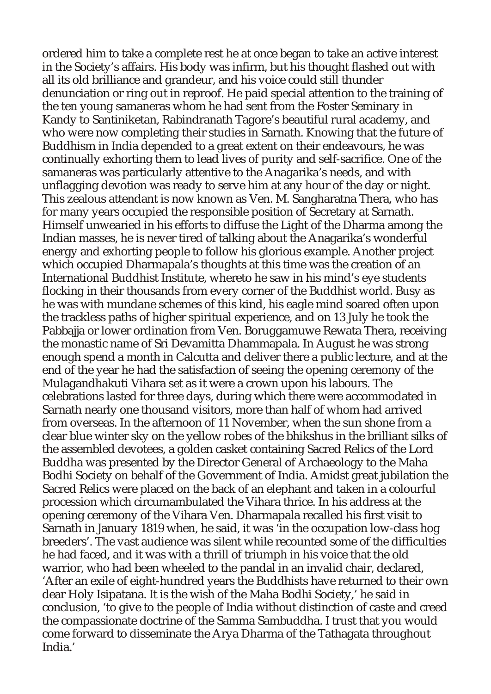ordered him to take a complete rest he at once began to take an active interest in the Society's affairs. His body was infirm, but his thought flashed out with all its old brilliance and grandeur, and his voice could still thunder denunciation or ring out in reproof. He paid special attention to the training of the ten young samaneras whom he had sent from the Foster Seminary in Kandy to Santiniketan, Rabindranath Tagore's beautiful rural academy, and who were now completing their studies in Sarnath. Knowing that the future of Buddhism in India depended to a great extent on their endeavours, he was continually exhorting them to lead lives of purity and self-sacrifice. One of the samaneras was particularly attentive to the Anagarika's needs, and with unflagging devotion was ready to serve him at any hour of the day or night. This zealous attendant is now known as Ven. M. Sangharatna Thera, who has for many years occupied the responsible position of Secretary at Sarnath. Himself unwearied in his efforts to diffuse the Light of the Dharma among the Indian masses, he is never tired of talking about the Anagarika's wonderful energy and exhorting people to follow his glorious example. Another project which occupied Dharmapala's thoughts at this time was the creation of an International Buddhist Institute, whereto he saw in his mind's eye students flocking in their thousands from every corner of the Buddhist world. Busy as he was with mundane schemes of this kind, his eagle mind soared often upon the trackless paths of higher spiritual experience, and on 13 July he took the Pabbajja or lower ordination from Ven. Boruggamuwe Rewata Thera, receiving the monastic name of Sri Devamitta Dhammapala. In August he was strong enough spend a month in Calcutta and deliver there a public lecture, and at the end of the year he had the satisfaction of seeing the opening ceremony of the Mulagandhakuti Vihara set as it were a crown upon his labours. The celebrations lasted for three days, during which there were accommodated in Sarnath nearly one thousand visitors, more than half of whom had arrived from overseas. In the afternoon of 11 November, when the sun shone from a clear blue winter sky on the yellow robes of the bhikshus in the brilliant silks of the assembled devotees, a golden casket containing Sacred Relics of the Lord Buddha was presented by the Director General of Archaeology to the Maha Bodhi Society on behalf of the Government of India. Amidst great jubilation the Sacred Relics were placed on the back of an elephant and taken in a colourful procession which circumambulated the Vihara thrice. In his address at the opening ceremony of the Vihara Ven. Dharmapala recalled his first visit to Sarnath in January 1819 when, he said, it was 'in the occupation low-class hog breeders'. The vast audience was silent while recounted some of the difficulties he had faced, and it was with a thrill of triumph in his voice that the old warrior, who had been wheeled to the pandal in an invalid chair, declared, 'After an exile of eight-hundred years the Buddhists have returned to their own dear Holy Isipatana. It is the wish of the Maha Bodhi Society,' he said in conclusion, 'to give to the people of India without distinction of caste and creed the compassionate doctrine of the Samma Sambuddha. I trust that you would come forward to disseminate the Arya Dharma of the Tathagata throughout India.'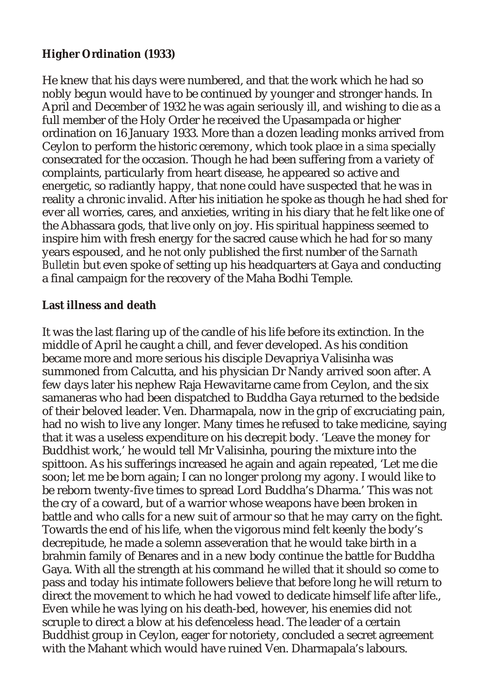#### **Higher Ordination (1933)**

He knew that his days were numbered, and that the work which he had so nobly begun would have to be continued by younger and stronger hands. In April and December of 1932 he was again seriously ill, and wishing to die as a full member of the Holy Order he received the Upasampada or higher ordination on 16 January 1933. More than a dozen leading monks arrived from Ceylon to perform the historic ceremony, which took place in a *sima* specially consecrated for the occasion. Though he had been suffering from a variety of complaints, particularly from heart disease, he appeared so active and energetic, so radiantly happy, that none could have suspected that he was in reality a chronic invalid. After his initiation he spoke as though he had shed for ever all worries, cares, and anxieties, writing in his diary that he felt like one of the Abhassara gods, that live only on joy. His spiritual happiness seemed to inspire him with fresh energy for the sacred cause which he had for so many years espoused, and he not only published the first number of the *Sarnath Bulletin* but even spoke of setting up his headquarters at Gaya and conducting a final campaign for the recovery of the Maha Bodhi Temple.

#### **Last illness and death**

It was the last flaring up of the candle of his life before its extinction. In the middle of April he caught a chill, and fever developed. As his condition became more and more serious his disciple Devapriya Valisinha was summoned from Calcutta, and his physician Dr Nandy arrived soon after. A few days later his nephew Raja Hewavitarne came from Ceylon, and the six samaneras who had been dispatched to Buddha Gaya returned to the bedside of their beloved leader. Ven. Dharmapala, now in the grip of excruciating pain, had no wish to live any longer. Many times he refused to take medicine, saying that it was a useless expenditure on his decrepit body. 'Leave the money for Buddhist work,' he would tell Mr Valisinha, pouring the mixture into the spittoon. As his sufferings increased he again and again repeated, 'Let me die soon; let me be born again; I can no longer prolong my agony. I would like to be reborn twenty-five times to spread Lord Buddha's Dharma.' This was not the cry of a coward, but of a warrior whose weapons have been broken in battle and who calls for a new suit of armour so that he may carry on the fight. Towards the end of his life, when the vigorous mind felt keenly the body's decrepitude, he made a solemn asseveration that he would take birth in a brahmin family of Benares and in a new body continue the battle for Buddha Gaya. With all the strength at his command he *willed* that it should so come to pass and today his intimate followers believe that before long he will return to direct the movement to which he had vowed to dedicate himself life after life., Even while he was lying on his death-bed, however, his enemies did not scruple to direct a blow at his defenceless head. The leader of a certain Buddhist group in Ceylon, eager for notoriety, concluded a secret agreement with the Mahant which would have ruined Ven. Dharmapala's labours.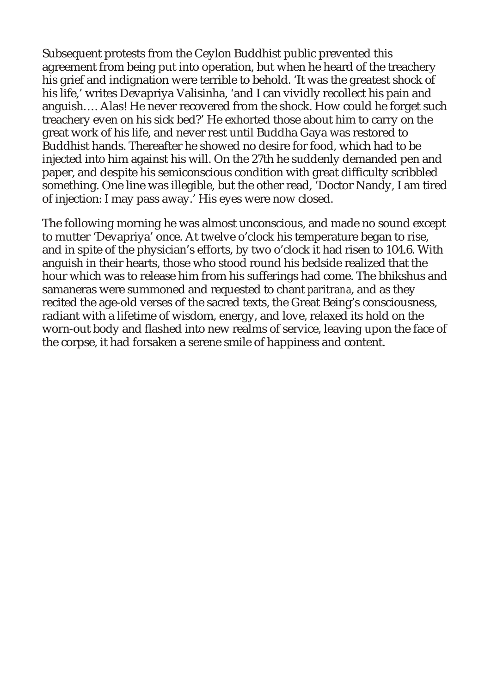Subsequent protests from the Ceylon Buddhist public prevented this agreement from being put into operation, but when he heard of the treachery his grief and indignation were terrible to behold. 'It was the greatest shock of his life,' writes Devapriya Valisinha, 'and I can vividly recollect his pain and anguish…. Alas! He never recovered from the shock. How could he forget such treachery even on his sick bed?' He exhorted those about him to carry on the great work of his life, and never rest until Buddha Gaya was restored to Buddhist hands. Thereafter he showed no desire for food, which had to be injected into him against his will. On the 27th he suddenly demanded pen and paper, and despite his semiconscious condition with great difficulty scribbled something. One line was illegible, but the other read, 'Doctor Nandy, I am tired of injection: I may pass away.' His eyes were now closed.

The following morning he was almost unconscious, and made no sound except to mutter 'Devapriya' once. At twelve o'clock his temperature began to rise, and in spite of the physician's efforts, by two o'clock it had risen to 104.6. With anguish in their hearts, those who stood round his bedside realized that the hour which was to release him from his sufferings had come. The bhikshus and samaneras were summoned and requested to chant *paritrana*, and as they recited the age-old verses of the sacred texts, the Great Being's consciousness, radiant with a lifetime of wisdom, energy, and love, relaxed its hold on the worn-out body and flashed into new realms of service, leaving upon the face of the corpse, it had forsaken a serene smile of happiness and content.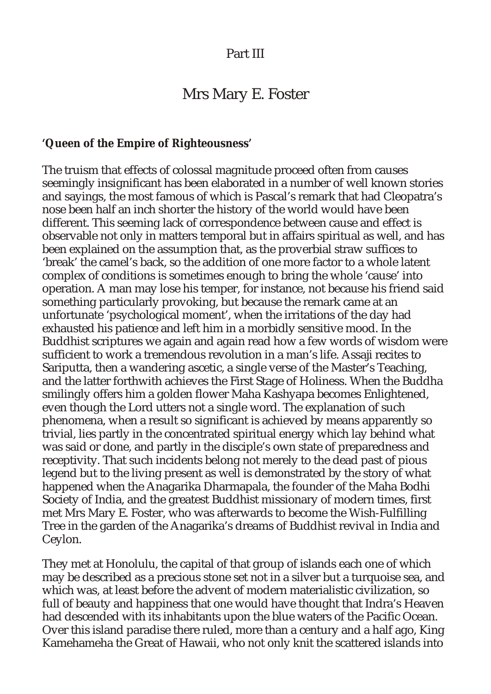#### Part III

# Mrs Mary E. Foster

**'Queen of the Empire of Righteousness'**

The truism that effects of colossal magnitude proceed often from causes seemingly insignificant has been elaborated in a number of well known stories and sayings, the most famous of which is Pascal's remark that had Cleopatra's nose been half an inch shorter the history of the world would have been different. This seeming lack of correspondence between cause and effect is observable not only in matters temporal but in affairs spiritual as well, and has been explained on the assumption that, as the proverbial straw suffices to 'break' the camel's back, so the addition of one more factor to a whole latent complex of conditions is sometimes enough to bring the whole 'cause' into operation. A man may lose his temper, for instance, not because his friend said something particularly provoking, but because the remark came at an unfortunate 'psychological moment', when the irritations of the day had exhausted his patience and left him in a morbidly sensitive mood. In the Buddhist scriptures we again and again read how a few words of wisdom were sufficient to work a tremendous revolution in a man's life. Assaji recites to Sariputta, then a wandering ascetic, a single verse of the Master's Teaching, and the latter forthwith achieves the First Stage of Holiness. When the Buddha smilingly offers him a golden flower Maha Kashyapa becomes Enlightened, even though the Lord utters not a single word. The explanation of such phenomena, when a result so significant is achieved by means apparently so trivial, lies partly in the concentrated spiritual energy which lay behind what was said or done, and partly in the disciple's own state of preparedness and receptivity. That such incidents belong not merely to the dead past of pious legend but to the living present as well is demonstrated by the story of what happened when the Anagarika Dharmapala, the founder of the Maha Bodhi Society of India, and the greatest Buddhist missionary of modern times, first met Mrs Mary E. Foster, who was afterwards to become the Wish-Fulfilling Tree in the garden of the Anagarika's dreams of Buddhist revival in India and Ceylon.

They met at Honolulu, the capital of that group of islands each one of which may be described as a precious stone set not in a silver but a turquoise sea, and which was, at least before the advent of modern materialistic civilization, so full of beauty and happiness that one would have thought that Indra's Heaven had descended with its inhabitants upon the blue waters of the Pacific Ocean. Over this island paradise there ruled, more than a century and a half ago, King Kamehameha the Great of Hawaii, who not only knit the scattered islands into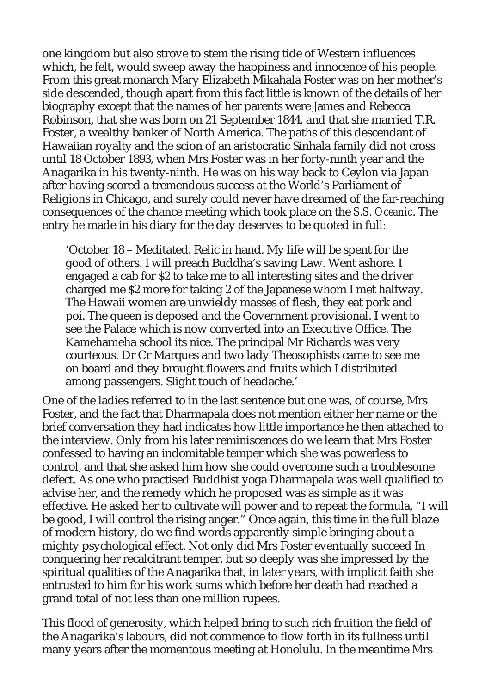one kingdom but also strove to stem the rising tide of Western influences which, he felt, would sweep away the happiness and innocence of his people. From this great monarch Mary Elizabeth Mikahala Foster was on her mother's side descended, though apart from this fact little is known of the details of her biography except that the names of her parents were James and Rebecca Robinson, that she was born on 21 September 1844, and that she married T.R. Foster, a wealthy banker of North America. The paths of this descendant of Hawaiian royalty and the scion of an aristocratic Sinhala family did not cross until 18 October 1893, when Mrs Foster was in her forty-ninth year and the Anagarika in his twenty-ninth. He was on his way back to Ceylon via Japan after having scored a tremendous success at the World's Parliament of Religions in Chicago, and surely could never have dreamed of the far-reaching consequences of the chance meeting which took place on the *S.S. Oceanic*. The entry he made in his diary for the day deserves to be quoted in full:

'October 18 – Meditated. Relic in hand. My life will be spent for the good of others. I will preach Buddha's saving Law. Went ashore. I engaged a cab for \$2 to take me to all interesting sites and the driver charged me \$2 more for taking 2 of the Japanese whom I met halfway. The Hawaii women are unwieldy masses of flesh, they eat pork and poi. The queen is deposed and the Government provisional. I went to see the Palace which is now converted into an Executive Office. The Kamehameha school its nice. The principal Mr Richards was very courteous. Dr Cr Marques and two lady Theosophists came to see me on board and they brought flowers and fruits which I distributed among passengers. Slight touch of headache.'

One of the ladies referred to in the last sentence but one was, of course, Mrs Foster, and the fact that Dharmapala does not mention either her name or the brief conversation they had indicates how little importance he then attached to the interview. Only from his later reminiscences do we learn that Mrs Foster confessed to having an indomitable temper which she was powerless to control, and that she asked him how she could overcome such a troublesome defect. As one who practised Buddhist yoga Dharmapala was well qualified to advise her, and the remedy which he proposed was as simple as it was effective. He asked her to cultivate will power and to repeat the formula, "I will be good, I will control the rising anger." Once again, this time in the full blaze of modern history, do we find words apparently simple bringing about a mighty psychological effect. Not only did Mrs Foster eventually succeed In conquering her recalcitrant temper, but so deeply was she impressed by the spiritual qualities of the Anagarika that, in later years, with implicit faith she entrusted to him for his work sums which before her death had reached a grand total of not less than one million rupees.

This flood of generosity, which helped bring to such rich fruition the field of the Anagarika's labours, did not commence to flow forth in its fullness until many years after the momentous meeting at Honolulu. In the meantime Mrs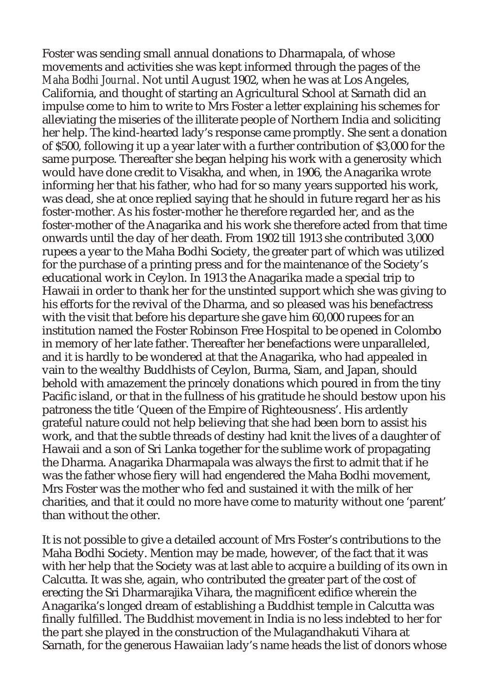Foster was sending small annual donations to Dharmapala, of whose movements and activities she was kept informed through the pages of the *Maha Bodhi Journal*. Not until August 1902, when he was at Los Angeles, California, and thought of starting an Agricultural School at Sarnath did an impulse come to him to write to Mrs Foster a letter explaining his schemes for alleviating the miseries of the illiterate people of Northern India and soliciting her help. The kind-hearted lady's response came promptly. She sent a donation of \$500, following it up a year later with a further contribution of \$3,000 for the same purpose. Thereafter she began helping his work with a generosity which would have done credit to Visakha, and when, in 1906, the Anagarika wrote informing her that his father, who had for so many years supported his work, was dead, she at once replied saying that he should in future regard her as his foster-mother. As his foster-mother he therefore regarded her, and as the foster-mother of the Anagarika and his work she therefore acted from that time onwards until the day of her death. From 1902 till 1913 she contributed 3,000 rupees a year to the Maha Bodhi Society, the greater part of which was utilized for the purchase of a printing press and for the maintenance of the Society's educational work in Ceylon. In 1913 the Anagarika made a special trip to Hawaii in order to thank her for the unstinted support which she was giving to his efforts for the revival of the Dharma, and so pleased was his benefactress with the visit that before his departure she gave him 60,000 rupees for an institution named the Foster Robinson Free Hospital to be opened in Colombo in memory of her late father. Thereafter her benefactions were unparalleled, and it is hardly to be wondered at that the Anagarika, who had appealed in vain to the wealthy Buddhists of Ceylon, Burma, Siam, and Japan, should behold with amazement the princely donations which poured in from the tiny Pacific island, or that in the fullness of his gratitude he should bestow upon his patroness the title 'Queen of the Empire of Righteousness'. His ardently grateful nature could not help believing that she had been born to assist his work, and that the subtle threads of destiny had knit the lives of a daughter of Hawaii and a son of Sri Lanka together for the sublime work of propagating the Dharma. Anagarika Dharmapala was always the first to admit that if he was the father whose fiery will had engendered the Maha Bodhi movement, Mrs Foster was the mother who fed and sustained it with the milk of her charities, and that it could no more have come to maturity without one 'parent' than without the other.

It is not possible to give a detailed account of Mrs Foster's contributions to the Maha Bodhi Society. Mention may be made, however, of the fact that it was with her help that the Society was at last able to acquire a building of its own in Calcutta. It was she, again, who contributed the greater part of the cost of erecting the Sri Dharmarajika Vihara, the magnificent edifice wherein the Anagarika's longed dream of establishing a Buddhist temple in Calcutta was finally fulfilled. The Buddhist movement in India is no less indebted to her for the part she played in the construction of the Mulagandhakuti Vihara at Sarnath, for the generous Hawaiian lady's name heads the list of donors whose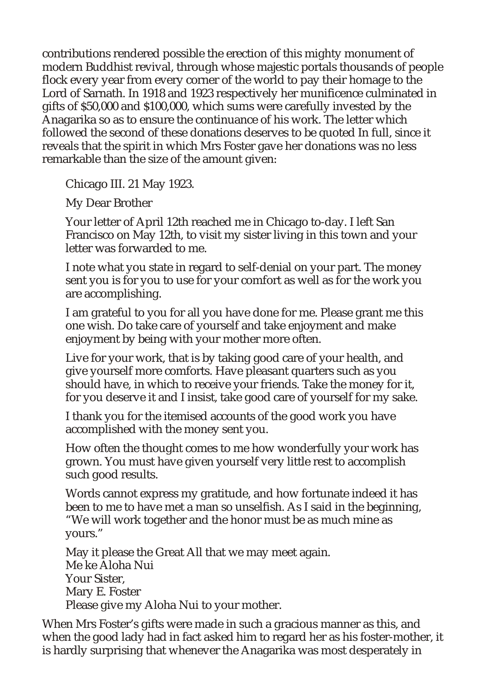contributions rendered possible the erection of this mighty monument of modern Buddhist revival, through whose majestic portals thousands of people flock every year from every corner of the world to pay their homage to the Lord of Sarnath. In 1918 and 1923 respectively her munificence culminated in gifts of \$50,000 and \$100,000, which sums were carefully invested by the Anagarika so as to ensure the continuance of his work. The letter which followed the second of these donations deserves to be quoted In full, since it reveals that the spirit in which Mrs Foster gave her donations was no less remarkable than the size of the amount given:

Chicago III. 21 May 1923.

My Dear Brother

Your letter of April 12th reached me in Chicago to-day. I left San Francisco on May 12th, to visit my sister living in this town and your letter was forwarded to me.

I note what you state in regard to self-denial on your part. The money sent you is for you to use for your comfort as well as for the work you are accomplishing.

I am grateful to you for all you have done for me. Please grant me this one wish. Do take care of yourself and take enjoyment and make enjoyment by being with your mother more often.

Live for your work, that is by taking good care of your health, and give yourself more comforts. Have pleasant quarters such as you should have, in which to receive your friends. Take the money for it, for you deserve it and I insist, take good care of yourself for my sake.

I thank you for the itemised accounts of the good work you have accomplished with the money sent you.

How often the thought comes to me how wonderfully your work has grown. You must have given yourself very little rest to accomplish such good results.

Words cannot express my gratitude, and how fortunate indeed it has been to me to have met a man so unselfish. As I said in the beginning, "We will work together and the honor must be as much mine as yours."

May it please the Great All that we may meet again. Me ke Aloha Nui Your Sister, Mary E. Foster Please give my Aloha Nui to your mother.

When Mrs Foster's gifts were made in such a gracious manner as this, and when the good lady had in fact asked him to regard her as his foster-mother, it is hardly surprising that whenever the Anagarika was most desperately in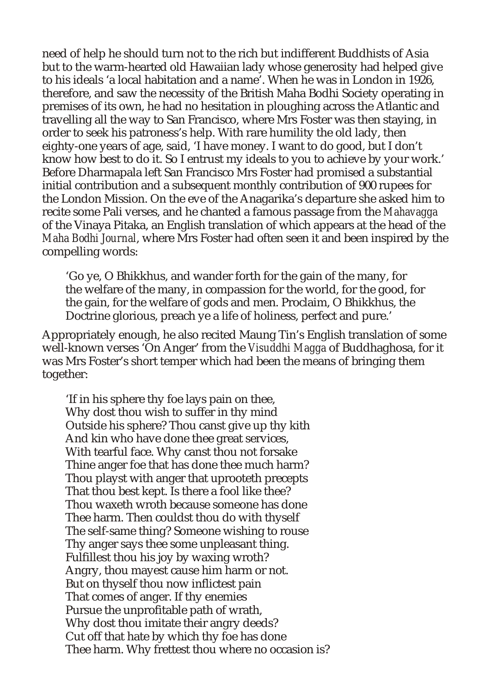need of help he should turn not to the rich but indifferent Buddhists of Asia but to the warm-hearted old Hawaiian lady whose generosity had helped give to his ideals 'a local habitation and a name'. When he was in London in 1926, therefore, and saw the necessity of the British Maha Bodhi Society operating in premises of its own, he had no hesitation in ploughing across the Atlantic and travelling all the way to San Francisco, where Mrs Foster was then staying, in order to seek his patroness's help. With rare humility the old lady, then eighty-one years of age, said, 'I have money. I want to do good, but I don't know how best to do it. So I entrust my ideals to you to achieve by your work.' Before Dharmapala left San Francisco Mrs Foster had promised a substantial initial contribution and a subsequent monthly contribution of 900 rupees for the London Mission. On the eve of the Anagarika's departure she asked him to recite some Pali verses, and he chanted a famous passage from the *Mahavagga* of the Vinaya Pitaka, an English translation of which appears at the head of the *Maha Bodhi Journal*, where Mrs Foster had often seen it and been inspired by the compelling words:

'Go ye, O Bhikkhus, and wander forth for the gain of the many, for the welfare of the many, in compassion for the world, for the good, for the gain, for the welfare of gods and men. Proclaim, O Bhikkhus, the Doctrine glorious, preach ye a life of holiness, perfect and pure.'

Appropriately enough, he also recited Maung Tin's English translation of some well-known verses 'On Anger' from the *Visuddhi Magga* of Buddhaghosa, for it was Mrs Foster's short temper which had been the means of bringing them together:

'If in his sphere thy foe lays pain on thee, Why dost thou wish to suffer in thy mind Outside his sphere? Thou canst give up thy kith And kin who have done thee great services, With tearful face. Why canst thou not forsake Thine anger foe that has done thee much harm? Thou playst with anger that uprooteth precepts That thou best kept. Is there a fool like thee? Thou waxeth wroth because someone has done Thee harm. Then couldst thou do with thyself The self-same thing? Someone wishing to rouse Thy anger says thee some unpleasant thing. Fulfillest thou his joy by waxing wroth? Angry, thou mayest cause him harm or not. But on thyself thou now inflictest pain That comes of anger. If thy enemies Pursue the unprofitable path of wrath, Why dost thou imitate their angry deeds? Cut off that hate by which thy foe has done Thee harm. Why frettest thou where no occasion is?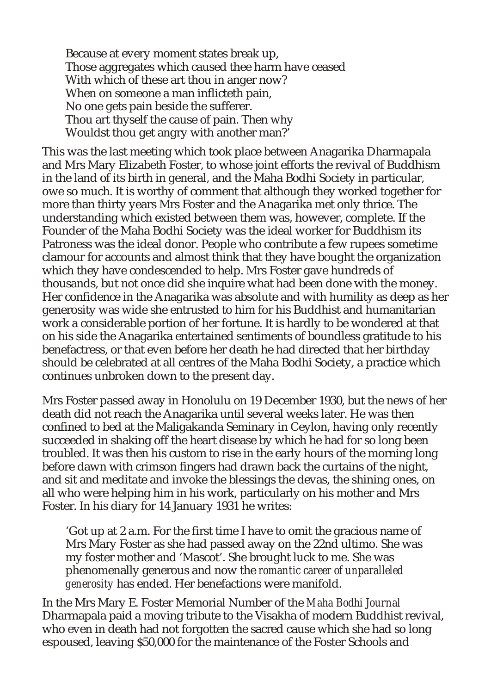Because at every moment states break up, Those aggregates which caused thee harm have ceased With which of these art thou in anger now? When on someone a man inflicteth pain, No one gets pain beside the sufferer. Thou art thyself the cause of pain. Then why Wouldst thou get angry with another man?'

This was the last meeting which took place between Anagarika Dharmapala and Mrs Mary Elizabeth Foster, to whose joint efforts the revival of Buddhism in the land of its birth in general, and the Maha Bodhi Society in particular, owe so much. It is worthy of comment that although they worked together for more than thirty years Mrs Foster and the Anagarika met only thrice. The understanding which existed between them was, however, complete. If the Founder of the Maha Bodhi Society was the ideal worker for Buddhism its Patroness was the ideal donor. People who contribute a few rupees sometime clamour for accounts and almost think that they have bought the organization which they have condescended to help. Mrs Foster gave hundreds of thousands, but not once did she inquire what had been done with the money. Her confidence in the Anagarika was absolute and with humility as deep as her generosity was wide she entrusted to him for his Buddhist and humanitarian work a considerable portion of her fortune. It is hardly to be wondered at that on his side the Anagarika entertained sentiments of boundless gratitude to his benefactress, or that even before her death he had directed that her birthday should be celebrated at all centres of the Maha Bodhi Society, a practice which continues unbroken down to the present day.

Mrs Foster passed away in Honolulu on 19 December 1930, but the news of her death did not reach the Anagarika until several weeks later. He was then confined to bed at the Maligakanda Seminary in Ceylon, having only recently succeeded in shaking off the heart disease by which he had for so long been troubled. It was then his custom to rise in the early hours of the morning long before dawn with crimson fingers had drawn back the curtains of the night, and sit and meditate and invoke the blessings the devas, the shining ones, on all who were helping him in his work, particularly on his mother and Mrs Foster. In his diary for 14 January 1931 he writes:

'Got up at 2 a.m. For the first time I have to omit the gracious name of Mrs Mary Foster as she had passed away on the 22nd ultimo. She was my foster mother and 'Mascot'. She brought luck to me. She was phenomenally generous and now the *romantic career of unparalleled generosity* has ended. Her benefactions were manifold.

In the Mrs Mary E. Foster Memorial Number of the *Maha Bodhi Journal* Dharmapala paid a moving tribute to the Visakha of modern Buddhist revival, who even in death had not forgotten the sacred cause which she had so long espoused, leaving \$50,000 for the maintenance of the Foster Schools and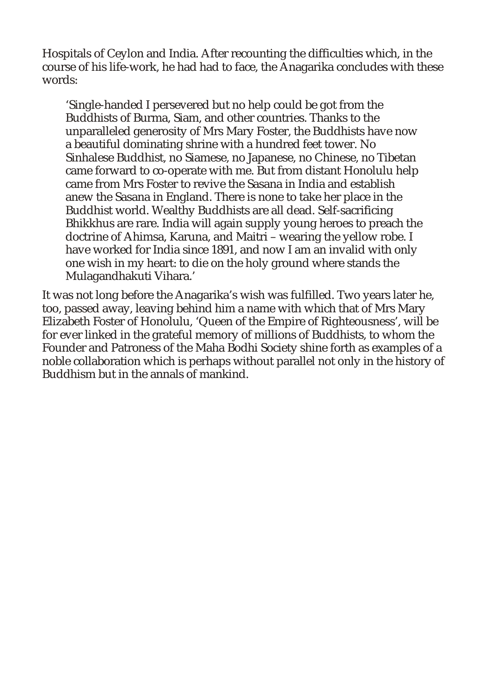Hospitals of Ceylon and India. After recounting the difficulties which, in the course of his life-work, he had had to face, the Anagarika concludes with these words:

'Single-handed I persevered but no help could be got from the Buddhists of Burma, Siam, and other countries. Thanks to the unparalleled generosity of Mrs Mary Foster, the Buddhists have now a beautiful dominating shrine with a hundred feet tower. No Sinhalese Buddhist, no Siamese, no Japanese, no Chinese, no Tibetan came forward to co-operate with me. But from distant Honolulu help came from Mrs Foster to revive the Sasana in India and establish anew the Sasana in England. There is none to take her place in the Buddhist world. Wealthy Buddhists are all dead. Self-sacrificing Bhikkhus are rare. India will again supply young heroes to preach the doctrine of Ahimsa, Karuna, and Maitri – wearing the yellow robe. I have worked for India since 1891, and now I am an invalid with only one wish in my heart: to die on the holy ground where stands the Mulagandhakuti Vihara.'

It was not long before the Anagarika's wish was fulfilled. Two years later he, too, passed away, leaving behind him a name with which that of Mrs Mary Elizabeth Foster of Honolulu, 'Queen of the Empire of Righteousness', will be for ever linked in the grateful memory of millions of Buddhists, to whom the Founder and Patroness of the Maha Bodhi Society shine forth as examples of a noble collaboration which is perhaps without parallel not only in the history of Buddhism but in the annals of mankind.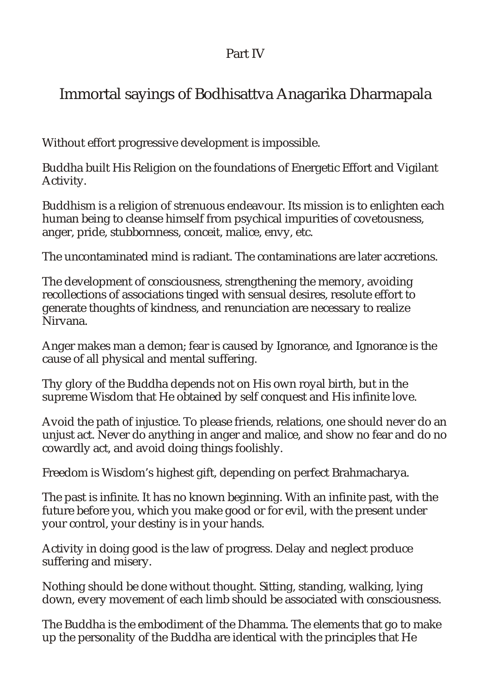# Part IV

# Immortal sayings of Bodhisattva Anagarika Dharmapala

Without effort progressive development is impossible.

Buddha built His Religion on the foundations of Energetic Effort and Vigilant Activity.

Buddhism is a religion of strenuous endeavour. Its mission is to enlighten each human being to cleanse himself from psychical impurities of covetousness, anger, pride, stubbornness, conceit, malice, envy, etc.

The uncontaminated mind is radiant. The contaminations are later accretions.

The development of consciousness, strengthening the memory, avoiding recollections of associations tinged with sensual desires, resolute effort to generate thoughts of kindness, and renunciation are necessary to realize Nirvana.

Anger makes man a demon; fear is caused by Ignorance, and Ignorance is the cause of all physical and mental suffering.

Thy glory of the Buddha depends not on His own royal birth, but in the supreme Wisdom that He obtained by self conquest and His infinite love.

Avoid the path of injustice. To please friends, relations, one should never do an unjust act. Never do anything in anger and malice, and show no fear and do no cowardly act, and avoid doing things foolishly.

Freedom is Wisdom's highest gift, depending on perfect Brahmacharya.

The past is infinite. It has no known beginning. With an infinite past, with the future before you, which you make good or for evil, with the present under your control, your destiny is in your hands.

Activity in doing good is the law of progress. Delay and neglect produce suffering and misery.

Nothing should be done without thought. Sitting, standing, walking, lying down, every movement of each limb should be associated with consciousness.

The Buddha is the embodiment of the Dhamma. The elements that go to make up the personality of the Buddha are identical with the principles that He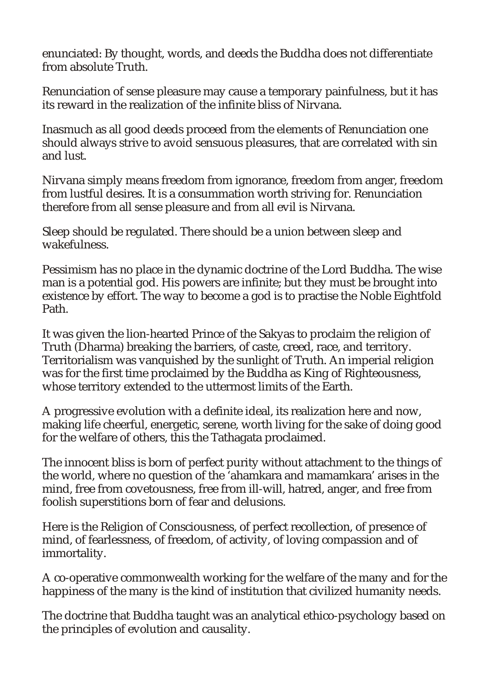enunciated: By thought, words, and deeds the Buddha does not differentiate from absolute Truth.

Renunciation of sense pleasure may cause a temporary painfulness, but it has its reward in the realization of the infinite bliss of Nirvana.

Inasmuch as all good deeds proceed from the elements of Renunciation one should always strive to avoid sensuous pleasures, that are correlated with sin and lust.

Nirvana simply means freedom from ignorance, freedom from anger, freedom from lustful desires. It is a consummation worth striving for. Renunciation therefore from all sense pleasure and from all evil is Nirvana.

Sleep should be regulated. There should be a union between sleep and wakefulness.

Pessimism has no place in the dynamic doctrine of the Lord Buddha. The wise man is a potential god. His powers are infinite; but they must be brought into existence by effort. The way to become a god is to practise the Noble Eightfold Path.

It was given the lion-hearted Prince of the Sakyas to proclaim the religion of Truth (Dharma) breaking the barriers, of caste, creed, race, and territory. Territorialism was vanquished by the sunlight of Truth. An imperial religion was for the first time proclaimed by the Buddha as King of Righteousness, whose territory extended to the uttermost limits of the Earth.

A progressive evolution with a definite ideal, its realization here and now, making life cheerful, energetic, serene, worth living for the sake of doing good for the welfare of others, this the Tathagata proclaimed.

The innocent bliss is born of perfect purity without attachment to the things of the world, where no question of the 'ahamkara and mamamkara' arises in the mind, free from covetousness, free from ill-will, hatred, anger, and free from foolish superstitions born of fear and delusions.

Here is the Religion of Consciousness, of perfect recollection, of presence of mind, of fearlessness, of freedom, of activity, of loving compassion and of immortality.

A co-operative commonwealth working for the welfare of the many and for the happiness of the many is the kind of institution that civilized humanity needs.

The doctrine that Buddha taught was an analytical ethico-psychology based on the principles of evolution and causality.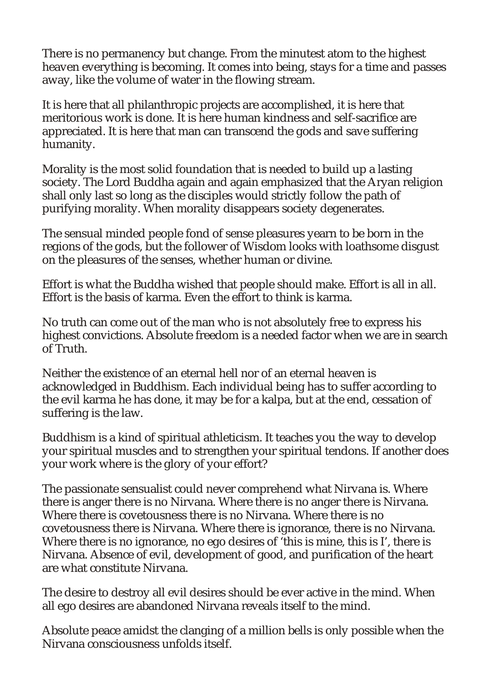There is no permanency but change. From the minutest atom to the highest heaven everything is becoming. It comes into being, stays for a time and passes away, like the volume of water in the flowing stream.

It is here that all philanthropic projects are accomplished, it is here that meritorious work is done. It is here human kindness and self-sacrifice are appreciated. It is here that man can transcend the gods and save suffering humanity.

Morality is the most solid foundation that is needed to build up a lasting society. The Lord Buddha again and again emphasized that the Aryan religion shall only last so long as the disciples would strictly follow the path of purifying morality. When morality disappears society degenerates.

The sensual minded people fond of sense pleasures yearn to be born in the regions of the gods, but the follower of Wisdom looks with loathsome disgust on the pleasures of the senses, whether human or divine.

Effort is what the Buddha wished that people should make. Effort is all in all. Effort is the basis of karma. Even the effort to think is karma.

No truth can come out of the man who is not absolutely free to express his highest convictions. Absolute freedom is a needed factor when we are in search of Truth.

Neither the existence of an eternal hell nor of an eternal heaven is acknowledged in Buddhism. Each individual being has to suffer according to the evil karma he has done, it may be for a kalpa, but at the end, cessation of suffering is the law.

Buddhism is a kind of spiritual athleticism. It teaches you the way to develop your spiritual muscles and to strengthen your spiritual tendons. If another does your work where is the glory of your effort?

The passionate sensualist could never comprehend what Nirvana is. Where there is anger there is no Nirvana. Where there is no anger there is Nirvana. Where there is covetousness there is no Nirvana. Where there is no covetousness there is Nirvana. Where there is ignorance, there is no Nirvana. Where there is no ignorance, no ego desires of 'this is mine, this is I', there is Nirvana. Absence of evil, development of good, and purification of the heart are what constitute Nirvana.

The desire to destroy all evil desires should be ever active in the mind. When all ego desires are abandoned Nirvana reveals itself to the mind.

Absolute peace amidst the clanging of a million bells is only possible when the Nirvana consciousness unfolds itself.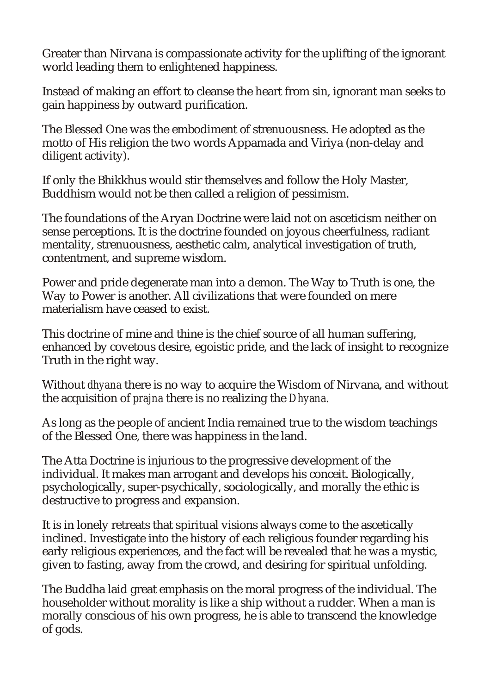Greater than Nirvana is compassionate activity for the uplifting of the ignorant world leading them to enlightened happiness.

Instead of making an effort to cleanse the heart from sin, ignorant man seeks to gain happiness by outward purification.

The Blessed One was the embodiment of strenuousness. He adopted as the motto of His religion the two words Appamada and Viriya (non-delay and diligent activity).

If only the Bhikkhus would stir themselves and follow the Holy Master, Buddhism would not be then called a religion of pessimism.

The foundations of the Aryan Doctrine were laid not on asceticism neither on sense perceptions. It is the doctrine founded on joyous cheerfulness, radiant mentality, strenuousness, aesthetic calm, analytical investigation of truth, contentment, and supreme wisdom.

Power and pride degenerate man into a demon. The Way to Truth is one, the Way to Power is another. All civilizations that were founded on mere materialism have ceased to exist.

This doctrine of mine and thine is the chief source of all human suffering, enhanced by covetous desire, egoistic pride, and the lack of insight to recognize Truth in the right way.

Without *dhyana* there is no way to acquire the Wisdom of Nirvana, and without the acquisition of *prajna* there is no realizing the *Dhyana*.

As long as the people of ancient India remained true to the wisdom teachings of the Blessed One, there was happiness in the land.

The Atta Doctrine is injurious to the progressive development of the individual. It makes man arrogant and develops his conceit. Biologically, psychologically, super-psychically, sociologically, and morally the ethic is destructive to progress and expansion.

It is in lonely retreats that spiritual visions always come to the ascetically inclined. Investigate into the history of each religious founder regarding his early religious experiences, and the fact will be revealed that he was a mystic, given to fasting, away from the crowd, and desiring for spiritual unfolding.

The Buddha laid great emphasis on the moral progress of the individual. The householder without morality is like a ship without a rudder. When a man is morally conscious of his own progress, he is able to transcend the knowledge of gods.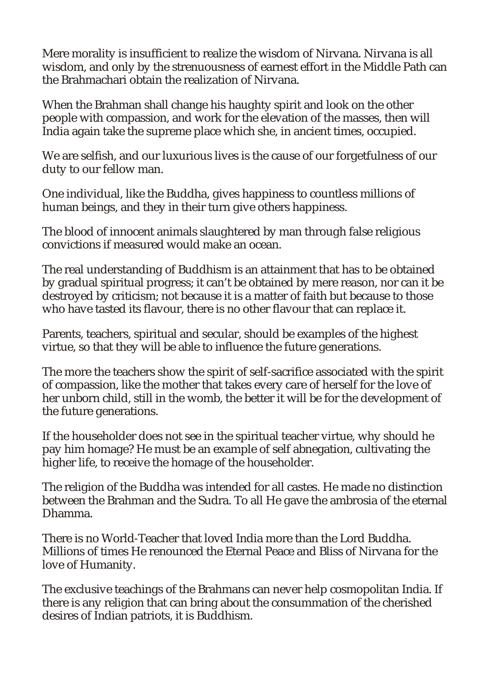Mere morality is insufficient to realize the wisdom of Nirvana. Nirvana is all wisdom, and only by the strenuousness of earnest effort in the Middle Path can the Brahmachari obtain the realization of Nirvana.

When the Brahman shall change his haughty spirit and look on the other people with compassion, and work for the elevation of the masses, then will India again take the supreme place which she, in ancient times, occupied.

We are selfish, and our luxurious lives is the cause of our forgetfulness of our duty to our fellow man.

One individual, like the Buddha, gives happiness to countless millions of human beings, and they in their turn give others happiness.

The blood of innocent animals slaughtered by man through false religious convictions if measured would make an ocean.

The real understanding of Buddhism is an attainment that has to be obtained by gradual spiritual progress; it can't be obtained by mere reason, nor can it be destroyed by criticism; not because it is a matter of faith but because to those who have tasted its flavour, there is no other flavour that can replace it.

Parents, teachers, spiritual and secular, should be examples of the highest virtue, so that they will be able to influence the future generations.

The more the teachers show the spirit of self-sacrifice associated with the spirit of compassion, like the mother that takes every care of herself for the love of her unborn child, still in the womb, the better it will be for the development of the future generations.

If the householder does not see in the spiritual teacher virtue, why should he pay him homage? He must be an example of self abnegation, cultivating the higher life, to receive the homage of the householder.

The religion of the Buddha was intended for all castes. He made no distinction between the Brahman and the Sudra. To all He gave the ambrosia of the eternal Dhamma.

There is no World-Teacher that loved India more than the Lord Buddha. Millions of times He renounced the Eternal Peace and Bliss of Nirvana for the love of Humanity.

The exclusive teachings of the Brahmans can never help cosmopolitan India. If there is any religion that can bring about the consummation of the cherished desires of Indian patriots, it is Buddhism.